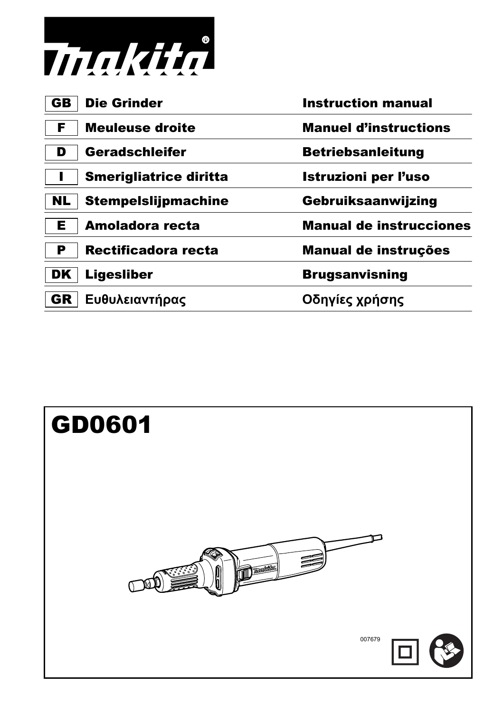

| GB        | <b>Die Grinder</b>            | <b>Instruction manual</b>      |
|-----------|-------------------------------|--------------------------------|
| F         | Meuleuse droite               | <b>Manuel d'instructions</b>   |
|           | Geradschleifer                | <b>Betriebsanleitung</b>       |
|           | <b>Smerigliatrice diritta</b> | <b>Istruzioni per l'uso</b>    |
| <b>NL</b> | <b>Stempelslijpmachine</b>    | Gebruiksaanwijzing             |
| Е         | Amoladora recta               | <b>Manual de instrucciones</b> |
| Р         | Rectificadora recta           | Manual de instruções           |
| DK        | <b>Ligesliber</b>             | <b>Brugsanvisning</b>          |
| GR        | Ευθυλειαντήρας                | Οδηγίες χρήσης                 |
|           |                               |                                |

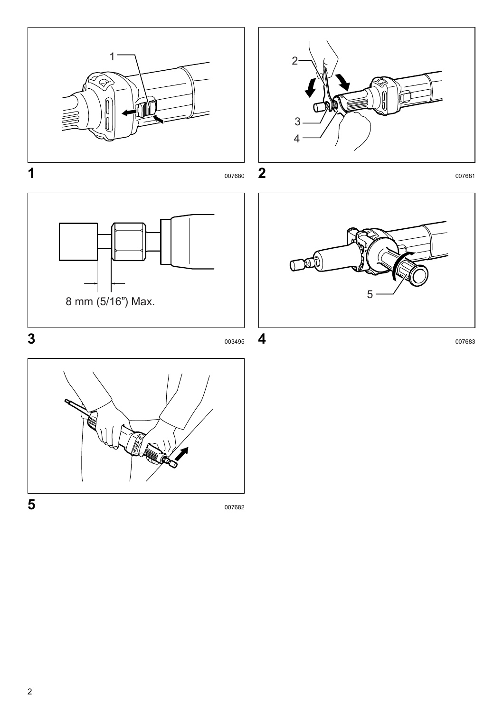







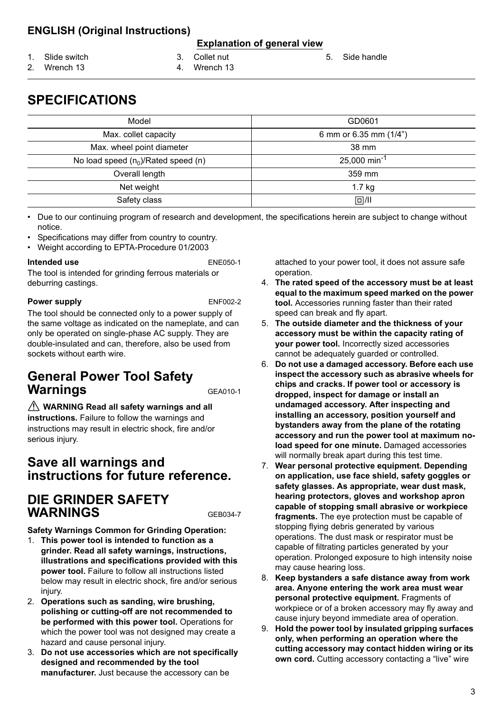### **ENGLISH (Original Instructions)**

#### **Explanation of general view**

1. Slide switch

2. Wrench 13

- 3. Collet nut 4. Wrench 13
	-
- 
- **SPECIFICATIONS**

| Model                                    | GD0601                     |
|------------------------------------------|----------------------------|
| Max. collet capacity                     | 6 mm or 6.35 mm (1/4")     |
| Max. wheel point diameter                | 38 mm                      |
| No load speed $(n_0)/$ Rated speed $(n)$ | $25,000$ min <sup>-1</sup> |
| Overall length                           | 359 mm                     |
| Net weight                               | $1.7$ kg                   |
| Safety class                             | 回川                         |

• Due to our continuing program of research and development, the specifications herein are subject to change without notice.

- Specifications may differ from country to country.
- Weight according to EPTA-Procedure 01/2003

#### **Intended use** ENE050-1

The tool is intended for grinding ferrous materials or deburring castings.

#### **Power supply** ENF002-2

The tool should be connected only to a power supply of the same voltage as indicated on the nameplate, and can only be operated on single-phase AC supply. They are double-insulated and can, therefore, also be used from sockets without earth wire.

## **General Power Tool Safety Warnings** GEA010-1

 **WARNING Read all safety warnings and all instructions.** Failure to follow the warnings and instructions may result in electric shock, fire and/or serious injury.

### **Save all warnings and instructions for future reference.**

### **DIE GRINDER SAFETY WARNINGS** GEB034-7

**Safety Warnings Common for Grinding Operation:**

- 1. **This power tool is intended to function as a grinder. Read all safety warnings, instructions, illustrations and specifications provided with this power tool.** Failure to follow all instructions listed below may result in electric shock, fire and/or serious injury.
- 2. **Operations such as sanding, wire brushing, polishing or cutting-off are not recommended to be performed with this power tool.** Operations for which the power tool was not designed may create a hazard and cause personal injury.
- 3. **Do not use accessories which are not specifically designed and recommended by the tool manufacturer.** Just because the accessory can be

attached to your power tool, it does not assure safe operation.

5. Side handle

- 4. **The rated speed of the accessory must be at least equal to the maximum speed marked on the power tool.** Accessories running faster than their rated speed can break and fly apart.
- 5. **The outside diameter and the thickness of your accessory must be within the capacity rating of your power tool.** Incorrectly sized accessories cannot be adequately guarded or controlled.
- 6. **Do not use a damaged accessory. Before each use inspect the accessory such as abrasive wheels for chips and cracks. If power tool or accessory is dropped, inspect for damage or install an undamaged accessory. After inspecting and installing an accessory, position yourself and bystanders away from the plane of the rotating accessory and run the power tool at maximum noload speed for one minute.** Damaged accessories will normally break apart during this test time.
- 7. **Wear personal protective equipment. Depending on application, use face shield, safety goggles or safety glasses. As appropriate, wear dust mask, hearing protectors, gloves and workshop apron capable of stopping small abrasive or workpiece fragments.** The eye protection must be capable of stopping flying debris generated by various operations. The dust mask or respirator must be capable of filtrating particles generated by your operation. Prolonged exposure to high intensity noise may cause hearing loss.
- 8. **Keep bystanders a safe distance away from work area. Anyone entering the work area must wear personal protective equipment.** Fragments of workpiece or of a broken accessory may fly away and cause injury beyond immediate area of operation.
- 9. **Hold the power tool by insulated gripping surfaces only, when performing an operation where the cutting accessory may contact hidden wiring or its own cord.** Cutting accessory contacting a "live" wire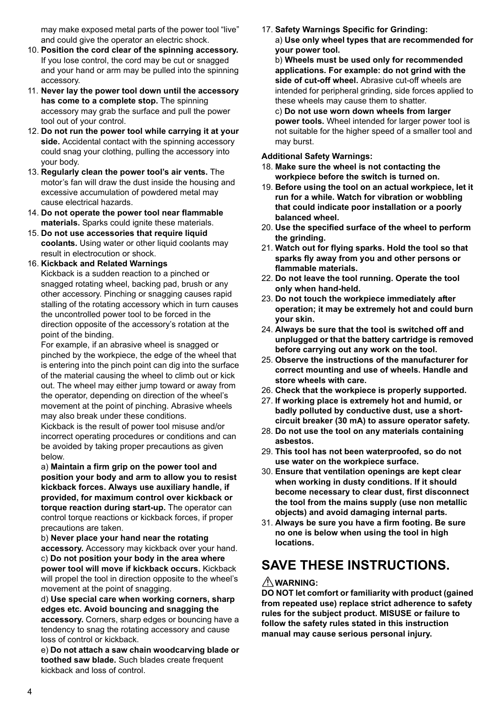may make exposed metal parts of the power tool "live" and could give the operator an electric shock.

- 10. **Position the cord clear of the spinning accessory.** If you lose control, the cord may be cut or snagged and your hand or arm may be pulled into the spinning accessory.
- 11. **Never lay the power tool down until the accessory has come to a complete stop.** The spinning accessory may grab the surface and pull the power tool out of your control.
- 12. **Do not run the power tool while carrying it at your side.** Accidental contact with the spinning accessory could snag your clothing, pulling the accessory into your body.
- 13. **Regularly clean the power tool's air vents.** The motor's fan will draw the dust inside the housing and excessive accumulation of powdered metal may cause electrical hazards.
- 14. **Do not operate the power tool near flammable materials.** Sparks could ignite these materials.
- 15. **Do not use accessories that require liquid coolants.** Using water or other liquid coolants may result in electrocution or shock.
- 16. **Kickback and Related Warnings**

Kickback is a sudden reaction to a pinched or snagged rotating wheel, backing pad, brush or any other accessory. Pinching or snagging causes rapid stalling of the rotating accessory which in turn causes the uncontrolled power tool to be forced in the direction opposite of the accessory's rotation at the point of the binding.

For example, if an abrasive wheel is snagged or pinched by the workpiece, the edge of the wheel that is entering into the pinch point can dig into the surface of the material causing the wheel to climb out or kick out. The wheel may either jump toward or away from the operator, depending on direction of the wheel's movement at the point of pinching. Abrasive wheels may also break under these conditions.

Kickback is the result of power tool misuse and/or incorrect operating procedures or conditions and can be avoided by taking proper precautions as given below.

a) **Maintain a firm grip on the power tool and position your body and arm to allow you to resist kickback forces. Always use auxiliary handle, if provided, for maximum control over kickback or torque reaction during start-up.** The operator can control torque reactions or kickback forces, if proper precautions are taken.

b) **Never place your hand near the rotating accessory.** Accessory may kickback over your hand. c) **Do not position your body in the area where power tool will move if kickback occurs.** Kickback will propel the tool in direction opposite to the wheel's movement at the point of snagging.

d) **Use special care when working corners, sharp edges etc. Avoid bouncing and snagging the accessory.** Corners, sharp edges or bouncing have a tendency to snag the rotating accessory and cause loss of control or kickback.

e) **Do not attach a saw chain woodcarving blade or toothed saw blade.** Such blades create frequent kickback and loss of control.

17. **Safety Warnings Specific for Grinding:** a) **Use only wheel types that are recommended for your power tool.**

b) **Wheels must be used only for recommended applications. For example: do not grind with the side of cut-off wheel.** Abrasive cut-off wheels are intended for peripheral grinding, side forces applied to these wheels may cause them to shatter.

c) **Do not use worn down wheels from larger power tools.** Wheel intended for larger power tool is not suitable for the higher speed of a smaller tool and may burst.

#### **Additional Safety Warnings:**

- 18. **Make sure the wheel is not contacting the workpiece before the switch is turned on.**
- 19. **Before using the tool on an actual workpiece, let it run for a while. Watch for vibration or wobbling that could indicate poor installation or a poorly balanced wheel.**
- 20. **Use the specified surface of the wheel to perform the grinding.**
- 21. **Watch out for flying sparks. Hold the tool so that sparks fly away from you and other persons or flammable materials.**
- 22. **Do not leave the tool running. Operate the tool only when hand-held.**
- 23. **Do not touch the workpiece immediately after operation; it may be extremely hot and could burn your skin.**
- 24. **Always be sure that the tool is switched off and unplugged or that the battery cartridge is removed before carrying out any work on the tool.**
- 25. **Observe the instructions of the manufacturer for correct mounting and use of wheels. Handle and store wheels with care.**
- 26. **Check that the workpiece is properly supported.**
- 27. **If working place is extremely hot and humid, or badly polluted by conductive dust, use a shortcircuit breaker (30 mA) to assure operator safety.**
- 28. **Do not use the tool on any materials containing asbestos.**
- 29. **This tool has not been waterproofed, so do not use water on the workpiece surface.**
- 30. **Ensure that ventilation openings are kept clear when working in dusty conditions. If it should become necessary to clear dust, first disconnect the tool from the mains supply (use non metallic objects) and avoid damaging internal parts.**
- 31. **Always be sure you have a firm footing. Be sure no one is below when using the tool in high locations.**

# **SAVE THESE INSTRUCTIONS.**

#### **WARNING:**

**DO NOT let comfort or familiarity with product (gained from repeated use) replace strict adherence to safety rules for the subject product. MISUSE or failure to follow the safety rules stated in this instruction manual may cause serious personal injury.**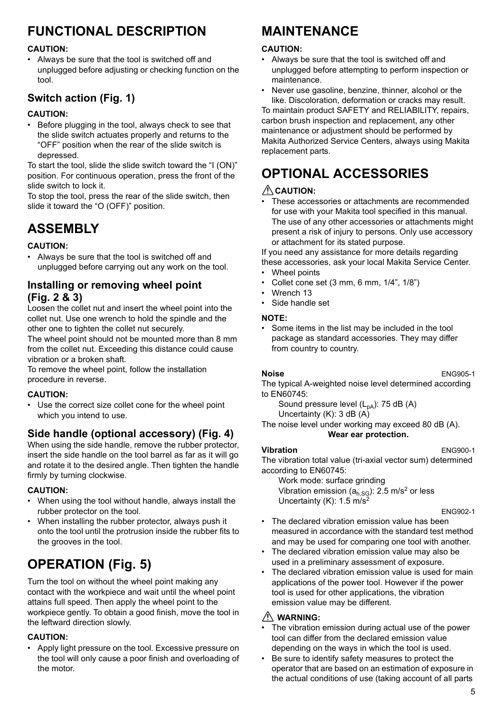# **FUNCTIONAL DESCRIPTION**

#### **CAUTION:**

• Always be sure that the tool is switched off and unplugged before adjusting or checking function on the tool.

### **Switch action (Fig. 1)**

#### **CAUTION:**

• Before plugging in the tool, always check to see that the slide switch actuates properly and returns to the "OFF" position when the rear of the slide switch is depressed.

To start the tool, slide the slide switch toward the "I (ON)" position. For continuous operation, press the front of the slide switch to lock it.

To stop the tool, press the rear of the slide switch, then slide it toward the "O (OFF)" position.

# **ASSEMBLY**

#### **CAUTION:**

• Always be sure that the tool is switched off and unplugged before carrying out any work on the tool.

### **Installing or removing wheel point (Fig. 2 & 3)**

Loosen the collet nut and insert the wheel point into the collet nut. Use one wrench to hold the spindle and the other one to tighten the collet nut securely.

The wheel point should not be mounted more than 8 mm from the collet nut. Exceeding this distance could cause vibration or a broken shaft.

To remove the wheel point, follow the installation procedure in reverse.

#### **CAUTION:**

• Use the correct size collet cone for the wheel point which you intend to use.

### **Side handle (optional accessory) (Fig. 4)**

When using the side handle, remove the rubber protector, insert the side handle on the tool barrel as far as it will go and rotate it to the desired angle. Then tighten the handle firmly by turning clockwise.

#### **CAUTION:**

- When using the tool without handle, always install the rubber protector on the tool.
- When installing the rubber protector, always push it onto the tool until the protrusion inside the rubber fits to the grooves in the tool.

# **OPERATION (Fig. 5)**

Turn the tool on without the wheel point making any contact with the workpiece and wait until the wheel point attains full speed. Then apply the wheel point to the workpiece gently. To obtain a good finish, move the tool in the leftward direction slowly.

#### **CAUTION:**

• Apply light pressure on the tool. Excessive pressure on the tool will only cause a poor finish and overloading of the motor.

# **MAINTENANCE**

#### **CAUTION:**

- Always be sure that the tool is switched off and unplugged before attempting to perform inspection or maintenance.
- Never use gasoline, benzine, thinner, alcohol or the like. Discoloration, deformation or cracks may result.

To maintain product SAFETY and RELIABILITY, repairs, carbon brush inspection and replacement, any other maintenance or adjustment should be performed by Makita Authorized Service Centers, always using Makita replacement parts.

# **OPTIONAL ACCESSORIES**

#### $\triangle$  CAUTION:

These accessories or attachments are recommended for use with your Makita tool specified in this manual. The use of any other accessories or attachments might present a risk of injury to persons. Only use accessory or attachment for its stated purpose.

If you need any assistance for more details regarding

- these accessories, ask your local Makita Service Center. • Wheel points
- 
- Collet cone set (3 mm, 6 mm, 1/4", 1/8")
- Wrench 13
- Side handle set

#### **NOTE:**

• Some items in the list may be included in the tool package as standard accessories. They may differ from country to country.

**Noise** ENG905-1

The typical A-weighted noise level determined according to EN60745:

Sound pressure level 
$$
(L_{pA})
$$
: 75 dB (A) Uncertainty (K): 3 dB (A)

The noise level under working may exceed 80 dB (A). **Wear ear protection.**

#### **Vibration** ENG900-1

The vibration total value (tri-axial vector sum) determined according to EN60745:

Work mode: surface grinding Vibration emission  $(a<sub>h,SG</sub>)$ : 2.5 m/s<sup>2</sup> or less Uncertainty (K): 1.5 m/s2

ENG902-1

- The declared vibration emission value has been measured in accordance with the standard test method and may be used for comparing one tool with another.
- The declared vibration emission value may also be used in a preliminary assessment of exposure.
- The declared vibration emission value is used for main applications of the power tool. However if the power tool is used for other applications, the vibration emission value may be different.

#### **WARNING:**

- The vibration emission during actual use of the power tool can differ from the declared emission value depending on the ways in which the tool is used.
- Be sure to identify safety measures to protect the operator that are based on an estimation of exposure in the actual conditions of use (taking account of all parts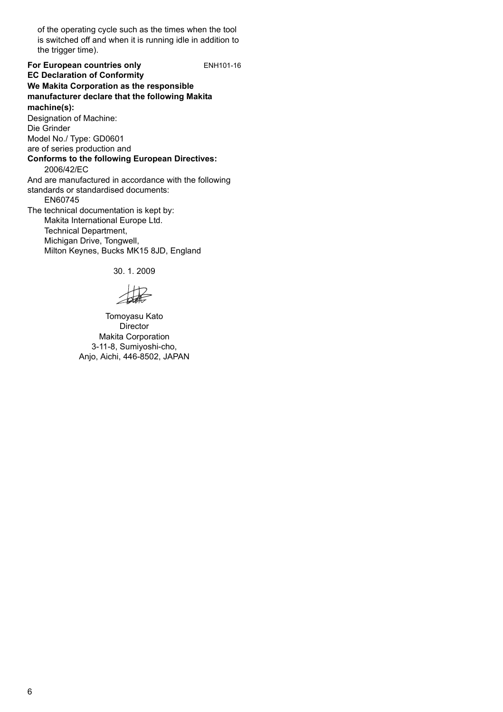of the operating cycle such as the times when the tool is switched off and when it is running idle in addition to the trigger time).

**For European countries only ENH101-16 EC Declaration of Conformity We Makita Corporation as the responsible manufacturer declare that the following Makita machine(s):** Designation of Machine: Die Grinder Model No./ Type: GD0601 are of series production and **Conforms to the following European Directives:** 2006/42/EC And are manufactured in accordance with the following standards or standardised documents: EN60745 The technical documentation is kept by: Makita International Europe Ltd. Technical Department, Michigan Drive, Tongwell, Milton Keynes, Bucks MK15 8JD, England

30. 1. 2009

Tomoyasu Kato **Director** Makita Corporation 3-11-8, Sumiyoshi-cho, Anjo, Aichi, 446-8502, JAPAN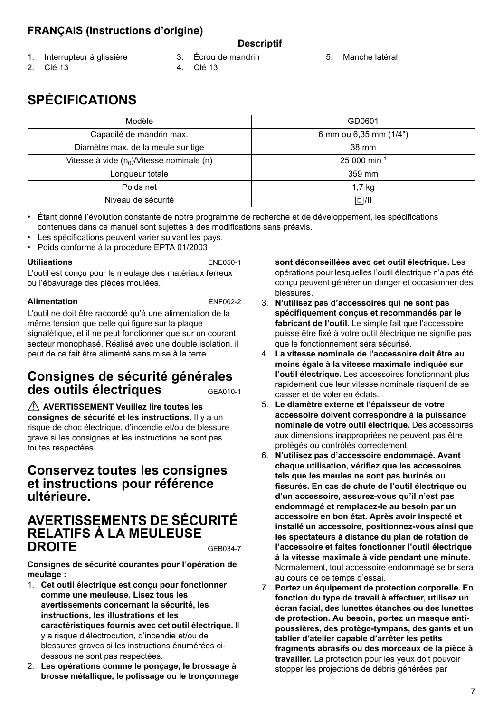### **FRANÇAIS (Instructions d'origine)**

#### **Descriptif**

- 1. Interrupteur à glissière
- 3. Écrou de mandrin
- 4. Clé 13

5. Manche latéral

- 2. Clé 13
- **SPÉCIFICATIONS**

| Modèle                                       | GD0601                    |
|----------------------------------------------|---------------------------|
| Capacité de mandrin max.                     | 6 mm ou 6,35 mm (1/4")    |
| Diamètre max. de la meule sur tige           | 38 mm                     |
| Vitesse à vide $(n_0)/V$ itesse nominale (n) | $25000$ min <sup>-1</sup> |
| Lonqueur totale                              | 359 mm                    |
| Poids net                                    | 1.7 <sub>kg</sub>         |
| Niveau de sécurité                           | $\Box$ /II                |

• Étant donné l'évolution constante de notre programme de recherche et de développement, les spécifications contenues dans ce manuel sont sujettes à des modifications sans préavis.

- Les spécifications peuvent varier suivant les pays.
- Poids conforme à la procédure EPTA 01/2003

#### **Utilisations** ENE050-1

L'outil est conçu pour le meulage des matériaux ferreux ou l'ébavurage des pièces moulées.

#### **Alimentation** ENF002-2

L'outil ne doit être raccordé qu'à une alimentation de la même tension que celle qui figure sur la plaque signalétique, et il ne peut fonctionner que sur un courant secteur monophasé. Réalisé avec une double isolation, il peut de ce fait être alimenté sans mise à la terre.

### **Consignes de sécurité générales des outils électriques** GEA010-1

 **AVERTISSEMENT Veuillez lire toutes les consignes de sécurité et les instructions.** Il y a un risque de choc électrique, d'incendie et/ou de blessure grave si les consignes et les instructions ne sont pas toutes respectées.

### **Conservez toutes les consignes et instructions pour référence ultérieure.**

### **AVERTISSEMENTS DE SÉCURITÉ RELATIFS À LA MEULEUSE DROITE** GEB034-7

**Consignes de sécurité courantes pour l'opération de meulage :**

- 1. **Cet outil électrique est conçu pour fonctionner comme une meuleuse. Lisez tous les avertissements concernant la sécurité, les instructions, les illustrations et les caractéristiques fournis avec cet outil électrique.** Il y a risque d'électrocution, d'incendie et/ou de blessures graves si les instructions énumérées cidessous ne sont pas respectées.
- 2. **Les opérations comme le ponçage, le brossage à brosse métallique, le polissage ou le tronçonnage**

**sont déconseillées avec cet outil électrique.** Les opérations pour lesquelles l'outil électrique n'a pas été conçu peuvent générer un danger et occasionner des blessures.

- 3. **N'utilisez pas d'accessoires qui ne sont pas spécifiquement conçus et recommandés par le fabricant de l'outil.** Le simple fait que l'accessoire puisse être fixé à votre outil électrique ne signifie pas que le fonctionnement sera sécurisé.
- 4. **La vitesse nominale de l'accessoire doit être au moins égale à la vitesse maximale indiquée sur l'outil électrique.** Les accessoires fonctionnant plus rapidement que leur vitesse nominale risquent de se casser et de voler en éclats.
- 5. **Le diamètre externe et l'épaisseur de votre accessoire doivent correspondre à la puissance nominale de votre outil électrique.** Des accessoires aux dimensions inappropriées ne peuvent pas être protégés ou contrôlés correctement.
- 6. **N'utilisez pas d'accessoire endommagé. Avant chaque utilisation, vérifiez que les accessoires tels que les meules ne sont pas burinés ou fissurés. En cas de chute de l'outil électrique ou d'un accessoire, assurez-vous qu'il n'est pas endommagé et remplacez-le au besoin par un accessoire en bon état. Après avoir inspecté et installé un accessoire, positionnez-vous ainsi que les spectateurs à distance du plan de rotation de l'accessoire et faites fonctionner l'outil électrique à la vitesse maximale à vide pendant une minute.** Normalement, tout accessoire endommagé se brisera au cours de ce temps d'essai.
- 7. **Portez un équipement de protection corporelle. En fonction du type de travail à effectuer, utilisez un écran facial, des lunettes étanches ou des lunettes de protection. Au besoin, portez un masque antipoussières, des protège-tympans, des gants et un tablier d'atelier capable d'arrêter les petits fragments abrasifs ou des morceaux de la pièce à travailler.** La protection pour les yeux doit pouvoir stopper les projections de débris générées par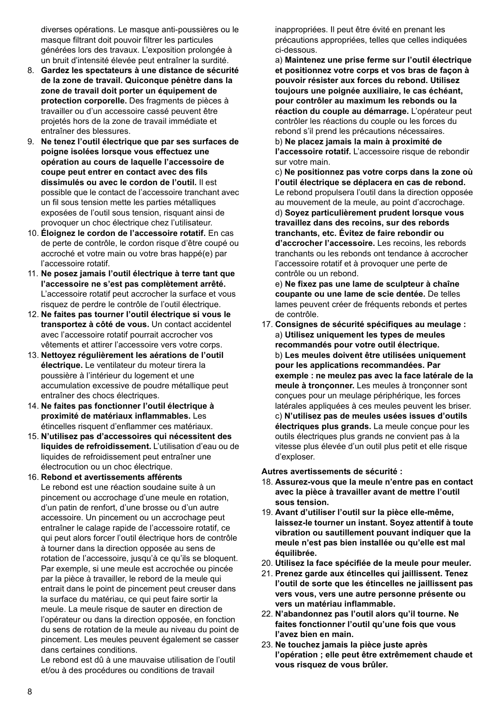diverses opérations. Le masque anti-poussières ou le masque filtrant doit pouvoir filtrer les particules générées lors des travaux. L'exposition prolongée à un bruit d'intensité élevée peut entraîner la surdité.

- 8. **Gardez les spectateurs à une distance de sécurité de la zone de travail. Quiconque pénètre dans la zone de travail doit porter un équipement de protection corporelle.** Des fragments de pièces à travailler ou d'un accessoire cassé peuvent être projetés hors de la zone de travail immédiate et entraîner des blessures.
- 9. **Ne tenez l'outil électrique que par ses surfaces de poigne isolées lorsque vous effectuez une opération au cours de laquelle l'accessoire de coupe peut entrer en contact avec des fils dissimulés ou avec le cordon de l'outil.** Il est possible que le contact de l'accessoire tranchant avec un fil sous tension mette les parties métalliques exposées de l'outil sous tension, risquant ainsi de provoquer un choc électrique chez l'utilisateur.
- 10. **Éloignez le cordon de l'accessoire rotatif.** En cas de perte de contrôle, le cordon risque d'être coupé ou accroché et votre main ou votre bras happé(e) par l'accessoire rotatif.
- 11. **Ne posez jamais l'outil électrique à terre tant que l'accessoire ne s'est pas complètement arrêté.** L'accessoire rotatif peut accrocher la surface et vous risquez de perdre le contrôle de l'outil électrique.
- 12. **Ne faites pas tourner l'outil électrique si vous le transportez à côté de vous.** Un contact accidentel avec l'accessoire rotatif pourrait accrocher vos vêtements et attirer l'accessoire vers votre corps.
- 13. **Nettoyez régulièrement les aérations de l'outil électrique.** Le ventilateur du moteur tirera la poussière à l'intérieur du logement et une accumulation excessive de poudre métallique peut entraîner des chocs électriques.
- 14. **Ne faites pas fonctionner l'outil électrique à proximité de matériaux inflammables.** Les étincelles risquent d'enflammer ces matériaux.
- 15. **N'utilisez pas d'accessoires qui nécessitent des liquides de refroidissement.** L'utilisation d'eau ou de liquides de refroidissement peut entraîner une électrocution ou un choc électrique.
- 16. **Rebond et avertissements afférents**

Le rebond est une réaction soudaine suite à un pincement ou accrochage d'une meule en rotation, d'un patin de renfort, d'une brosse ou d'un autre accessoire. Un pincement ou un accrochage peut entraîner le calage rapide de l'accessoire rotatif, ce qui peut alors forcer l'outil électrique hors de contrôle à tourner dans la direction opposée au sens de rotation de l'accessoire, jusqu'à ce qu'ils se bloquent. Par exemple, si une meule est accrochée ou pincée par la pièce à travailler, le rebord de la meule qui entrait dans le point de pincement peut creuser dans la surface du matériau, ce qui peut faire sortir la meule. La meule risque de sauter en direction de l'opérateur ou dans la direction opposée, en fonction du sens de rotation de la meule au niveau du point de pincement. Les meules peuvent également se casser dans certaines conditions.

Le rebond est dû à une mauvaise utilisation de l'outil et/ou à des procédures ou conditions de travail

inappropriées. Il peut être évité en prenant les précautions appropriées, telles que celles indiquées ci-dessous.

a) **Maintenez une prise ferme sur l'outil électrique et positionnez votre corps et vos bras de façon à pouvoir résister aux forces du rebond. Utilisez toujours une poignée auxiliaire, le cas échéant, pour contrôler au maximum les rebonds ou la réaction du couple au démarrage.** L'opérateur peut contrôler les réactions du couple ou les forces du rebond s'il prend les précautions nécessaires. b) **Ne placez jamais la main à proximité de l'accessoire rotatif.** L'accessoire risque de rebondir sur votre main.

c) **Ne positionnez pas votre corps dans la zone où l'outil électrique se déplacera en cas de rebond.** Le rebond propulsera l'outil dans la direction opposée au mouvement de la meule, au point d'accrochage. d) **Soyez particulièrement prudent lorsque vous travaillez dans des recoins, sur des rebords tranchants, etc. Évitez de faire rebondir ou d'accrocher l'accessoire.** Les recoins, les rebords tranchants ou les rebonds ont tendance à accrocher l'accessoire rotatif et à provoquer une perte de contrôle ou un rebond.

e) **Ne fixez pas une lame de sculpteur à chaîne coupante ou une lame de scie dentée.** De telles lames peuvent créer de fréquents rebonds et pertes de contrôle.

17. **Consignes de sécurité spécifiques au meulage :** a) **Utilisez uniquement les types de meules recommandés pour votre outil électrique.** b) **Les meules doivent être utilisées uniquement pour les applications recommandées. Par exemple : ne meulez pas avec la face latérale de la meule à tronçonner.** Les meules à tronçonner sont conçues pour un meulage périphérique, les forces latérales appliquées à ces meules peuvent les briser. c) **N'utilisez pas de meules usées issues d'outils électriques plus grands.** La meule conçue pour les outils électriques plus grands ne convient pas à la vitesse plus élevée d'un outil plus petit et elle risque d'exploser.

#### **Autres avertissements de sécurité :**

- 18. **Assurez-vous que la meule n'entre pas en contact avec la pièce à travailler avant de mettre l'outil sous tension.**
- 19. **Avant d'utiliser l'outil sur la pièce elle-même, laissez-le tourner un instant. Soyez attentif à toute vibration ou sautillement pouvant indiquer que la meule n'est pas bien installée ou qu'elle est mal équilibrée.**
- 20. **Utilisez la face spécifiée de la meule pour meuler.**
- 21. **Prenez garde aux étincelles qui jaillissent. Tenez l'outil de sorte que les étincelles ne jaillissent pas vers vous, vers une autre personne présente ou vers un matériau inflammable.**
- 22. **N'abandonnez pas l'outil alors qu'il tourne. Ne faites fonctionner l'outil qu'une fois que vous l'avez bien en main.**
- 23. **Ne touchez jamais la pièce juste après l'opération ; elle peut être extrêmement chaude et vous risquez de vous brûler.**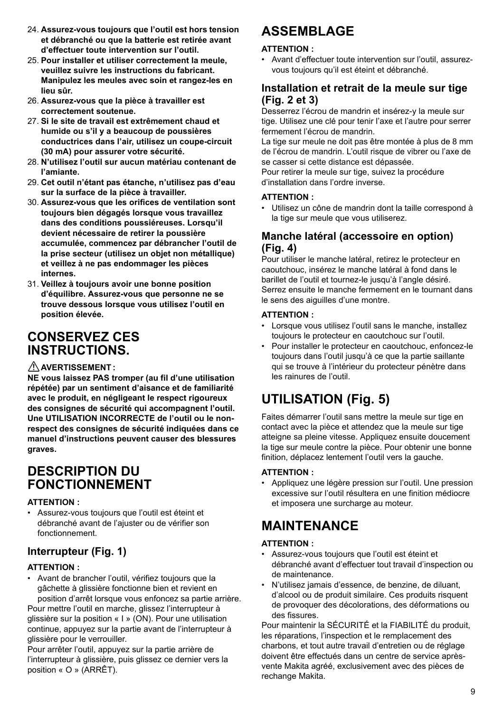- 24. **Assurez-vous toujours que l'outil est hors tension et débranché ou que la batterie est retirée avant d'effectuer toute intervention sur l'outil.**
- 25. **Pour installer et utiliser correctement la meule, veuillez suivre les instructions du fabricant. Manipulez les meules avec soin et rangez-les en lieu sûr.**
- 26. **Assurez-vous que la pièce à travailler est correctement soutenue.**
- 27. **Si le site de travail est extrêmement chaud et humide ou s'il y a beaucoup de poussières conductrices dans l'air, utilisez un coupe-circuit (30 mA) pour assurer votre sécurité.**
- 28. **N'utilisez l'outil sur aucun matériau contenant de l'amiante.**
- 29. **Cet outil n'étant pas étanche, n'utilisez pas d'eau sur la surface de la pièce à travailler.**
- 30. **Assurez-vous que les orifices de ventilation sont toujours bien dégagés lorsque vous travaillez dans des conditions poussiéreuses. Lorsqu'il devient nécessaire de retirer la poussière accumulée, commencez par débrancher l'outil de la prise secteur (utilisez un objet non métallique) et veillez à ne pas endommager les pièces internes.**
- 31. **Veillez à toujours avoir une bonne position d'équilibre. Assurez-vous que personne ne se trouve dessous lorsque vous utilisez l'outil en position élevée.**

## **CONSERVEZ CES INSTRUCTIONS.**

#### **AVERTISSEMENT :**

**NE vous laissez PAS tromper (au fil d'une utilisation répétée) par un sentiment d'aisance et de familiarité avec le produit, en négligeant le respect rigoureux des consignes de sécurité qui accompagnent l'outil. Une UTILISATION INCORRECTE de l'outil ou le nonrespect des consignes de sécurité indiquées dans ce manuel d'instructions peuvent causer des blessures graves.**

### **DESCRIPTION DU FONCTIONNEMENT**

#### **ATTENTION :**

• Assurez-vous toujours que l'outil est éteint et débranché avant de l'ajuster ou de vérifier son fonctionnement.

### **Interrupteur (Fig. 1)**

#### **ATTENTION :**

• Avant de brancher l'outil, vérifiez toujours que la gâchette à glissière fonctionne bien et revient en position d'arrêt lorsque vous enfoncez sa partie arrière.

Pour mettre l'outil en marche, glissez l'interrupteur à glissière sur la position « I » (ON). Pour une utilisation continue, appuyez sur la partie avant de l'interrupteur à glissière pour le verrouiller.

Pour arrêter l'outil, appuyez sur la partie arrière de l'interrupteur à glissière, puis glissez ce dernier vers la position « O » (ARRÊT).

# **ASSEMBLAGE**

#### **ATTENTION :**

• Avant d'effectuer toute intervention sur l'outil, assurezvous toujours qu'il est éteint et débranché.

### **Installation et retrait de la meule sur tige (Fig. 2 et 3)**

Desserrez l'écrou de mandrin et insérez-y la meule sur tige. Utilisez une clé pour tenir l'axe et l'autre pour serrer fermement l'écrou de mandrin.

La tige sur meule ne doit pas être montée à plus de 8 mm de l'écrou de mandrin. L'outil risque de vibrer ou l'axe de se casser si cette distance est dépassée.

Pour retirer la meule sur tige, suivez la procédure d'installation dans l'ordre inverse.

#### **ATTENTION :**

• Utilisez un cône de mandrin dont la taille correspond à la tige sur meule que vous utiliserez.

### **Manche latéral (accessoire en option) (Fig. 4)**

Pour utiliser le manche latéral, retirez le protecteur en caoutchouc, insérez le manche latéral à fond dans le barillet de l'outil et tournez-le jusqu'à l'angle désiré. Serrez ensuite le manche fermement en le tournant dans le sens des aiguilles d'une montre.

#### **ATTENTION :**

- Lorsque vous utilisez l'outil sans le manche, installez toujours le protecteur en caoutchouc sur l'outil.
- Pour installer le protecteur en caoutchouc, enfoncez-le toujours dans l'outil jusqu'à ce que la partie saillante qui se trouve à l'intérieur du protecteur pénètre dans les rainures de l'outil.

# **UTILISATION (Fig. 5)**

Faites démarrer l'outil sans mettre la meule sur tige en contact avec la pièce et attendez que la meule sur tige atteigne sa pleine vitesse. Appliquez ensuite doucement la tige sur meule contre la pièce. Pour obtenir une bonne finition, déplacez lentement l'outil vers la gauche.

#### **ATTENTION :**

• Appliquez une légère pression sur l'outil. Une pression excessive sur l'outil résultera en une finition médiocre et imposera une surcharge au moteur.

# **MAINTENANCE**

#### **ATTENTION :**

- Assurez-vous toujours que l'outil est éteint et débranché avant d'effectuer tout travail d'inspection ou de maintenance.
- N'utilisez jamais d'essence, de benzine, de diluant, d'alcool ou de produit similaire. Ces produits risquent de provoquer des décolorations, des déformations ou des fissures.

Pour maintenir la SÉCURITÉ et la FIABILITÉ du produit, les réparations, l'inspection et le remplacement des charbons, et tout autre travail d'entretien ou de réglage doivent être effectués dans un centre de service aprèsvente Makita agréé, exclusivement avec des pièces de rechange Makita.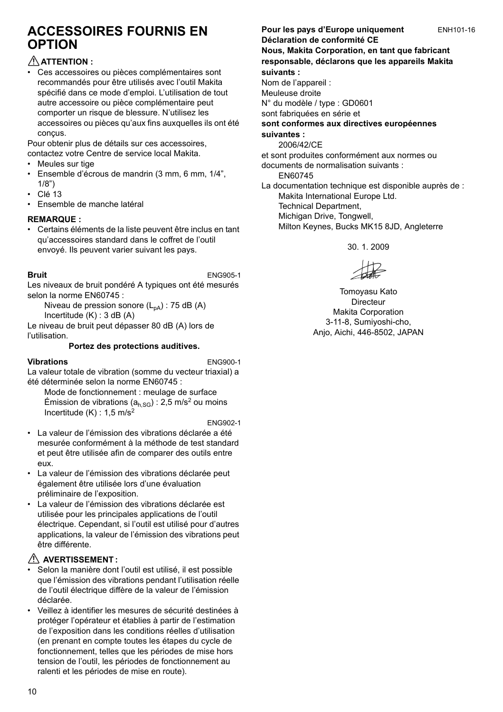## **ACCESSOIRES FOURNIS EN OPTION**

#### **ATTENTION :**

• Ces accessoires ou pièces complémentaires sont recommandés pour être utilisés avec l'outil Makita spécifié dans ce mode d'emploi. L'utilisation de tout autre accessoire ou pièce complémentaire peut comporter un risque de blessure. N'utilisez les accessoires ou pièces qu'aux fins auxquelles ils ont été conçus.

Pour obtenir plus de détails sur ces accessoires, contactez votre Centre de service local Makita.

- Meules sur tige
- Ensemble d'écrous de mandrin (3 mm, 6 mm, 1/4", 1/8")
- Clé 13
- Ensemble de manche latéral

#### **REMARQUE :**

• Certains éléments de la liste peuvent être inclus en tant qu'accessoires standard dans le coffret de l'outil envoyé. Ils peuvent varier suivant les pays.

**Bruit** ENG905-1 Les niveaux de bruit pondéré A typiques ont été mesurés selon la norme EN60745 :

Niveau de pression sonore  $(L_{pA})$  : 75 dB (A) Incertitude (K) : 3 dB (A)

Le niveau de bruit peut dépasser 80 dB (A) lors de l'utilisation.

#### **Portez des protections auditives.**

**Vibrations** ENG900-1

La valeur totale de vibration (somme du vecteur triaxial) a été déterminée selon la norme EN60745 :

Mode de fonctionnement : meulage de surface Émission de vibrations ( $a<sub>h,SG</sub>$ ) : 2,5 m/s<sup>2</sup> ou moins Incertitude  $(K)$  : 1,5 m/s<sup>2</sup>

ENG902-1

- La valeur de l'émission des vibrations déclarée a été mesurée conformément à la méthode de test standard et peut être utilisée afin de comparer des outils entre eux.
- La valeur de l'émission des vibrations déclarée peut également être utilisée lors d'une évaluation préliminaire de l'exposition.
- La valeur de l'émission des vibrations déclarée est utilisée pour les principales applications de l'outil électrique. Cependant, si l'outil est utilisé pour d'autres applications, la valeur de l'émission des vibrations peut être différente.

#### **AVERTISSEMENT :**

- Selon la manière dont l'outil est utilisé, il est possible que l'émission des vibrations pendant l'utilisation réelle de l'outil électrique diffère de la valeur de l'émission déclarée.
- Veillez à identifier les mesures de sécurité destinées à protéger l'opérateur et établies à partir de l'estimation de l'exposition dans les conditions réelles d'utilisation (en prenant en compte toutes les étapes du cycle de fonctionnement, telles que les périodes de mise hors tension de l'outil, les périodes de fonctionnement au ralenti et les périodes de mise en route).

#### Pour les pays d'Europe uniquement ENH101-16

#### **Déclaration de conformité CE Nous, Makita Corporation, en tant que fabricant responsable, déclarons que les appareils Makita suivants :**

Nom de l'appareil : Meuleuse droite N° du modèle / type : GD0601 sont fabriquées en série et **sont conformes aux directives européennes suivantes :**

2006/42/CE

et sont produites conformément aux normes ou documents de normalisation suivants :

EN60745

La documentation technique est disponible auprès de : Makita International Europe Ltd.

Technical Department,

Michigan Drive, Tongwell, Milton Keynes, Bucks MK15 8JD, Angleterre

30. 1. 2009

Tomoyasu Kato Directeur Makita Corporation 3-11-8, Sumiyoshi-cho, Anjo, Aichi, 446-8502, JAPAN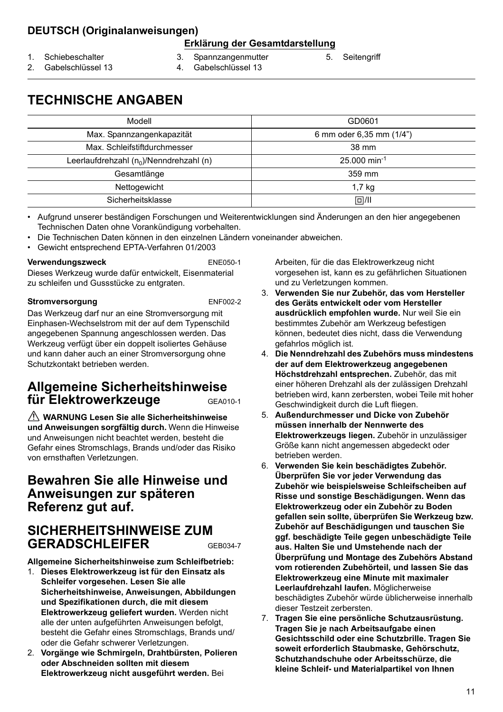### **DEUTSCH (Originalanweisungen)**

#### **Erklärung der Gesamtdarstellung**

- 1. Schiebeschalter
- 3. Spannzangenmutter
- 5. Seitengriff
- 2. Gabelschlüssel 13
- 4. Gabelschlüssel 13
- **TECHNISCHE ANGABEN**

| Modell                                     | GD0601                   |
|--------------------------------------------|--------------------------|
| Max. Spannzangenkapazität                  | 6 mm oder 6,35 mm (1/4") |
| Max. Schleifstiftdurchmesser               | 38 mm                    |
| Leerlaufdrehzahl $(n_0)/N$ enndrehzahl (n) | 25,000 min-1             |
| Gesamtlänge                                | 359 mm                   |
| Nettogewicht                               | $1,7$ kg                 |
| Sicherheitsklasse                          | $\Box$ /II               |

• Aufgrund unserer beständigen Forschungen und Weiterentwicklungen sind Änderungen an den hier angegebenen Technischen Daten ohne Vorankündigung vorbehalten.

- Die Technischen Daten können in den einzelnen Ländern voneinander abweichen.
- Gewicht entsprechend EPTA-Verfahren 01/2003

#### **Verwendungszweck** ENE050-1

Dieses Werkzeug wurde dafür entwickelt, Eisenmaterial zu schleifen und Gussstücke zu entgraten.

#### **Stromversorgung** ENF002-2

Das Werkzeug darf nur an eine Stromversorgung mit Einphasen-Wechselstrom mit der auf dem Typenschild angegebenen Spannung angeschlossen werden. Das Werkzeug verfügt über ein doppelt isoliertes Gehäuse und kann daher auch an einer Stromversorgung ohne Schutzkontakt betrieben werden.

### **Allgemeine Sicherheitshinweise für Elektrowerkzeuge** GEA010-1

 **WARNUNG Lesen Sie alle Sicherheitshinweise und Anweisungen sorgfältig durch.** Wenn die Hinweise und Anweisungen nicht beachtet werden, besteht die Gefahr eines Stromschlags, Brands und/oder das Risiko von ernsthaften Verletzungen.

### **Bewahren Sie alle Hinweise und Anweisungen zur späteren Referenz gut auf.**

### **SICHERHEITSHINWEISE ZUM**  GERADSCHLEIFER GEB034-7

**Allgemeine Sicherheitshinweise zum Schleifbetrieb:**

- 1. **Dieses Elektrowerkzeug ist für den Einsatz als Schleifer vorgesehen. Lesen Sie alle Sicherheitshinweise, Anweisungen, Abbildungen und Spezifikationen durch, die mit diesem Elektrowerkzeug geliefert wurden.** Werden nicht alle der unten aufgeführten Anweisungen befolgt, besteht die Gefahr eines Stromschlags, Brands und/ oder die Gefahr schwerer Verletzungen.
- 2. **Vorgänge wie Schmirgeln, Drahtbürsten, Polieren oder Abschneiden sollten mit diesem Elektrowerkzeug nicht ausgeführt werden.** Bei

Arbeiten, für die das Elektrowerkzeug nicht vorgesehen ist, kann es zu gefährlichen Situationen und zu Verletzungen kommen.

- 3. **Verwenden Sie nur Zubehör, das vom Hersteller des Geräts entwickelt oder vom Hersteller ausdrücklich empfohlen wurde.** Nur weil Sie ein bestimmtes Zubehör am Werkzeug befestigen können, bedeutet dies nicht, dass die Verwendung gefahrlos möglich ist.
- 4. **Die Nenndrehzahl des Zubehörs muss mindestens der auf dem Elektrowerkzeug angegebenen Höchstdrehzahl entsprechen.** Zubehör, das mit einer höheren Drehzahl als der zulässigen Drehzahl betrieben wird, kann zerbersten, wobei Teile mit hoher Geschwindigkeit durch die Luft fliegen.
- 5. **Außendurchmesser und Dicke von Zubehör müssen innerhalb der Nennwerte des Elektrowerkzeugs liegen.** Zubehör in unzulässiger Größe kann nicht angemessen abgedeckt oder betrieben werden.
- 6. **Verwenden Sie kein beschädigtes Zubehör. Überprüfen Sie vor jeder Verwendung das Zubehör wie beispielsweise Schleifscheiben auf Risse und sonstige Beschädigungen. Wenn das Elektrowerkzeug oder ein Zubehör zu Boden gefallen sein sollte, überprüfen Sie Werkzeug bzw. Zubehör auf Beschädigungen und tauschen Sie ggf. beschädigte Teile gegen unbeschädigte Teile aus. Halten Sie und Umstehende nach der Überprüfung und Montage des Zubehörs Abstand vom rotierenden Zubehörteil, und lassen Sie das Elektrowerkzeug eine Minute mit maximaler Leerlaufdrehzahl laufen.** Möglicherweise beschädigtes Zubehör würde üblicherweise innerhalb dieser Testzeit zerbersten.
- 7. **Tragen Sie eine persönliche Schutzausrüstung. Tragen Sie je nach Arbeitsaufgabe einen Gesichtsschild oder eine Schutzbrille. Tragen Sie soweit erforderlich Staubmaske, Gehörschutz, Schutzhandschuhe oder Arbeitsschürze, die kleine Schleif- und Materialpartikel von Ihnen**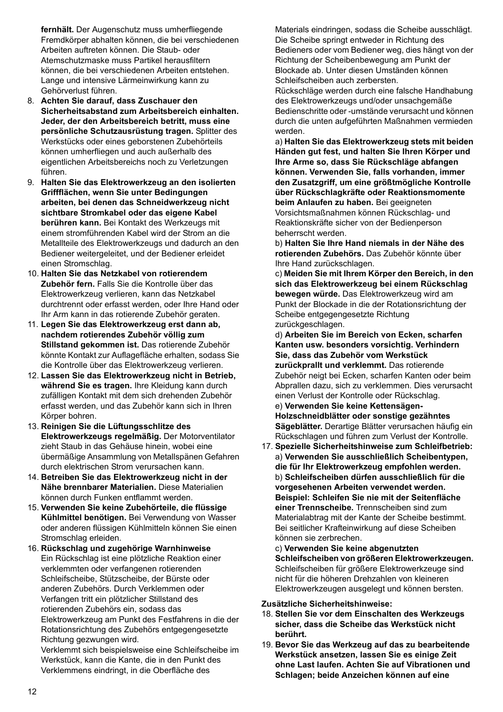**fernhält.** Der Augenschutz muss umherfliegende Fremdkörper abhalten können, die bei verschiedenen Arbeiten auftreten können. Die Staub- oder Atemschutzmaske muss Partikel herausfiltern können, die bei verschiedenen Arbeiten entstehen. Lange und intensive Lärmeinwirkung kann zu Gehörverlust führen.

- 8. **Achten Sie darauf, dass Zuschauer den Sicherheitsabstand zum Arbeitsbereich einhalten. Jeder, der den Arbeitsbereich betritt, muss eine persönliche Schutzausrüstung tragen.** Splitter des Werkstücks oder eines geborstenen Zubehörteils können umherfliegen und auch außerhalb des eigentlichen Arbeitsbereichs noch zu Verletzungen führen.
- 9. **Halten Sie das Elektrowerkzeug an den isolierten Griffflächen, wenn Sie unter Bedingungen arbeiten, bei denen das Schneidwerkzeug nicht sichtbare Stromkabel oder das eigene Kabel berühren kann.** Bei Kontakt des Werkzeugs mit einem stromführenden Kabel wird der Strom an die Metallteile des Elektrowerkzeugs und dadurch an den Bediener weitergeleitet, und der Bediener erleidet einen Stromschlag.
- 10. **Halten Sie das Netzkabel von rotierendem Zubehör fern.** Falls Sie die Kontrolle über das Elektrowerkzeug verlieren, kann das Netzkabel durchtrennt oder erfasst werden, oder Ihre Hand oder Ihr Arm kann in das rotierende Zubehör geraten.
- 11. **Legen Sie das Elektrowerkzeug erst dann ab, nachdem rotierendes Zubehör völlig zum Stillstand gekommen ist.** Das rotierende Zubehör könnte Kontakt zur Auflagefläche erhalten, sodass Sie die Kontrolle über das Elektrowerkzeug verlieren.
- 12. **Lassen Sie das Elektrowerkzeug nicht in Betrieb, während Sie es tragen.** Ihre Kleidung kann durch zufälligen Kontakt mit dem sich drehenden Zubehör erfasst werden, und das Zubehör kann sich in Ihren Körper bohren.
- 13. **Reinigen Sie die Lüftungsschlitze des Elektrowerkzeugs regelmäßig.** Der Motorventilator zieht Staub in das Gehäuse hinein, wobei eine übermäßige Ansammlung von Metallspänen Gefahren durch elektrischen Strom verursachen kann.
- 14. **Betreiben Sie das Elektrowerkzeug nicht in der Nähe brennbarer Materialien.** Diese Materialien können durch Funken entflammt werden.
- 15. **Verwenden Sie keine Zubehörteile, die flüssige Kühlmittel benötigen.** Bei Verwendung von Wasser oder anderen flüssigen Kühlmitteln können Sie einen Stromschlag erleiden.
- 16. **Rückschlag und zugehörige Warnhinweise** Ein Rückschlag ist eine plötzliche Reaktion einer verklemmten oder verfangenen rotierenden Schleifscheibe, Stützscheibe, der Bürste oder anderen Zubehörs. Durch Verklemmen oder Verfangen tritt ein plötzlicher Stillstand des rotierenden Zubehörs ein, sodass das Elektrowerkzeug am Punkt des Festfahrens in die der Rotationsrichtung des Zubehörs entgegengesetzte Richtung gezwungen wird.

Verklemmt sich beispielsweise eine Schleifscheibe im Werkstück, kann die Kante, die in den Punkt des Verklemmens eindringt, in die Oberfläche des

Materials eindringen, sodass die Scheibe ausschlägt. Die Scheibe springt entweder in Richtung des Bedieners oder vom Bediener weg, dies hängt von der Richtung der Scheibenbewegung am Punkt der Blockade ab. Unter diesen Umständen können Schleifscheiben auch zerbersten.

Rückschläge werden durch eine falsche Handhabung des Elektrowerkzeugs und/oder unsachgemäße Bedienschritte oder -umstände verursacht und können durch die unten aufgeführten Maßnahmen vermieden werden.

a) **Halten Sie das Elektrowerkzeug stets mit beiden Händen gut fest, und halten Sie Ihren Körper und Ihre Arme so, dass Sie Rückschläge abfangen können. Verwenden Sie, falls vorhanden, immer den Zusatzgriff, um eine größtmögliche Kontrolle über Rückschlagkräfte oder Reaktionsmomente beim Anlaufen zu haben.** Bei geeigneten Vorsichtsmaßnahmen können Rückschlag- und Reaktionskräfte sicher von der Bedienperson beherrscht werden.

b) **Halten Sie Ihre Hand niemals in der Nähe des rotierenden Zubehörs.** Das Zubehör könnte über Ihre Hand zurückschlagen.

c) **Meiden Sie mit Ihrem Körper den Bereich, in den sich das Elektrowerkzeug bei einem Rückschlag bewegen würde.** Das Elektrowerkzeug wird am Punkt der Blockade in die der Rotationsrichtung der Scheibe entgegengesetzte Richtung zurückgeschlagen.

d) **Arbeiten Sie im Bereich von Ecken, scharfen Kanten usw. besonders vorsichtig. Verhindern Sie, dass das Zubehör vom Werkstück zurückprallt und verklemmt.** Das rotierende Zubehör neigt bei Ecken, scharfen Kanten oder beim Abprallen dazu, sich zu verklemmen. Dies verursacht einen Verlust der Kontrolle oder Rückschlag.

e) **Verwenden Sie keine Kettensägen-Holzschneidblätter oder sonstige gezähntes Sägeblätter.** Derartige Blätter verursachen häufig ein Rückschlagen und führen zum Verlust der Kontrolle.

17. **Spezielle Sicherheitshinweise zum Schleifbetrieb:** a) **Verwenden Sie ausschließlich Scheibentypen, die für Ihr Elektrowerkzeug empfohlen werden.** b) **Schleifscheiben dürfen ausschließlich für die vorgesehenen Arbeiten verwendet werden. Beispiel: Schleifen Sie nie mit der Seitenfläche einer Trennscheibe.** Trennscheiben sind zum Materialabtrag mit der Kante der Scheibe bestimmt. Bei seitlicher Krafteinwirkung auf diese Scheiben können sie zerbrechen.

c) **Verwenden Sie keine abgenutzten Schleifscheiben von größeren Elektrowerkzeugen.** Schleifscheiben für größere Elektrowerkzeuge sind nicht für die höheren Drehzahlen von kleineren Elektrowerkzeugen ausgelegt und können bersten.

**Zusätzliche Sicherheitshinweise:**

- 18. **Stellen Sie vor dem Einschalten des Werkzeugs sicher, dass die Scheibe das Werkstück nicht berührt.**
- 19. **Bevor Sie das Werkzeug auf das zu bearbeitende Werkstück ansetzen, lassen Sie es einige Zeit ohne Last laufen. Achten Sie auf Vibrationen und Schlagen; beide Anzeichen können auf eine**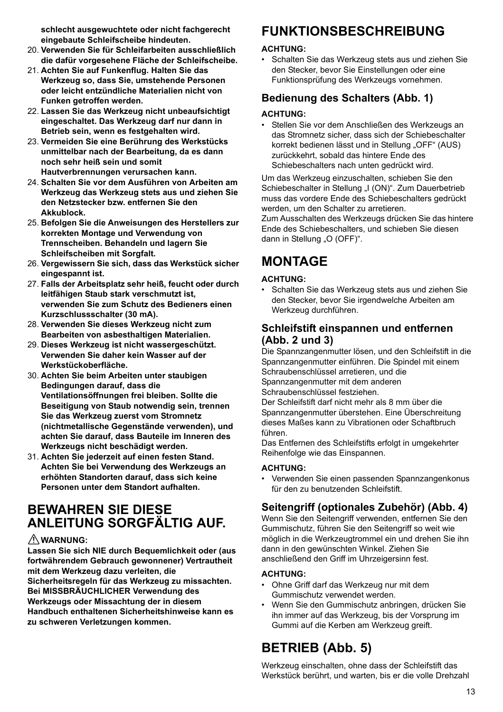**schlecht ausgewuchtete oder nicht fachgerecht eingebaute Schleifscheibe hindeuten.**

- 20. **Verwenden Sie für Schleifarbeiten ausschließlich die dafür vorgesehene Fläche der Schleifscheibe.**
- 21. **Achten Sie auf Funkenflug. Halten Sie das Werkzeug so, dass Sie, umstehende Personen oder leicht entzündliche Materialien nicht von Funken getroffen werden.**
- 22. **Lassen Sie das Werkzeug nicht unbeaufsichtigt eingeschaltet. Das Werkzeug darf nur dann in Betrieb sein, wenn es festgehalten wird.**
- 23. **Vermeiden Sie eine Berührung des Werkstücks unmittelbar nach der Bearbeitung, da es dann noch sehr heiß sein und somit Hautverbrennungen verursachen kann.**
- 24. **Schalten Sie vor dem Ausführen von Arbeiten am Werkzeug das Werkzeug stets aus und ziehen Sie den Netzstecker bzw. entfernen Sie den Akkublock.**
- 25. **Befolgen Sie die Anweisungen des Herstellers zur korrekten Montage und Verwendung von Trennscheiben. Behandeln und lagern Sie Schleifscheiben mit Sorgfalt.**
- 26. **Vergewissern Sie sich, dass das Werkstück sicher eingespannt ist.**
- 27. **Falls der Arbeitsplatz sehr heiß, feucht oder durch leitfähigen Staub stark verschmutzt ist, verwenden Sie zum Schutz des Bedieners einen Kurzschlussschalter (30 mA).**
- 28. **Verwenden Sie dieses Werkzeug nicht zum Bearbeiten von asbesthaltigen Materialien.**
- 29. **Dieses Werkzeug ist nicht wassergeschützt. Verwenden Sie daher kein Wasser auf der Werkstückoberfläche.**
- 30. **Achten Sie beim Arbeiten unter staubigen Bedingungen darauf, dass die Ventilationsöffnungen frei bleiben. Sollte die Beseitigung von Staub notwendig sein, trennen Sie das Werkzeug zuerst vom Stromnetz (nichtmetallische Gegenstände verwenden), und achten Sie darauf, dass Bauteile im Inneren des Werkzeugs nicht beschädigt werden.**
- 31. **Achten Sie jederzeit auf einen festen Stand. Achten Sie bei Verwendung des Werkzeugs an erhöhten Standorten darauf, dass sich keine Personen unter dem Standort aufhalten.**

## **BEWAHREN SIE DIESE ANLEITUNG SORGFÄLTIG AUF.**

#### **WARNUNG:**

**Lassen Sie sich NIE durch Bequemlichkeit oder (aus fortwährendem Gebrauch gewonnener) Vertrautheit mit dem Werkzeug dazu verleiten, die Sicherheitsregeln für das Werkzeug zu missachten. Bei MISSBRÄUCHLICHER Verwendung des Werkzeugs oder Missachtung der in diesem Handbuch enthaltenen Sicherheitshinweise kann es zu schweren Verletzungen kommen.**

# **FUNKTIONSBESCHREIBUNG**

#### **ACHTUNG:**

• Schalten Sie das Werkzeug stets aus und ziehen Sie den Stecker, bevor Sie Einstellungen oder eine Funktionsprüfung des Werkzeugs vornehmen.

### **Bedienung des Schalters (Abb. 1)**

#### **ACHTUNG:**

• Stellen Sie vor dem Anschließen des Werkzeugs an das Stromnetz sicher, dass sich der Schiebeschalter korrekt bedienen lässt und in Stellung "OFF" (AUS) zurückkehrt, sobald das hintere Ende des Schiebeschalters nach unten gedrückt wird.

Um das Werkzeug einzuschalten, schieben Sie den Schiebeschalter in Stellung "I (ON)". Zum Dauerbetrieb muss das vordere Ende des Schiebeschalters gedrückt werden, um den Schalter zu arretieren.

Zum Ausschalten des Werkzeugs drücken Sie das hintere Ende des Schiebeschalters, und schieben Sie diesen dann in Stellung "O (OFF)".

# **MONTAGE**

#### **ACHTUNG:**

• Schalten Sie das Werkzeug stets aus und ziehen Sie den Stecker, bevor Sie irgendwelche Arbeiten am Werkzeug durchführen.

### **Schleifstift einspannen und entfernen (Abb. 2 und 3)**

Die Spannzangenmutter lösen, und den Schleifstift in die Spannzangenmutter einführen. Die Spindel mit einem Schraubenschlüssel arretieren, und die Spannzangenmutter mit dem anderen Schraubenschlüssel festziehen.

Der Schleifstift darf nicht mehr als 8 mm über die Spannzangenmutter überstehen. Eine Überschreitung dieses Maßes kann zu Vibrationen oder Schaftbruch führen.

Das Entfernen des Schleifstifts erfolgt in umgekehrter Reihenfolge wie das Einspannen.

#### **ACHTUNG:**

• Verwenden Sie einen passenden Spannzangenkonus für den zu benutzenden Schleifstift.

### **Seitengriff (optionales Zubehör) (Abb. 4)**

Wenn Sie den Seitengriff verwenden, entfernen Sie den Gummischutz, führen Sie den Seitengriff so weit wie möglich in die Werkzeugtrommel ein und drehen Sie ihn dann in den gewünschten Winkel. Ziehen Sie anschließend den Griff im Uhrzeigersinn fest.

#### **ACHTUNG:**

- Ohne Griff darf das Werkzeug nur mit dem Gummischutz verwendet werden.
- Wenn Sie den Gummischutz anbringen, drücken Sie ihn immer auf das Werkzeug, bis der Vorsprung im Gummi auf die Kerben am Werkzeug greift.

# **BETRIEB (Abb. 5)**

Werkzeug einschalten, ohne dass der Schleifstift das Werkstück berührt, und warten, bis er die volle Drehzahl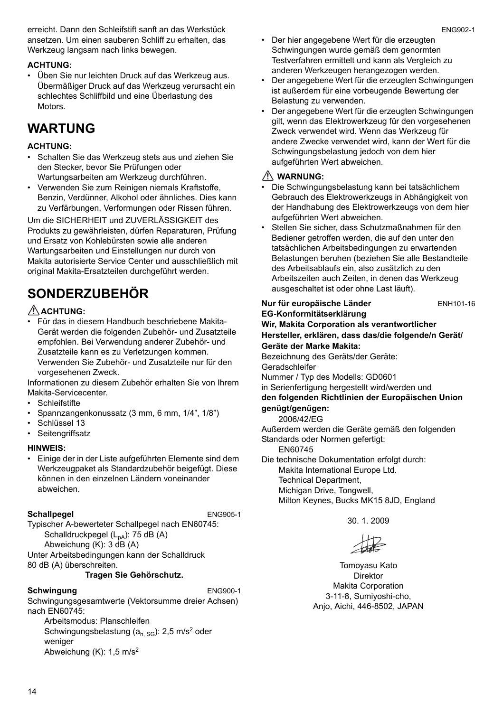erreicht. Dann den Schleifstift sanft an das Werkstück ansetzen. Um einen sauberen Schliff zu erhalten, das Werkzeug langsam nach links bewegen.

#### **ACHTUNG:**

• Üben Sie nur leichten Druck auf das Werkzeug aus. Übermäßiger Druck auf das Werkzeug verursacht ein schlechtes Schliffbild und eine Überlastung des **Motors** 

# **WARTUNG**

#### **ACHTUNG:**

- Schalten Sie das Werkzeug stets aus und ziehen Sie den Stecker, bevor Sie Prüfungen oder Wartungsarbeiten am Werkzeug durchführen.
- Verwenden Sie zum Reinigen niemals Kraftstoffe, Benzin, Verdünner, Alkohol oder ähnliches. Dies kann zu Verfärbungen, Verformungen oder Rissen führen.

Um die SICHERHEIT und ZUVERLÄSSIGKEIT des Produkts zu gewährleisten, dürfen Reparaturen, Prüfung und Ersatz von Kohlebürsten sowie alle anderen Wartungsarbeiten und Einstellungen nur durch von Makita autorisierte Service Center und ausschließlich mit original Makita-Ersatzteilen durchgeführt werden.

# **SONDERZUBEHÖR**

#### **ACHTUNG:**

• Für das in diesem Handbuch beschriebene Makita-Gerät werden die folgenden Zubehör- und Zusatzteile empfohlen. Bei Verwendung anderer Zubehör- und Zusatzteile kann es zu Verletzungen kommen. Verwenden Sie Zubehör- und Zusatzteile nur für den vorgesehenen Zweck.

Informationen zu diesem Zubehör erhalten Sie von Ihrem Makita-Servicecenter.

- Schleifstifte
- Spannzangenkonussatz (3 mm, 6 mm, 1/4", 1/8")
- Schlüssel 13
- Seitengriffsatz

#### **HINWEIS:**

• Einige der in der Liste aufgeführten Elemente sind dem Werkzeugpaket als Standardzubehör beigefügt. Diese können in den einzelnen Ländern voneinander abweichen.

#### **Schallpegel** ENG905-1

Typischer A-bewerteter Schallpegel nach EN60745: Schalldruckpegel  $(L_{pA})$ : 75 dB  $(A)$ Abweichung (K): 3 dB (A) Unter Arbeitsbedingungen kann der Schalldruck 80 dB (A) überschreiten.

#### **Tragen Sie Gehörschutz.**

#### **Schwingung** ENG900-1

Schwingungsgesamtwerte (Vektorsumme dreier Achsen) nach EN60745:

Arbeitsmodus: Planschleifen Schwingungsbelastung  $(a_{h, SG})$ : 2,5 m/s<sup>2</sup> oder weniger Abweichung (K): 1,5 m/s2

- Der hier angegebene Wert für die erzeugten Schwingungen wurde gemäß dem genormten Testverfahren ermittelt und kann als Vergleich zu anderen Werkzeugen herangezogen werden.
- Der angegebene Wert für die erzeugten Schwingungen ist außerdem für eine vorbeugende Bewertung der Belastung zu verwenden.
- Der angegebene Wert für die erzeugten Schwingungen gilt, wenn das Elektrowerkzeug für den vorgesehenen Zweck verwendet wird. Wenn das Werkzeug für andere Zwecke verwendet wird, kann der Wert für die Schwingungsbelastung jedoch von dem hier aufgeführten Wert abweichen.

### **WARNUNG:**

- Die Schwingungsbelastung kann bei tatsächlichem Gebrauch des Elektrowerkzeugs in Abhängigkeit von der Handhabung des Elektrowerkzeugs von dem hier aufgeführten Wert abweichen.
- Stellen Sie sicher, dass Schutzmaßnahmen für den Bediener getroffen werden, die auf den unter den tatsächlichen Arbeitsbedingungen zu erwartenden Belastungen beruhen (beziehen Sie alle Bestandteile des Arbeitsablaufs ein, also zusätzlich zu den Arbeitszeiten auch Zeiten, in denen das Werkzeug ausgeschaltet ist oder ohne Last läuft).

| Nur für europäische Länder                           | ENH101-16 |
|------------------------------------------------------|-----------|
| EG-Konformitätserklärung                             |           |
| Wir, Makita Corporation als verantwortlicher         |           |
| Hersteller, erklären, dass das/die folgende/n Gerät/ |           |
| Geräte der Marke Makita:                             |           |
| Bezeichnung des Geräts/der Geräte:                   |           |
| Geradschleifer                                       |           |
| Nummer / Typ des Modells: GD0601                     |           |
| in Serienfertigung hergestellt wird/werden und       |           |
| den folgenden Richtlinien der Europäischen Union     |           |
| genügt/genügen:                                      |           |
| 2006/42/EG                                           |           |
| Außerdem werden die Geräte gemäß den folgenden       |           |
| Standards oder Normen gefertigt:                     |           |
| EN60745                                              |           |
| Die technische Dokumentation erfolgt durch:          |           |
| Makita International Europe Ltd.                     |           |
| Toobnical Donarimont                                 |           |

Technical Department, Michigan Drive, Tongwell,

Milton Keynes, Bucks MK15 8JD, England

30. 1. 2009

Tomoyasu Kato Direktor Makita Corporation 3-11-8, Sumiyoshi-cho, Anjo, Aichi, 446-8502, JAPAN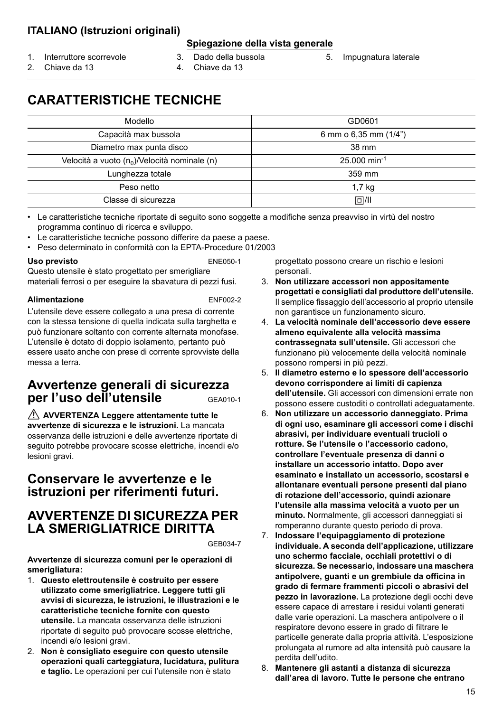### **ITALIANO (Istruzioni originali)**

#### **Spiegazione della vista generale**

- 1. Interruttore scorrevole
- 3. Dado della bussola
- 5. Impugnatura laterale

2. Chiave da 13

- 
- 4. Chiave da 13

# **CARATTERISTICHE TECNICHE**

| Modello                                         | GD0601                     |
|-------------------------------------------------|----------------------------|
| Capacità max bussola                            | 6 mm o $6,35$ mm $(1/4")$  |
| Diametro max punta disco                        | 38 mm                      |
| Velocità a vuoto $(n_0)/$ Velocità nominale (n) | $25.000$ min <sup>-1</sup> |
| Lunghezza totale                                | 359 mm                     |
| Peso netto                                      | 1.7 <sub>kg</sub>          |
| Classe di sicurezza                             | 回/旧                        |

• Le caratteristiche tecniche riportate di seguito sono soggette a modifiche senza preavviso in virtù del nostro programma continuo di ricerca e sviluppo.

- Le caratteristiche tecniche possono differire da paese a paese.
- Peso determinato in conformità con la EPTA-Procedure 01/2003

#### Uso previsto **ENE050-1**

Questo utensile è stato progettato per smerigliare materiali ferrosi o per eseguire la sbavatura di pezzi fusi.

#### **Alimentazione** ENF002-2

lesioni gravi.

L'utensile deve essere collegato a una presa di corrente con la stessa tensione di quella indicata sulla targhetta e può funzionare soltanto con corrente alternata monofase. L'utensile è dotato di doppio isolamento, pertanto può essere usato anche con prese di corrente sprovviste della messa a terra.

### **Avvertenze generali di sicurezza per l'uso dell'utensile** GEA010-1

 **AVVERTENZA Leggere attentamente tutte le avvertenze di sicurezza e le istruzioni.** La mancata osservanza delle istruzioni e delle avvertenze riportate di seguito potrebbe provocare scosse elettriche, incendi e/o

### **Conservare le avvertenze e le istruzioni per riferimenti futuri.**

### **AVVERTENZE DI SICUREZZA PER LA SMERIGLIATRICE DIRITTA**

GEB034-7

**Avvertenze di sicurezza comuni per le operazioni di smerigliatura:**

- 1. **Questo elettroutensile è costruito per essere utilizzato come smerigliatrice. Leggere tutti gli avvisi di sicurezza, le istruzioni, le illustrazioni e le caratteristiche tecniche fornite con questo utensile.** La mancata osservanza delle istruzioni riportate di seguito può provocare scosse elettriche, incendi e/o lesioni gravi.
- 2. **Non è consigliato eseguire con questo utensile operazioni quali carteggiatura, lucidatura, pulitura e taglio.** Le operazioni per cui l'utensile non è stato

progettato possono creare un rischio e lesioni personali.

- 3. **Non utilizzare accessori non appositamente progettati e consigliati dal produttore dell'utensile.** Il semplice fissaggio dell'accessorio al proprio utensile non garantisce un funzionamento sicuro.
- 4. **La velocità nominale dell'accessorio deve essere almeno equivalente alla velocità massima contrassegnata sull'utensile.** Gli accessori che funzionano più velocemente della velocità nominale possono rompersi in più pezzi.
- 5. **Il diametro esterno e lo spessore dell'accessorio devono corrispondere ai limiti di capienza dell'utensile.** Gli accessori con dimensioni errate non possono essere custoditi o controllati adeguatamente.
- 6. **Non utilizzare un accessorio danneggiato. Prima di ogni uso, esaminare gli accessori come i dischi abrasivi, per individuare eventuali trucioli o rotture. Se l'utensile o l'accessorio cadono, controllare l'eventuale presenza di danni o installare un accessorio intatto. Dopo aver esaminato e installato un accessorio, scostarsi e allontanare eventuali persone presenti dal piano di rotazione dell'accessorio, quindi azionare l'utensile alla massima velocità a vuoto per un minuto.** Normalmente, gli accessori danneggiati si romperanno durante questo periodo di prova.
- 7. **Indossare l'equipaggiamento di protezione individuale. A seconda dell'applicazione, utilizzare uno schermo facciale, occhiali protettivi o di sicurezza. Se necessario, indossare una maschera antipolvere, guanti e un grembiule da officina in grado di fermare frammenti piccoli o abrasivi del pezzo in lavorazione.** La protezione degli occhi deve essere capace di arrestare i residui volanti generati dalle varie operazioni. La maschera antipolvere o il respiratore devono essere in grado di filtrare le particelle generate dalla propria attività. L'esposizione prolungata al rumore ad alta intensità può causare la perdita dell'udito.
- 8. **Mantenere gli astanti a distanza di sicurezza dall'area di lavoro. Tutte le persone che entrano**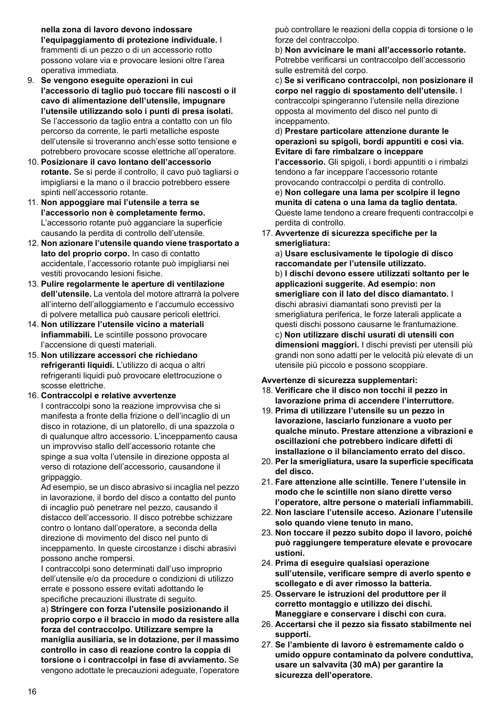**nella zona di lavoro devono indossare l'equipaggiamento di protezione individuale.** I frammenti di un pezzo o di un accessorio rotto possono volare via e provocare lesioni oltre l'area operativa immediata.

- 9. **Se vengono eseguite operazioni in cui l'accessorio di taglio può toccare fili nascosti o il cavo di alimentazione dell'utensile, impugnare l'utensile utilizzando solo i punti di presa isolati.**  Se l'accessorio da taglio entra a contatto con un filo percorso da corrente, le parti metalliche esposte dell'utensile si troveranno anch'esse sotto tensione e potrebbero provocare scosse elettriche all'operatore.
- 10. **Posizionare il cavo lontano dell'accessorio rotante.** Se si perde il controllo, il cavo può tagliarsi o impigliarsi e la mano o il braccio potrebbero essere spinti nell'accessorio rotante.
- 11. **Non appoggiare mai l'utensile a terra se l'accessorio non è completamente fermo.** L'accessorio rotante può agganciare la superficie causando la perdita di controllo dell'utensile.
- 12. **Non azionare l'utensile quando viene trasportato a lato del proprio corpo.** In caso di contatto accidentale, l'accessorio rotante può impigliarsi nei vestiti provocando lesioni fisiche.
- 13. **Pulire regolarmente le aperture di ventilazione dell'utensile.** La ventola del motore attrarrà la polvere all'interno dell'alloggiamento e l'accumulo eccessivo di polvere metallica può causare pericoli elettrici.
- 14. **Non utilizzare l'utensile vicino a materiali infiammabili.** Le scintille possono provocare l'accensione di questi materiali.
- 15. **Non utilizzare accessori che richiedano refrigeranti liquidi.** L'utilizzo di acqua o altri refrigeranti liquidi può provocare elettrocuzione o scosse elettriche.

16. **Contraccolpi e relative avvertenze** I contraccolpi sono la reazione improvvisa che si manifesta a fronte della frizione o dell'incaglio di un disco in rotazione, di un platorello, di una spazzola o di qualunque altro accessorio. L'inceppamento causa un improvviso stallo dell'accessorio rotante che spinge a sua volta l'utensile in direzione opposta al verso di rotazione dell'accessorio, causandone il grippaggio.

Ad esempio, se un disco abrasivo si incaglia nel pezzo in lavorazione, il bordo del disco a contatto del punto di incaglio può penetrare nel pezzo, causando il distacco dell'accessorio. Il disco potrebbe schizzare contro o lontano dall'operatore, a seconda della direzione di movimento del disco nel punto di inceppamento. In queste circostanze i dischi abrasivi possono anche rompersi.

I contraccolpi sono determinati dall'uso improprio dell'utensile e/o da procedure o condizioni di utilizzo errate e possono essere evitati adottando le specifiche precauzioni illustrate di seguito.

a) **Stringere con forza l'utensile posizionando il proprio corpo e il braccio in modo da resistere alla forza del contraccolpo. Utilizzare sempre la maniglia ausiliaria, se in dotazione, per il massimo controllo in caso di reazione contro la coppia di torsione o i contraccolpi in fase di avviamento.** Se vengono adottate le precauzioni adeguate, l'operatore può controllare le reazioni della coppia di torsione o le forze del contraccolpo.

b) **Non avvicinare le mani all'accessorio rotante.** Potrebbe verificarsi un contraccolpo dell'accessorio sulle estremità del corpo.

c) **Se si verificano contraccolpi, non posizionare il corpo nel raggio di spostamento dell'utensile.** I contraccolpi spingeranno l'utensile nella direzione opposta al movimento del disco nel punto di inceppamento.

d) **Prestare particolare attenzione durante le operazioni su spigoli, bordi appuntiti e così via. Evitare di fare rimbalzare o inceppare** 

**l'accessorio.** Gli spigoli, i bordi appuntiti o i rimbalzi tendono a far inceppare l'accessorio rotante provocando contraccolpi o perdita di controllo.

e) **Non collegare una lama per scolpire il legno munita di catena o una lama da taglio dentata.** Queste lame tendono a creare frequenti contraccolpi e perdita di controllo.

17. **Avvertenze di sicurezza specifiche per la smerigliatura:**

a) **Usare esclusivamente le tipologie di disco raccomandate per l'utensile utilizzato.** b) **I dischi devono essere utilizzati soltanto per le applicazioni suggerite. Ad esempio: non smerigliare con il lato del disco diamantato.** I dischi abrasivi diamantati sono previsti per la smerigliatura periferica, le forze laterali applicate a questi dischi possono causarne le frantumazione. c) **Non utilizzare dischi usurati di utensili con dimensioni maggiori.** I dischi previsti per utensili più grandi non sono adatti per le velocità più elevate di un utensile più piccolo e possono scoppiare.

#### **Avvertenze di sicurezza supplementari:**

- 18. **Verificare che il disco non tocchi il pezzo in lavorazione prima di accendere l'interruttore.**
- 19. **Prima di utilizzare l'utensile su un pezzo in lavorazione, lasciarlo funzionare a vuoto per qualche minuto. Prestare attenzione a vibrazioni e oscillazioni che potrebbero indicare difetti di installazione o il bilanciamento errato del disco.**
- 20. **Per la smerigliatura, usare la superficie specificata del disco.**
- 21. **Fare attenzione alle scintille. Tenere l'utensile in modo che le scintille non siano dirette verso l'operatore, altre persone o materiali infiammabili.**
- 22. **Non lasciare l'utensile acceso. Azionare l'utensile solo quando viene tenuto in mano.**
- 23. **Non toccare il pezzo subito dopo il lavoro, poiché può raggiungere temperature elevate e provocare ustioni.**
- 24. **Prima di eseguire qualsiasi operazione sull'utensile, verificare sempre di averlo spento e scollegato e di aver rimosso la batteria.**
- 25. **Osservare le istruzioni del produttore per il corretto montaggio e utilizzo dei dischi. Maneggiare e conservare i dischi con cura.**
- 26. **Accertarsi che il pezzo sia fissato stabilmente nei supporti.**
- 27. **Se l'ambiente di lavoro è estremamente caldo o umido oppure contaminato da polvere conduttiva, usare un salvavita (30 mA) per garantire la sicurezza dell'operatore.**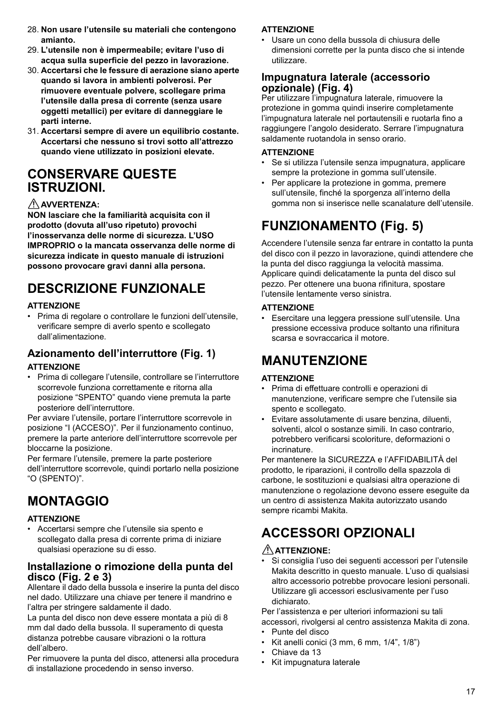- 28. **Non usare l'utensile su materiali che contengono amianto.**
- 29. **L'utensile non è impermeabile; evitare l'uso di acqua sulla superficie del pezzo in lavorazione.**
- 30. **Accertarsi che le fessure di aerazione siano aperte quando si lavora in ambienti polverosi. Per rimuovere eventuale polvere, scollegare prima l'utensile dalla presa di corrente (senza usare oggetti metallici) per evitare di danneggiare le parti interne.**
- 31. **Accertarsi sempre di avere un equilibrio costante. Accertarsi che nessuno si trovi sotto all'attrezzo quando viene utilizzato in posizioni elevate.**

## **CONSERVARE QUESTE ISTRUZIONI.**

#### **AVVERTENZA:**

**NON lasciare che la familiarità acquisita con il prodotto (dovuta all'uso ripetuto) provochi l'inosservanza delle norme di sicurezza. L'USO IMPROPRIO o la mancata osservanza delle norme di sicurezza indicate in questo manuale di istruzioni possono provocare gravi danni alla persona.**

# **DESCRIZIONE FUNZIONALE**

#### **ATTENZIONE**

• Prima di regolare o controllare le funzioni dell'utensile, verificare sempre di averlo spento e scollegato dall'alimentazione.

#### **Azionamento dell'interruttore (Fig. 1) ATTENZIONE**

• Prima di collegare l'utensile, controllare se l'interruttore scorrevole funziona correttamente e ritorna alla posizione "SPENTO" quando viene premuta la parte posteriore dell'interruttore.

Per avviare l'utensile, portare l'interruttore scorrevole in posizione "I (ACCESO)". Per il funzionamento continuo, premere la parte anteriore dell'interruttore scorrevole per bloccarne la posizione.

Per fermare l'utensile, premere la parte posteriore dell'interruttore scorrevole, quindi portarlo nella posizione "O (SPENTO)".

# **MONTAGGIO**

#### **ATTENZIONE**

• Accertarsi sempre che l'utensile sia spento e scollegato dalla presa di corrente prima di iniziare qualsiasi operazione su di esso.

### **Installazione o rimozione della punta del disco (Fig. 2 e 3)**

Allentare il dado della bussola e inserire la punta del disco nel dado. Utilizzare una chiave per tenere il mandrino e l'altra per stringere saldamente il dado.

La punta del disco non deve essere montata a più di 8 mm dal dado della bussola. Il superamento di questa distanza potrebbe causare vibrazioni o la rottura dell'albero.

Per rimuovere la punta del disco, attenersi alla procedura di installazione procedendo in senso inverso.

#### **ATTENZIONE**

• Usare un cono della bussola di chiusura delle dimensioni corrette per la punta disco che si intende utilizzare.

#### **Impugnatura laterale (accessorio opzionale) (Fig. 4)**

Per utilizzare l'impugnatura laterale, rimuovere la protezione in gomma quindi inserire completamente l'impugnatura laterale nel portautensili e ruotarla fino a raggiungere l'angolo desiderato. Serrare l'impugnatura saldamente ruotandola in senso orario.

#### **ATTENZIONE**

- Se si utilizza l'utensile senza impugnatura, applicare sempre la protezione in gomma sull'utensile.
- Per applicare la protezione in gomma, premere sull'utensile, finché la sporgenza all'interno della gomma non si inserisce nelle scanalature dell'utensile.

# **FUNZIONAMENTO (Fig. 5)**

Accendere l'utensile senza far entrare in contatto la punta del disco con il pezzo in lavorazione, quindi attendere che la punta del disco raggiunga la velocità massima. Applicare quindi delicatamente la punta del disco sul pezzo. Per ottenere una buona rifinitura, spostare l'utensile lentamente verso sinistra.

#### **ATTENZIONE**

• Esercitare una leggera pressione sull'utensile. Una pressione eccessiva produce soltanto una rifinitura scarsa e sovraccarica il motore.

# **MANUTENZIONE**

#### **ATTENZIONE**

- Prima di effettuare controlli e operazioni di manutenzione, verificare sempre che l'utensile sia spento e scollegato.
- Evitare assolutamente di usare benzina, diluenti, solventi, alcol o sostanze simili. In caso contrario, potrebbero verificarsi scoloriture, deformazioni o incrinature.

Per mantenere la SICUREZZA e l'AFFIDABILITÀ del prodotto, le riparazioni, il controllo della spazzola di carbone, le sostituzioni e qualsiasi altra operazione di manutenzione o regolazione devono essere eseguite da un centro di assistenza Makita autorizzato usando sempre ricambi Makita.

# **ACCESSORI OPZIONALI**

#### **ATTENZIONE:**

• Si consiglia l'uso dei seguenti accessori per l'utensile Makita descritto in questo manuale. L'uso di qualsiasi altro accessorio potrebbe provocare lesioni personali. Utilizzare gli accessori esclusivamente per l'uso dichiarato.

Per l'assistenza e per ulteriori informazioni su tali accessori, rivolgersi al centro assistenza Makita di zona.

- Punte del disco
- $\cdot$  Kit anelli conici (3 mm, 6 mm,  $1/4$ ",  $1/8$ ")
- Chiave da 13
- Kit impugnatura laterale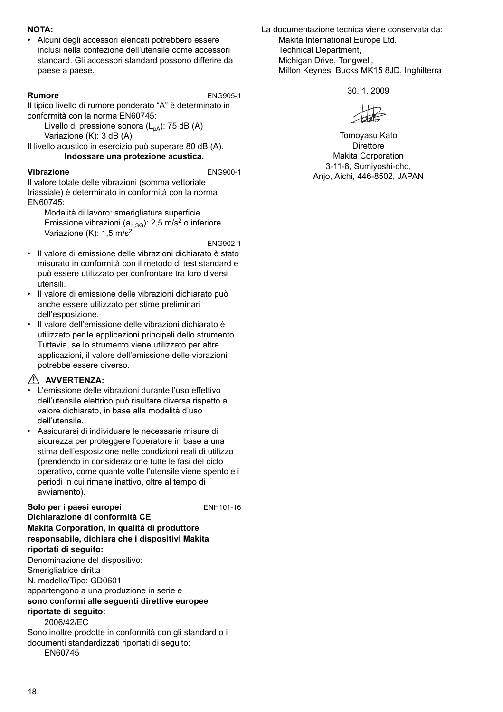#### **NOTA:**

• Alcuni degli accessori elencati potrebbero essere inclusi nella confezione dell'utensile come accessori standard. Gli accessori standard possono differire da paese a paese.

**Rumore** ENG905-1

Il tipico livello di rumore ponderato "A" è determinato in conformità con la norma EN60745:

Livello di pressione sonora  $(L_{pA})$ : 75 dB (A) Variazione (K): 3 dB (A)

Il livello acustico in esercizio può superare 80 dB (A). **Indossare una protezione acustica.**

#### **Vibrazione** ENG900-1

Il valore totale delle vibrazioni (somma vettoriale triassiale) è determinato in conformità con la norma EN60745:

Modalità di lavoro: smerigliatura superficie Emissione vibrazioni ( $a<sub>h,SG</sub>$ ): 2,5 m/s<sup>2</sup> o inferiore Variazione (K): 1,5 m/s<sup>2</sup>

ENG902-1

- Il valore di emissione delle vibrazioni dichiarato è stato misurato in conformità con il metodo di test standard e può essere utilizzato per confrontare tra loro diversi utensili.
- Il valore di emissione delle vibrazioni dichiarato può anche essere utilizzato per stime preliminari dell'esposizione.
- Il valore dell'emissione delle vibrazioni dichiarato è utilizzato per le applicazioni principali dello strumento. Tuttavia, se lo strumento viene utilizzato per altre applicazioni, il valore dell'emissione delle vibrazioni potrebbe essere diverso.

### **AVVERTENZA:**

- L'emissione delle vibrazioni durante l'uso effettivo dell'utensile elettrico può risultare diversa rispetto al valore dichiarato, in base alla modalità d'uso dell'utensile.
- Assicurarsi di individuare le necessarie misure di sicurezza per proteggere l'operatore in base a una stima dell'esposizione nelle condizioni reali di utilizzo (prendendo in considerazione tutte le fasi del ciclo operativo, come quante volte l'utensile viene spento e i periodi in cui rimane inattivo, oltre al tempo di avviamento).

Solo per i paesi europei **ENH101-16 Dichiarazione di conformità CE Makita Corporation, in qualità di produttore responsabile, dichiara che i dispositivi Makita riportati di seguito:** Denominazione del dispositivo: Smerigliatrice diritta N. modello/Tipo: GD0601 appartengono a una produzione in serie e **sono conformi alle seguenti direttive europee riportate di seguito:** 2006/42/EC Sono inoltre prodotte in conformità con gli standard o i documenti standardizzati riportati di seguito:

EN60745

La documentazione tecnica viene conservata da: Makita International Furope Ltd. Technical Department, Michigan Drive, Tongwell, Milton Keynes, Bucks MK15 8JD, Inghilterra

30. 1. 2009

Tomoyasu Kato Direttore Makita Corporation 3-11-8, Sumiyoshi-cho, Anjo, Aichi, 446-8502, JAPAN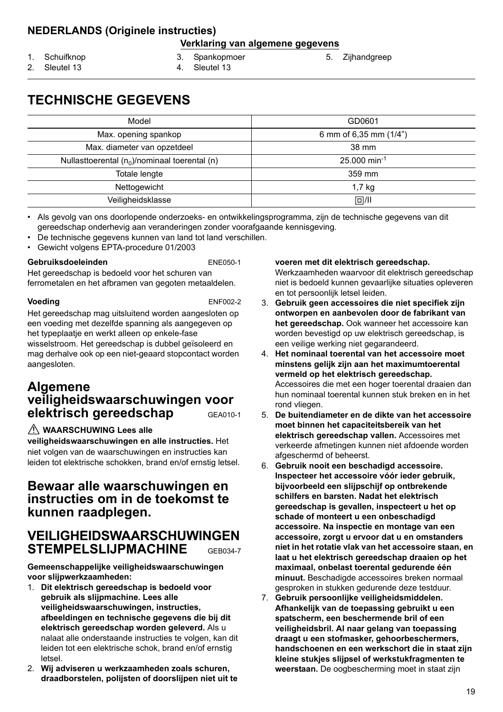### **NEDERLANDS (Originele instructies)**

#### **Verklaring van algemene gegevens**

1. Schuifknop

3. Spankopmoer

5. Zijhandgreep

2. Sleutel 13

- 4. Sleutel 13
- **TECHNISCHE GEGEVENS**

| Model                                               | GD0601                     |
|-----------------------------------------------------|----------------------------|
| Max. opening spankop                                | 6 mm of 6,35 mm (1/4")     |
| Max. diameter van opzetdeel                         | 38 mm                      |
| Nullast to erental $(n_0)$ /nominaal to erental (n) | $25.000$ min <sup>-1</sup> |
| Totale lengte                                       | 359 mm                     |
| Nettogewicht                                        | $1,7$ kg                   |
| Veiligheidsklasse                                   | $\Box$ /II                 |

• Als gevolg van ons doorlopende onderzoeks- en ontwikkelingsprogramma, zijn de technische gegevens van dit gereedschap onderhevig aan veranderingen zonder voorafgaande kennisgeving.

- De technische gegevens kunnen van land tot land verschillen.
- Gewicht volgens EPTA-procedure 01/2003

#### **Gebruiksdoeleinden** ENE050-1

Het gereedschap is bedoeld voor het schuren van ferrometalen en het afbramen van gegoten metaaldelen.

**Voeding** ENF002-2

Het gereedschap mag uitsluitend worden aangesloten op een voeding met dezelfde spanning als aangegeven op het typeplaatje en werkt alleen op enkele-fase wisselstroom. Het gereedschap is dubbel geïsoleerd en mag derhalve ook op een niet-geaard stopcontact worden aangesloten.

### **Algemene veiligheidswaarschuwingen voor elektrisch gereedschap** GEA010-1

#### **WAARSCHUWING Lees alle**

**veiligheidswaarschuwingen en alle instructies.** Het niet volgen van de waarschuwingen en instructies kan leiden tot elektrische schokken, brand en/of ernstig letsel.

### **Bewaar alle waarschuwingen en instructies om in de toekomst te kunnen raadplegen.**

### **VEILIGHEIDSWAARSCHUWINGEN STEMPELSLIJPMACHINE** GEB034-7

**Gemeenschappelijke veiligheidswaarschuwingen voor slijpwerkzaamheden:**

- 1. **Dit elektrisch gereedschap is bedoeld voor gebruik als slijpmachine. Lees alle veiligheidswaarschuwingen, instructies, afbeeldingen en technische gegevens die bij dit elektrisch gereedschap worden geleverd.** Als u nalaat alle onderstaande instructies te volgen, kan dit leiden tot een elektrische schok, brand en/of ernstig letsel.
- 2. **Wij adviseren u werkzaamheden zoals schuren, draadborstelen, polijsten of doorslijpen niet uit te**

#### **voeren met dit elektrisch gereedschap.**

Werkzaamheden waarvoor dit elektrisch gereedschap niet is bedoeld kunnen gevaarlijke situaties opleveren en tot persoonlijk letsel leiden.

- 3. **Gebruik geen accessoires die niet specifiek zijn ontworpen en aanbevolen door de fabrikant van het gereedschap.** Ook wanneer het accessoire kan worden bevestigd op uw elektrisch gereedschap, is een veilige werking niet gegarandeerd.
- 4. **Het nominaal toerental van het accessoire moet minstens gelijk zijn aan het maximumtoerental vermeld op het elektrisch gereedschap.** Accessoires die met een hoger toerental draaien dan hun nominaal toerental kunnen stuk breken en in het rond vliegen.
- 5. **De buitendiameter en de dikte van het accessoire moet binnen het capaciteitsbereik van het elektrisch gereedschap vallen.** Accessoires met verkeerde afmetingen kunnen niet afdoende worden afgeschermd of beheerst.
- 6. **Gebruik nooit een beschadigd accessoire. Inspecteer het accessoire vóór ieder gebruik, bijvoorbeeld een slijpschijf op ontbrekende schilfers en barsten. Nadat het elektrisch gereedschap is gevallen, inspecteert u het op schade of monteert u een onbeschadigd accessoire. Na inspectie en montage van een accessoire, zorgt u ervoor dat u en omstanders niet in het rotatie vlak van het accessoire staan, en laat u het elektrisch gereedschap draaien op het maximaal, onbelast toerental gedurende één minuut.** Beschadigde accessoires breken normaal gesproken in stukken gedurende deze testduur.
- 7. **Gebruik persoonlijke veiligheidsmiddelen. Afhankelijk van de toepassing gebruikt u een spatscherm, een beschermende bril of een veiligheidsbril. Al naar gelang van toepassing draagt u een stofmasker, gehoorbeschermers, handschoenen en een werkschort die in staat zijn kleine stukjes slijpsel of werkstukfragmenten te weerstaan.** De oogbescherming moet in staat zijn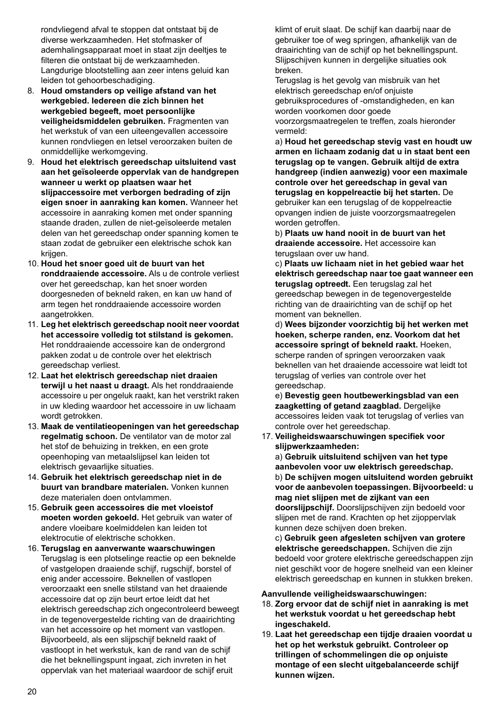rondvliegend afval te stoppen dat ontstaat bij de diverse werkzaamheden. Het stofmasker of ademhalingsapparaat moet in staat zijn deeltjes te filteren die ontstaat bij de werkzaamheden. Langdurige blootstelling aan zeer intens geluid kan leiden tot gehoorbeschadiging.

- 8. **Houd omstanders op veilige afstand van het werkgebied. Iedereen die zich binnen het werkgebied begeeft, moet persoonlijke veiligheidsmiddelen gebruiken.** Fragmenten van het werkstuk of van een uiteengevallen accessoire kunnen rondvliegen en letsel veroorzaken buiten de onmiddellijke werkomgeving.
- 9. **Houd het elektrisch gereedschap uitsluitend vast aan het geïsoleerde oppervlak van de handgrepen wanneer u werkt op plaatsen waar het slijpaccessoire met verborgen bedrading of zijn eigen snoer in aanraking kan komen.** Wanneer het accessoire in aanraking komen met onder spanning staande draden, zullen de niet-geïsoleerde metalen delen van het gereedschap onder spanning komen te staan zodat de gebruiker een elektrische schok kan krijgen.
- 10. **Houd het snoer goed uit de buurt van het ronddraaiende accessoire.** Als u de controle verliest over het gereedschap, kan het snoer worden doorgesneden of bekneld raken, en kan uw hand of arm tegen het ronddraaiende accessoire worden aangetrokken.
- 11. **Leg het elektrisch gereedschap nooit neer voordat het accessoire volledig tot stilstand is gekomen.** Het ronddraaiende accessoire kan de ondergrond pakken zodat u de controle over het elektrisch gereedschap verliest.
- 12. **Laat het elektrisch gereedschap niet draaien terwijl u het naast u draagt.** Als het ronddraaiende accessoire u per ongeluk raakt, kan het verstrikt raken in uw kleding waardoor het accessoire in uw lichaam wordt getrokken.
- 13. **Maak de ventilatieopeningen van het gereedschap regelmatig schoon.** De ventilator van de motor zal het stof de behuizing in trekken, en een grote opeenhoping van metaalslijpsel kan leiden tot elektrisch gevaarlijke situaties.
- 14. **Gebruik het elektrisch gereedschap niet in de buurt van brandbare materialen.** Vonken kunnen deze materialen doen ontvlammen.
- 15. **Gebruik geen accessoires die met vloeistof moeten worden gekoeld.** Het gebruik van water of andere vloeibare koelmiddelen kan leiden tot elektrocutie of elektrische schokken.
- 16. **Terugslag en aanverwante waarschuwingen** Terugslag is een plotselinge reactie op een beknelde of vastgelopen draaiende schijf, rugschijf, borstel of enig ander accessoire. Beknellen of vastlopen veroorzaakt een snelle stilstand van het draaiende accessoire dat op zijn beurt ertoe leidt dat het elektrisch gereedschap zich ongecontroleerd beweegt in de tegenovergestelde richting van de draairichting van het accessoire op het moment van vastlopen. Bijvoorbeeld, als een slijpschijf bekneld raakt of vastloopt in het werkstuk, kan de rand van de schijf die het beknellingspunt ingaat, zich invreten in het oppervlak van het materiaal waardoor de schijf eruit

klimt of eruit slaat. De schijf kan daarbij naar de gebruiker toe of weg springen, afhankelijk van de draairichting van de schijf op het beknellingspunt. Slijpschijven kunnen in dergelijke situaties ook breken.

Terugslag is het gevolg van misbruik van het elektrisch gereedschap en/of onjuiste gebruiksprocedures of -omstandigheden, en kan worden voorkomen door goede voorzorgsmaatregelen te treffen, zoals hieronder vermeld:

a) **Houd het gereedschap stevig vast en houdt uw armen en lichaam zodanig dat u in staat bent een terugslag op te vangen. Gebruik altijd de extra handgreep (indien aanwezig) voor een maximale controle over het gereedschap in geval van terugslag en koppelreactie bij het starten.** De gebruiker kan een terugslag of de koppelreactie opvangen indien de juiste voorzorgsmaatregelen worden getroffen.

b) **Plaats uw hand nooit in de buurt van het draaiende accessoire.** Het accessoire kan terugslaan over uw hand.

c) **Plaats uw lichaam niet in het gebied waar het elektrisch gereedschap naar toe gaat wanneer een terugslag optreedt.** Een terugslag zal het gereedschap bewegen in de tegenovergestelde richting van de draairichting van de schijf op het moment van beknellen.

d) **Wees bijzonder voorzichtig bij het werken met hoeken, scherpe randen, enz. Voorkom dat het accessoire springt of bekneld raakt.** Hoeken, scherpe randen of springen veroorzaken vaak beknellen van het draaiende accessoire wat leidt tot terugslag of verlies van controle over het gereedschap.

e) **Bevestig geen houtbewerkingsblad van een zaagketting of getand zaagblad.** Dergelijke accessoires leiden vaak tot terugslag of verlies van controle over het gereedschap.

17. **Veiligheidswaarschuwingen specifiek voor slijpwerkzaamheden:**

a) **Gebruik uitsluitend schijven van het type aanbevolen voor uw elektrisch gereedschap.** b) **De schijven mogen uitsluitend worden gebruikt voor de aanbevolen toepassingen. Bijvoorbeeld: u mag niet slijpen met de zijkant van een doorslijpschijf.** Doorslijpschijven zijn bedoeld voor slijpen met de rand. Krachten op het zijoppervlak kunnen deze schijven doen breken.

c) **Gebruik geen afgesleten schijven van grotere elektrische gereedschappen.** Schijven die zijn bedoeld voor grotere elektrische gereedschappen zijn niet geschikt voor de hogere snelheid van een kleiner elektrisch gereedschap en kunnen in stukken breken.

#### **Aanvullende veiligheidswaarschuwingen:**

- 18. **Zorg ervoor dat de schijf niet in aanraking is met het werkstuk voordat u het gereedschap hebt ingeschakeld.**
- 19. **Laat het gereedschap een tijdje draaien voordat u het op het werkstuk gebruikt. Controleer op trillingen of schommelingen die op onjuiste montage of een slecht uitgebalanceerde schijf kunnen wijzen.**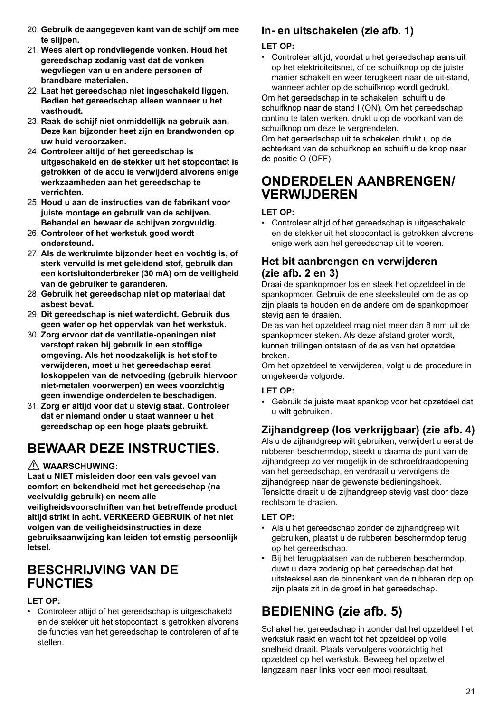- 20. **Gebruik de aangegeven kant van de schijf om mee te slijpen.**
- 21. **Wees alert op rondvliegende vonken. Houd het gereedschap zodanig vast dat de vonken wegvliegen van u en andere personen of brandbare materialen.**
- 22. **Laat het gereedschap niet ingeschakeld liggen. Bedien het gereedschap alleen wanneer u het vasthoudt.**
- 23. **Raak de schijf niet onmiddellijk na gebruik aan. Deze kan bijzonder heet zijn en brandwonden op uw huid veroorzaken.**
- 24. **Controleer altijd of het gereedschap is uitgeschakeld en de stekker uit het stopcontact is getrokken of de accu is verwijderd alvorens enige werkzaamheden aan het gereedschap te verrichten.**
- 25. **Houd u aan de instructies van de fabrikant voor juiste montage en gebruik van de schijven. Behandel en bewaar de schijven zorgvuldig.**
- 26. **Controleer of het werkstuk goed wordt ondersteund.**
- 27. **Als de werkruimte bijzonder heet en vochtig is, of sterk vervuild is met geleidend stof, gebruik dan een kortsluitonderbreker (30 mA) om de veiligheid van de gebruiker te garanderen.**
- 28. **Gebruik het gereedschap niet op materiaal dat asbest bevat.**
- 29. **Dit gereedschap is niet waterdicht. Gebruik dus geen water op het oppervlak van het werkstuk.**
- 30. **Zorg ervoor dat de ventilatie-openingen niet verstopt raken bij gebruik in een stoffige omgeving. Als het noodzakelijk is het stof te verwijderen, moet u het gereedschap eerst loskoppelen van de netvoeding (gebruik hiervoor niet-metalen voorwerpen) en wees voorzichtig geen inwendige onderdelen te beschadigen.**
- 31. **Zorg er altijd voor dat u stevig staat. Controleer dat er niemand onder u staat wanneer u het gereedschap op een hoge plaats gebruikt.**

# **BEWAAR DEZE INSTRUCTIES.**

#### **WAARSCHUWING:**

**Laat u NIET misleiden door een vals gevoel van comfort en bekendheid met het gereedschap (na veelvuldig gebruik) en neem alle veiligheidsvoorschriften van het betreffende product altijd strikt in acht. VERKEERD GEBRUIK of het niet** 

**volgen van de veiligheidsinstructies in deze gebruiksaanwijzing kan leiden tot ernstig persoonlijk letsel.**

## **BESCHRIJVING VAN DE FUNCTIES**

#### **LET OP:**

• Controleer altijd of het gereedschap is uitgeschakeld en de stekker uit het stopcontact is getrokken alvorens de functies van het gereedschap te controleren of af te stellen.

### **In- en uitschakelen (zie afb. 1)**

#### **LET OP:**

• Controleer altijd, voordat u het gereedschap aansluit op het elektriciteitsnet, of de schuifknop op de juiste manier schakelt en weer terugkeert naar de uit-stand, wanneer achter op de schuifknop wordt gedrukt.

Om het gereedschap in te schakelen, schuift u de schuifknop naar de stand I (ON). Om het gereedschap continu te laten werken, drukt u op de voorkant van de schuifknop om deze te vergrendelen.

Om het gereedschap uit te schakelen drukt u op de achterkant van de schuifknop en schuift u de knop naar de positie O (OFF).

## **ONDERDELEN AANBRENGEN/ VERWIJDEREN**

#### **LET OP:**

• Controleer altijd of het gereedschap is uitgeschakeld en de stekker uit het stopcontact is getrokken alvorens enige werk aan het gereedschap uit te voeren.

### **Het bit aanbrengen en verwijderen (zie afb. 2 en 3)**

Draai de spankopmoer los en steek het opzetdeel in de spankopmoer. Gebruik de ene steeksleutel om de as op zijn plaats te houden en de andere om de spankopmoer stevig aan te draaien.

De as van het opzetdeel mag niet meer dan 8 mm uit de spankopmoer steken. Als deze afstand groter wordt, kunnen trillingen ontstaan of de as van het opzetdeel breken.

Om het opzetdeel te verwijderen, volgt u de procedure in omgekeerde volgorde.

#### **LET OP:**

• Gebruik de juiste maat spankop voor het opzetdeel dat u wilt gebruiken.

### **Zijhandgreep (los verkrijgbaar) (zie afb. 4)**

Als u de zijhandgreep wilt gebruiken, verwijdert u eerst de rubberen beschermdop, steekt u daarna de punt van de zijhandgreep zo ver mogelijk in de schroefdraadopening van het gereedschap, en verdraait u vervolgens de zijhandgreep naar de gewenste bedieningshoek. Tenslotte draait u de zijhandgreep stevig vast door deze rechtsom te draaien.

#### **LET OP:**

- Als u het gereedschap zonder de zijhandgreep wilt gebruiken, plaatst u de rubberen beschermdop terug op het gereedschap.
- Bij het terugplaatsen van de rubberen beschermdop, duwt u deze zodanig op het gereedschap dat het uitsteeksel aan de binnenkant van de rubberen dop op zijn plaats zit in de groef in het gereedschap.

# **BEDIENING (zie afb. 5)**

Schakel het gereedschap in zonder dat het opzetdeel het werkstuk raakt en wacht tot het opzetdeel op volle snelheid draait. Plaats vervolgens voorzichtig het opzetdeel op het werkstuk. Beweeg het opzetwiel langzaam naar links voor een mooi resultaat.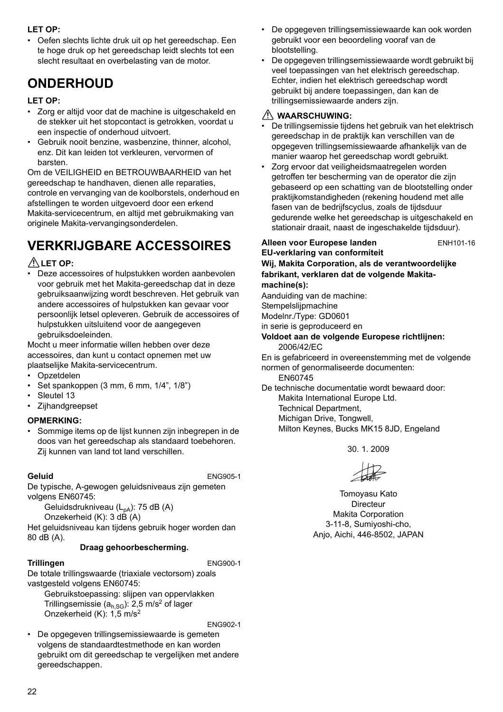#### **LET OP:**

• Oefen slechts lichte druk uit op het gereedschap. Een te hoge druk op het gereedschap leidt slechts tot een slecht resultaat en overbelasting van de motor.

# **ONDERHOUD**

#### **LET OP:**

- Zorg er altijd voor dat de machine is uitgeschakeld en de stekker uit het stopcontact is getrokken, voordat u een inspectie of onderhoud uitvoert.
- Gebruik nooit benzine, wasbenzine, thinner, alcohol, enz. Dit kan leiden tot verkleuren, vervormen of barsten.

Om de VEILIGHEID en BETROUWBAARHEID van het gereedschap te handhaven, dienen alle reparaties, controle en vervanging van de koolborstels, onderhoud en afstellingen te worden uitgevoerd door een erkend Makita-servicecentrum, en altijd met gebruikmaking van originele Makita-vervangingsonderdelen.

# **VERKRIJGBARE ACCESSOIRES**

#### **LET OP:**

• Deze accessoires of hulpstukken worden aanbevolen voor gebruik met het Makita-gereedschap dat in deze gebruiksaanwijzing wordt beschreven. Het gebruik van andere accessoires of hulpstukken kan gevaar voor persoonlijk letsel opleveren. Gebruik de accessoires of hulpstukken uitsluitend voor de aangegeven gebruiksdoeleinden.

Mocht u meer informatie willen hebben over deze accessoires, dan kunt u contact opnemen met uw plaatselijke Makita-servicecentrum.

- Opzetdelen
- Set spankoppen (3 mm, 6 mm, 1/4", 1/8")
- Sleutel 13
- **Zijhandgreepset**

#### **OPMERKING:**

• Sommige items op de lijst kunnen zijn inbegrepen in de doos van het gereedschap als standaard toebehoren. Zij kunnen van land tot land verschillen.

**Geluid** ENG905-1

De typische, A-gewogen geluidsniveaus zijn gemeten volgens EN60745:

Geluidsdrukniveau (L<sub>pA</sub>): 75 dB (A)

Onzekerheid (K): 3 dB (A)

Het geluidsniveau kan tijdens gebruik hoger worden dan 80 dB (A).

#### **Draag gehoorbescherming.**

#### **Trillingen** ENG900-1

De totale trillingswaarde (triaxiale vectorsom) zoals vastgesteld volgens EN60745:

Gebruikstoepassing: slijpen van oppervlakken Trillingsemissie ( $a_{h,SG}$ ): 2,5 m/s<sup>2</sup> of lager Onzekerheid (K): 1,5 m/s2

ENG902-1

• De opgegeven trillingsemissiewaarde is gemeten volgens de standaardtestmethode en kan worden gebruikt om dit gereedschap te vergelijken met andere gereedschappen.

- De opgegeven trillingsemissiewaarde kan ook worden gebruikt voor een beoordeling vooraf van de blootstelling.
- De opgegeven trillingsemissiewaarde wordt gebruikt bij veel toepassingen van het elektrisch gereedschap. Echter, indien het elektrisch gereedschap wordt gebruikt bij andere toepassingen, dan kan de trillingsemissiewaarde anders zijn.

#### **WAARSCHUWING:**

- De trillingsemissie tijdens het gebruik van het elektrisch gereedschap in de praktijk kan verschillen van de opgegeven trillingsemissiewaarde afhankelijk van de manier waarop het gereedschap wordt gebruikt.
- Zorg ervoor dat veiligheidsmaatregelen worden getroffen ter bescherming van de operator die zijn gebaseerd op een schatting van de blootstelling onder praktijkomstandigheden (rekening houdend met alle fasen van de bedrijfscyclus, zoals de tijdsduur gedurende welke het gereedschap is uitgeschakeld en stationair draait, naast de ingeschakelde tijdsduur).

**Alleen voor Europese landen** ENH101-16

#### **EU-verklaring van conformiteit Wij, Makita Corporation, als de verantwoordelijke fabrikant, verklaren dat de volgende Makitamachine(s):**

Aanduiding van de machine: **Stempelslijpmachine** 

Modelnr./Type: GD0601

in serie is geproduceerd en

**Voldoet aan de volgende Europese richtlijnen:** 2006/42/EC

En is gefabriceerd in overeenstemming met de volgende normen of genormaliseerde documenten: EN60745

De technische documentatie wordt bewaard door: Makita International Europe Ltd. Technical Department, Michigan Drive, Tongwell,

Milton Keynes, Bucks MK15 8JD, Engeland

30. 1. 2009

Tomoyasu Kato Directeur Makita Corporation 3-11-8, Sumiyoshi-cho, Anjo, Aichi, 446-8502, JAPAN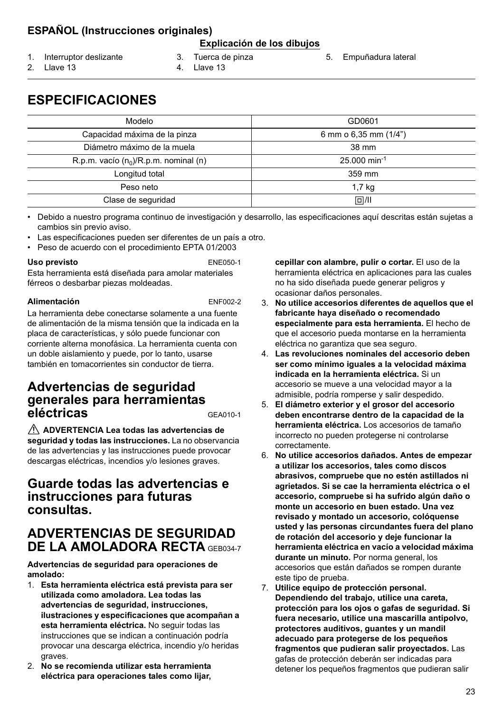### **ESPAÑOL (Instrucciones originales)**

#### **Explicación de los dibujos**

- 1. Interruptor deslizante
- 3. Tuerca de pinza
- 5. Empuñadura lateral

2. Llave 13

- 4. Llave 13
- 

**ESPECIFICACIONES**

| Modelo                                   | GD0601                     |
|------------------------------------------|----------------------------|
| Capacidad máxima de la pinza             | 6 mm o 6,35 mm (1/4")      |
| Diámetro máximo de la muela              | 38 mm                      |
| R.p.m. vacío $(n_0)/R$ .p.m. nominal (n) | $25.000$ min <sup>-1</sup> |
| Longitud total                           | 359 mm                     |
| Peso neto                                | $1,7$ kg                   |
| Clase de seguridad                       | $\Box$ /II                 |

• Debido a nuestro programa continuo de investigación y desarrollo, las especificaciones aquí descritas están sujetas a cambios sin previo aviso.

- Las especificaciones pueden ser diferentes de un país a otro.
- Peso de acuerdo con el procedimiento EPTA 01/2003

#### **Uso previsto** ENE050-1

Esta herramienta está diseñada para amolar materiales férreos o desbarbar piezas moldeadas.

#### **Alimentación** ENF002-2

La herramienta debe conectarse solamente a una fuente de alimentación de la misma tensión que la indicada en la placa de características, y sólo puede funcionar con corriente alterna monofásica. La herramienta cuenta con un doble aislamiento y puede, por lo tanto, usarse también en tomacorrientes sin conductor de tierra.

### **Advertencias de seguridad generales para herramientas eléctricas** GEA010-1

 **ADVERTENCIA Lea todas las advertencias de seguridad y todas las instrucciones.** La no observancia de las advertencias y las instrucciones puede provocar descargas eléctricas, incendios y/o lesiones graves.

### **Guarde todas las advertencias e instrucciones para futuras consultas.**

### **ADVERTENCIAS DE SEGURIDAD DE LA AMOLADORA RECTA** GEB034-7

**Advertencias de seguridad para operaciones de amolado:**

- 1. **Esta herramienta eléctrica está prevista para ser utilizada como amoladora. Lea todas las advertencias de seguridad, instrucciones, ilustraciones y especificaciones que acompañan a esta herramienta eléctrica.** No seguir todas las instrucciones que se indican a continuación podría provocar una descarga eléctrica, incendio y/o heridas graves.
- 2. **No se recomienda utilizar esta herramienta eléctrica para operaciones tales como lijar,**

**cepillar con alambre, pulir o cortar.** El uso de la herramienta eléctrica en aplicaciones para las cuales no ha sido diseñada puede generar peligros y ocasionar daños personales.

- 3. **No utilice accesorios diferentes de aquellos que el fabricante haya diseñado o recomendado especialmente para esta herramienta.** El hecho de que el accesorio pueda montarse en la herramienta eléctrica no garantiza que sea seguro.
- 4. **Las revoluciones nominales del accesorio deben ser como mínimo iguales a la velocidad máxima indicada en la herramienta eléctrica.** Si un accesorio se mueve a una velocidad mayor a la admisible, podría romperse y salir despedido.
- 5. **El diámetro exterior y el grosor del accesorio deben encontrarse dentro de la capacidad de la herramienta eléctrica.** Los accesorios de tamaño incorrecto no pueden protegerse ni controlarse correctamente.
- 6. **No utilice accesorios dañados. Antes de empezar a utilizar los accesorios, tales como discos abrasivos, compruebe que no estén astillados ni agrietados. Si se cae la herramienta eléctrica o el accesorio, compruebe si ha sufrido algún daño o monte un accesorio en buen estado. Una vez revisado y montado un accesorio, colóquense usted y las personas circundantes fuera del plano de rotación del accesorio y deje funcionar la herramienta eléctrica en vacío a velocidad máxima durante un minuto.** Por norma general, los accesorios que están dañados se rompen durante este tipo de prueba.
- 7. **Utilice equipo de protección personal. Dependiendo del trabajo, utilice una careta, protección para los ojos o gafas de seguridad. Si fuera necesario, utilice una mascarilla antipolvo, protectores auditivos, guantes y un mandil adecuado para protegerse de los pequeños fragmentos que pudieran salir proyectados.** Las gafas de protección deberán ser indicadas para detener los pequeños fragmentos que pudieran salir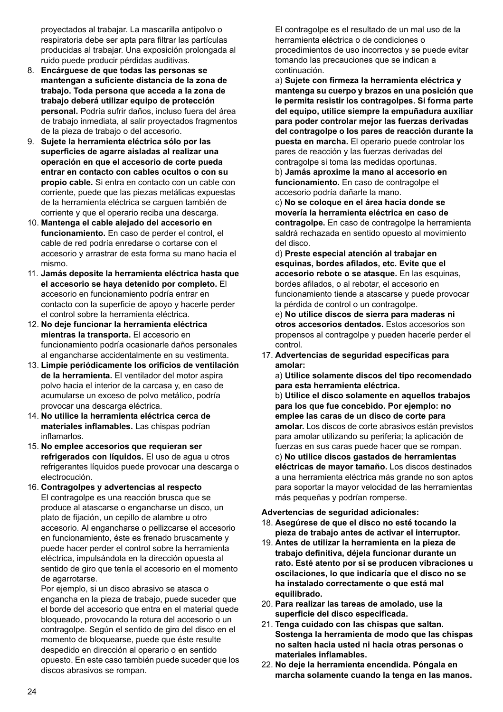proyectados al trabajar. La mascarilla antipolvo o respiratoria debe ser apta para filtrar las partículas producidas al trabajar. Una exposición prolongada al ruido puede producir pérdidas auditivas.

- 8. **Encárguese de que todas las personas se mantengan a suficiente distancia de la zona de trabajo. Toda persona que acceda a la zona de trabajo deberá utilizar equipo de protección personal.** Podría sufrir daños, incluso fuera del área de trabajo inmediata, al salir proyectados fragmentos de la pieza de trabajo o del accesorio.
- 9. **Sujete la herramienta eléctrica sólo por las superficies de agarre aisladas al realizar una operación en que el accesorio de corte pueda entrar en contacto con cables ocultos o con su propio cable.** Si entra en contacto con un cable con corriente, puede que las piezas metálicas expuestas de la herramienta eléctrica se carguen también de corriente y que el operario reciba una descarga.
- 10. **Mantenga el cable alejado del accesorio en funcionamiento.** En caso de perder el control, el cable de red podría enredarse o cortarse con el accesorio y arrastrar de esta forma su mano hacia el mismo.
- 11. **Jamás deposite la herramienta eléctrica hasta que el accesorio se haya detenido por completo.** El accesorio en funcionamiento podría entrar en contacto con la superficie de apoyo y hacerle perder el control sobre la herramienta eléctrica.
- 12. **No deje funcionar la herramienta eléctrica mientras la transporta.** El accesorio en funcionamiento podría ocasionarle daños personales al engancharse accidentalmente en su vestimenta.
- 13. **Limpie periódicamente los orificios de ventilación de la herramienta.** El ventilador del motor aspira polvo hacia el interior de la carcasa y, en caso de acumularse un exceso de polvo metálico, podría provocar una descarga eléctrica.
- 14. **No utilice la herramienta eléctrica cerca de materiales inflamables.** Las chispas podrían inflamarlos.
- 15. **No emplee accesorios que requieran ser refrigerados con líquidos.** El uso de agua u otros refrigerantes líquidos puede provocar una descarga o electrocución.
- 16. **Contragolpes y advertencias al respecto** El contragolpe es una reacción brusca que se produce al atascarse o engancharse un disco, un plato de fijación, un cepillo de alambre u otro accesorio. Al engancharse o pellizcarse el accesorio en funcionamiento, éste es frenado bruscamente y puede hacer perder el control sobre la herramienta eléctrica, impulsándola en la dirección opuesta al sentido de giro que tenía el accesorio en el momento de agarrotarse.

Por ejemplo, si un disco abrasivo se atasca o engancha en la pieza de trabajo, puede suceder que el borde del accesorio que entra en el material quede bloqueado, provocando la rotura del accesorio o un contragolpe. Según el sentido de giro del disco en el momento de bloquearse, puede que éste resulte despedido en dirección al operario o en sentido opuesto. En este caso también puede suceder que los discos abrasivos se rompan.

El contragolpe es el resultado de un mal uso de la herramienta eléctrica o de condiciones o procedimientos de uso incorrectos y se puede evitar tomando las precauciones que se indican a continuación.

a) **Sujete con firmeza la herramienta eléctrica y mantenga su cuerpo y brazos en una posición que le permita resistir los contragolpes. Si forma parte del equipo, utilice siempre la empuñadura auxiliar para poder controlar mejor las fuerzas derivadas del contragolpe o los pares de reacción durante la puesta en marcha.** El operario puede controlar los pares de reacción y las fuerzas derivadas del contragolpe si toma las medidas oportunas. b) **Jamás aproxime la mano al accesorio en** 

**funcionamiento.** En caso de contragolpe el accesorio podría dañarle la mano.

c) **No se coloque en el área hacia donde se movería la herramienta eléctrica en caso de contragolpe.** En caso de contragolpe la herramienta saldrá rechazada en sentido opuesto al movimiento del disco.

d) **Preste especial atención al trabajar en esquinas, bordes afilados, etc. Evite que el accesorio rebote o se atasque.** En las esquinas, bordes afilados, o al rebotar, el accesorio en funcionamiento tiende a atascarse y puede provocar la pérdida de control o un contragolpe.

e) **No utilice discos de sierra para maderas ni otros accesorios dentados.** Estos accesorios son propensos al contragolpe y pueden hacerle perder el control.

17. **Advertencias de seguridad específicas para amolar:**

a) **Utilice solamente discos del tipo recomendado para esta herramienta eléctrica.** b) **Utilice el disco solamente en aquellos trabajos para los que fue concebido. Por ejemplo: no emplee las caras de un disco de corte para amolar.** Los discos de corte abrasivos están previstos para amolar utilizando su periferia; la aplicación de fuerzas en sus caras puede hacer que se rompan. c) **No utilice discos gastados de herramientas eléctricas de mayor tamaño.** Los discos destinados a una herramienta eléctrica más grande no son aptos para soportar la mayor velocidad de las herramientas más pequeñas y podrían romperse.

#### **Advertencias de seguridad adicionales:**

- 18. **Asegúrese de que el disco no esté tocando la pieza de trabajo antes de activar el interruptor.**
- 19. **Antes de utilizar la herramienta en la pieza de trabajo definitiva, déjela funcionar durante un rato. Esté atento por si se producen vibraciones u oscilaciones, lo que indicaría que el disco no se ha instalado correctamente o que está mal equilibrado.**
- 20. **Para realizar las tareas de amolado, use la superficie del disco especificada.**
- 21. **Tenga cuidado con las chispas que saltan. Sostenga la herramienta de modo que las chispas no salten hacia usted ni hacia otras personas o materiales inflamables.**
- 22. **No deje la herramienta encendida. Póngala en marcha solamente cuando la tenga en las manos.**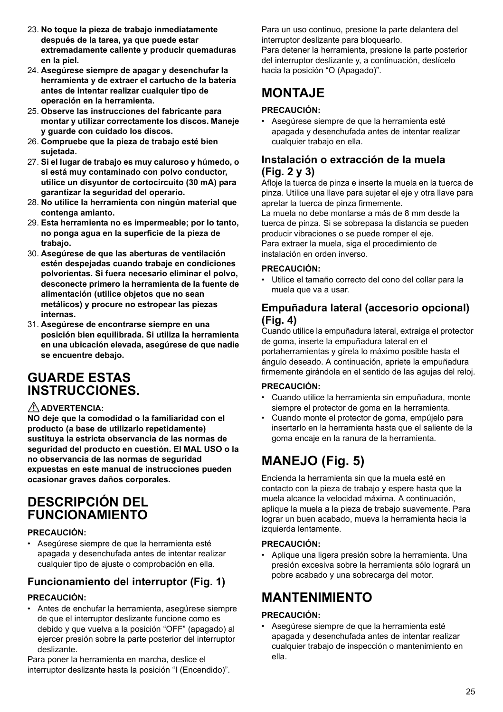- 23. **No toque la pieza de trabajo inmediatamente después de la tarea, ya que puede estar extremadamente caliente y producir quemaduras en la piel.**
- 24. **Asegúrese siempre de apagar y desenchufar la herramienta y de extraer el cartucho de la batería antes de intentar realizar cualquier tipo de operación en la herramienta.**
- 25. **Observe las instrucciones del fabricante para montar y utilizar correctamente los discos. Maneje y guarde con cuidado los discos.**
- 26. **Compruebe que la pieza de trabajo esté bien sujetada.**
- 27. **Si el lugar de trabajo es muy caluroso y húmedo, o si está muy contaminado con polvo conductor, utilice un disyuntor de cortocircuito (30 mA) para garantizar la seguridad del operario.**
- 28. **No utilice la herramienta con ningún material que contenga amianto.**
- 29. **Esta herramienta no es impermeable; por lo tanto, no ponga agua en la superficie de la pieza de trabajo.**
- 30. **Asegúrese de que las aberturas de ventilación estén despejadas cuando trabaje en condiciones polvorientas. Si fuera necesario eliminar el polvo, desconecte primero la herramienta de la fuente de alimentación (utilice objetos que no sean metálicos) y procure no estropear las piezas internas.**
- 31. **Asegúrese de encontrarse siempre en una posición bien equilibrada. Si utiliza la herramienta en una ubicación elevada, asegúrese de que nadie se encuentre debajo.**

## **GUARDE ESTAS INSTRUCCIONES.**

#### **ADVERTENCIA:**

**NO deje que la comodidad o la familiaridad con el producto (a base de utilizarlo repetidamente) sustituya la estricta observancia de las normas de seguridad del producto en cuestión. El MAL USO o la no observancia de las normas de seguridad expuestas en este manual de instrucciones pueden ocasionar graves daños corporales.**

### **DESCRIPCIÓN DEL FUNCIONAMIENTO**

#### **PRECAUCIÓN:**

• Asegúrese siempre de que la herramienta esté apagada y desenchufada antes de intentar realizar cualquier tipo de ajuste o comprobación en ella.

### **Funcionamiento del interruptor (Fig. 1)**

#### **PRECAUCIÓN:**

• Antes de enchufar la herramienta, asegúrese siempre de que el interruptor deslizante funcione como es debido y que vuelva a la posición "OFF" (apagado) al ejercer presión sobre la parte posterior del interruptor deslizante.

Para poner la herramienta en marcha, deslice el interruptor deslizante hasta la posición "I (Encendido)". Para un uso continuo, presione la parte delantera del interruptor deslizante para bloquearlo.

Para detener la herramienta, presione la parte posterior del interruptor deslizante y, a continuación, deslícelo hacia la posición "O (Apagado)".

# **MONTAJE**

#### **PRECAUCIÓN:**

• Asegúrese siempre de que la herramienta esté apagada y desenchufada antes de intentar realizar cualquier trabajo en ella.

### **Instalación o extracción de la muela (Fig. 2 y 3)**

Afloje la tuerca de pinza e inserte la muela en la tuerca de pinza. Utilice una llave para sujetar el eje y otra llave para apretar la tuerca de pinza firmemente.

La muela no debe montarse a más de 8 mm desde la tuerca de pinza. Si se sobrepasa la distancia se pueden producir vibraciones o se puede romper el eje. Para extraer la muela, siga el procedimiento de instalación en orden inverso.

#### **PRECAUCIÓN:**

• Utilice el tamaño correcto del cono del collar para la muela que va a usar.

### **Empuñadura lateral (accesorio opcional) (Fig. 4)**

Cuando utilice la empuñadura lateral, extraiga el protector de goma, inserte la empuñadura lateral en el portaherramientas y gírela lo máximo posible hasta el ángulo deseado. A continuación, apriete la empuñadura firmemente girándola en el sentido de las agujas del reloj.

#### **PRECAUCIÓN:**

- Cuando utilice la herramienta sin empuñadura, monte siempre el protector de goma en la herramienta.
- Cuando monte el protector de goma, empújelo para insertarlo en la herramienta hasta que el saliente de la goma encaje en la ranura de la herramienta.

# **MANEJO (Fig. 5)**

Encienda la herramienta sin que la muela esté en contacto con la pieza de trabajo y espere hasta que la muela alcance la velocidad máxima. A continuación, aplique la muela a la pieza de trabajo suavemente. Para lograr un buen acabado, mueva la herramienta hacia la izquierda lentamente.

#### **PRECAUCIÓN:**

• Aplique una ligera presión sobre la herramienta. Una presión excesiva sobre la herramienta sólo logrará un pobre acabado y una sobrecarga del motor.

# **MANTENIMIENTO**

#### **PRECAUCIÓN:**

• Asegúrese siempre de que la herramienta esté apagada y desenchufada antes de intentar realizar cualquier trabajo de inspección o mantenimiento en ella.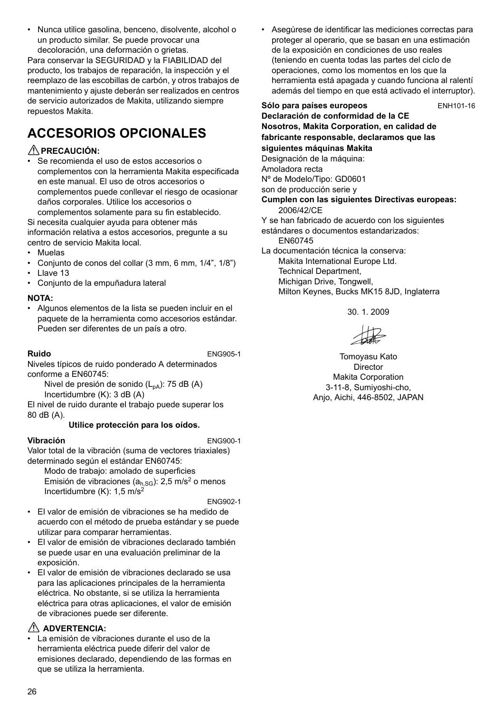• Nunca utilice gasolina, benceno, disolvente, alcohol o un producto similar. Se puede provocar una decoloración, una deformación o grietas.

Para conservar la SEGURIDAD y la FIABILIDAD del producto, los trabajos de reparación, la inspección y el reemplazo de las escobillas de carbón, y otros trabajos de mantenimiento y ajuste deberán ser realizados en centros de servicio autorizados de Makita, utilizando siempre repuestos Makita.

# **ACCESORIOS OPCIONALES**

#### **PRECAUCIÓN:**

• Se recomienda el uso de estos accesorios o complementos con la herramienta Makita especificada en este manual. El uso de otros accesorios o complementos puede conllevar el riesgo de ocasionar daños corporales. Utilice los accesorios o

complementos solamente para su fin establecido. Si necesita cualquier ayuda para obtener más información relativa a estos accesorios, pregunte a su centro de servicio Makita local.

- Muelas
- Conjunto de conos del collar (3 mm, 6 mm, 1/4", 1/8")
- Llave 13
- Conjunto de la empuñadura lateral

#### **NOTA:**

• Algunos elementos de la lista se pueden incluir en el paquete de la herramienta como accesorios estándar. Pueden ser diferentes de un país a otro.

**Ruido** ENG905-1

Niveles típicos de ruido ponderado A determinados conforme a EN60745:

Nivel de presión de sonido (L<sub>pA</sub>): 75 dB (A) Incertidumbre (K): 3 dB (A)

El nivel de ruido durante el trabajo puede superar los 80 dB (A).

#### **Utilice protección para los oídos.**

#### **Vibración** ENG900-1

Valor total de la vibración (suma de vectores triaxiales) determinado según el estándar EN60745:

Modo de trabajo: amolado de superficies Emisión de vibraciones ( $a<sub>h,SG</sub>$ ): 2,5 m/s<sup>2</sup> o menos Incertidumbre  $(K)$ : 1,5 m/s<sup>2</sup>

ENG902-1

- El valor de emisión de vibraciones se ha medido de acuerdo con el método de prueba estándar y se puede utilizar para comparar herramientas.
- El valor de emisión de vibraciones declarado también se puede usar en una evaluación preliminar de la exposición.
- El valor de emisión de vibraciones declarado se usa para las aplicaciones principales de la herramienta eléctrica. No obstante, si se utiliza la herramienta eléctrica para otras aplicaciones, el valor de emisión de vibraciones puede ser diferente.

### **ADVERTENCIA:**

• La emisión de vibraciones durante el uso de la herramienta eléctrica puede diferir del valor de emisiones declarado, dependiendo de las formas en que se utiliza la herramienta.

• Asegúrese de identificar las mediciones correctas para proteger al operario, que se basan en una estimación de la exposición en condiciones de uso reales (teniendo en cuenta todas las partes del ciclo de operaciones, como los momentos en los que la herramienta está apagada y cuando funciona al ralentí además del tiempo en que está activado el interruptor).

Sólo para países europeos ENH101-16 **Declaración de conformidad de la CE Nosotros, Makita Corporation, en calidad de fabricante responsable, declaramos que las siguientes máquinas Makita** Designación de la máquina: Amoladora recta Nº de Modelo/Tipo: GD0601 son de producción serie y **Cumplen con las siguientes Directivas europeas:** 2006/42/CE Y se han fabricado de acuerdo con los siguientes estándares o documentos estandarizados: EN60745 La documentación técnica la conserva: Makita International Europe Ltd. Technical Department, Michigan Drive, Tongwell, Milton Keynes, Bucks MK15 8JD, Inglaterra

30. 1. 2009

Tomoyasu Kato Director Makita Corporation 3-11-8, Sumiyoshi-cho, Anjo, Aichi, 446-8502, JAPAN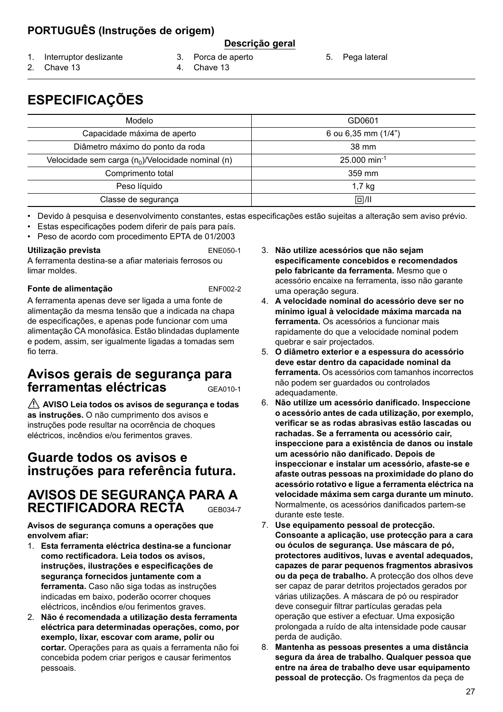### **PORTUGUÊS (Instruções de origem)**

#### **Descrição geral**

- 1. Interruptor deslizante
- 3. Porca de aperto
- 5. Pega lateral

2. Chave 13

- 
- 
- 4. Chave 13
- 
- **ESPECIFICAÇÕES**

| Modelo                                               | GD0601                     |
|------------------------------------------------------|----------------------------|
| Capacidade máxima de aperto                          | 6 ou 6,35 mm $(1/4)$       |
| Diâmetro máximo do ponto da roda                     | 38 mm                      |
| Velocidade sem carga $(n_0)$ /Velocidade nominal (n) | $25.000$ min <sup>-1</sup> |
| Comprimento total                                    | 359 mm                     |
| Peso líquido                                         | 1.7 <sub>kg</sub>          |
| Classe de segurança                                  | 回/Ⅲ                        |

• Devido à pesquisa e desenvolvimento constantes, estas especificações estão sujeitas a alteração sem aviso prévio.

• Estas especificações podem diferir de país para país.

• Peso de acordo com procedimento EPTA de 01/2003

#### **Utilização prevista** ENE050-1

A ferramenta destina-se a afiar materiais ferrosos ou limar moldes.

#### **Fonte de alimentação** ENF002-2

A ferramenta apenas deve ser ligada a uma fonte de alimentação da mesma tensão que a indicada na chapa de especificações, e apenas pode funcionar com uma alimentação CA monofásica. Estão blindadas duplamente e podem, assim, ser igualmente ligadas a tomadas sem fio terra.

### **Avisos gerais de segurança para ferramentas eléctricas** GEA010-1

 **AVISO Leia todos os avisos de segurança e todas as instruções.** O não cumprimento dos avisos e instruções pode resultar na ocorrência de choques eléctricos, incêndios e/ou ferimentos graves.

### **Guarde todos os avisos e instruções para referência futura.**

## **AVISOS DE SEGURANÇA PARA A RECTIFICADORA RECTA** GEB034-7

**Avisos de segurança comuns a operações que envolvem afiar:**

- 1. **Esta ferramenta eléctrica destina-se a funcionar como rectificadora. Leia todos os avisos, instruções, ilustrações e especificações de segurança fornecidos juntamente com a ferramenta.** Caso não siga todas as instruções indicadas em baixo, poderão ocorrer choques eléctricos, incêndios e/ou ferimentos graves.
- 2. **Não é recomendada a utilização desta ferramenta eléctrica para determinadas operações, como, por exemplo, lixar, escovar com arame, polir ou cortar.** Operações para as quais a ferramenta não foi concebida podem criar perigos e causar ferimentos pessoais.
- 3. **Não utilize acessórios que não sejam especificamente concebidos e recomendados pelo fabricante da ferramenta.** Mesmo que o acessório encaixe na ferramenta, isso não garante uma operação segura.
- 4. **A velocidade nominal do acessório deve ser no mínimo igual à velocidade máxima marcada na ferramenta.** Os acessórios a funcionar mais rapidamente do que a velocidade nominal podem quebrar e sair projectados.
- 5. **O diâmetro exterior e a espessura do acessório deve estar dentro da capacidade nominal da ferramenta.** Os acessórios com tamanhos incorrectos não podem ser guardados ou controlados adequadamente.
- 6. **Não utilize um acessório danificado. Inspeccione o acessório antes de cada utilização, por exemplo, verificar se as rodas abrasivas estão lascadas ou rachadas. Se a ferramenta ou acessório cair, inspeccione para a existência de danos ou instale um acessório não danificado. Depois de inspeccionar e instalar um acessório, afaste-se e afaste outras pessoas na proximidade do plano do acessório rotativo e ligue a ferramenta eléctrica na velocidade máxima sem carga durante um minuto.** Normalmente, os acessórios danificados partem-se durante este teste.
- 7. **Use equipamento pessoal de protecção. Consoante a aplicação, use protecção para a cara ou óculos de segurança. Use máscara de pó, protectores auditivos, luvas e avental adequados, capazes de parar pequenos fragmentos abrasivos ou da peça de trabalho.** A protecção dos olhos deve ser capaz de parar detritos projectados gerados por várias utilizações. A máscara de pó ou respirador deve conseguir filtrar partículas geradas pela operação que estiver a efectuar. Uma exposição prolongada a ruído de alta intensidade pode causar perda de audição.
- 8. **Mantenha as pessoas presentes a uma distância segura da área de trabalho. Qualquer pessoa que entre na área de trabalho deve usar equipamento pessoal de protecção.** Os fragmentos da peça de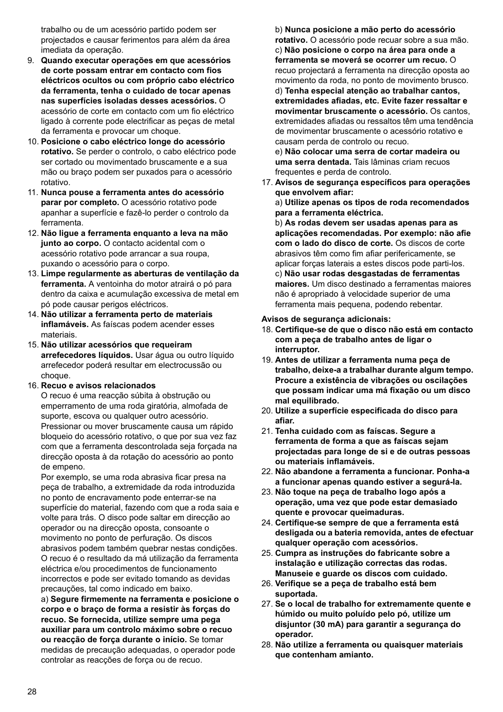trabalho ou de um acessório partido podem ser projectados e causar ferimentos para além da área imediata da operação.

- 9. **Quando executar operações em que acessórios de corte possam entrar em contacto com fios eléctricos ocultos ou com próprio cabo eléctrico da ferramenta, tenha o cuidado de tocar apenas nas superfícies isoladas desses acessórios.** O acessório de corte em contacto com um fio eléctrico ligado à corrente pode electrificar as peças de metal da ferramenta e provocar um choque.
- 10. **Posicione o cabo eléctrico longe do acessório rotativo.** Se perder o controlo, o cabo eléctrico pode ser cortado ou movimentado bruscamente e a sua mão ou braço podem ser puxados para o acessório rotativo.
- 11. **Nunca pouse a ferramenta antes do acessório parar por completo.** O acessório rotativo pode apanhar a superfície e fazê-lo perder o controlo da ferramenta.
- 12. **Não ligue a ferramenta enquanto a leva na mão junto ao corpo.** O contacto acidental com o acessório rotativo pode arrancar a sua roupa, puxando o acessório para o corpo.
- 13. **Limpe regularmente as aberturas de ventilação da ferramenta.** A ventoinha do motor atrairá o pó para dentro da caixa e acumulação excessiva de metal em pó pode causar perigos eléctricos.
- 14. **Não utilizar a ferramenta perto de materiais inflamáveis.** As faíscas podem acender esses materiais.
- 15. **Não utilizar acessórios que requeiram arrefecedores líquidos.** Usar água ou outro líquido arrefecedor poderá resultar em electrocussão ou choque.

#### 16. **Recuo e avisos relacionados**

O recuo é uma reacção súbita à obstrução ou emperramento de uma roda giratória, almofada de suporte, escova ou qualquer outro acessório. Pressionar ou mover bruscamente causa um rápido bloqueio do acessório rotativo, o que por sua vez faz com que a ferramenta descontrolada seja forçada na direcção oposta à da rotação do acessório ao ponto de empeno.

Por exemplo, se uma roda abrasiva ficar presa na peça de trabalho, a extremidade da roda introduzida no ponto de encravamento pode enterrar-se na superfície do material, fazendo com que a roda saia e volte para trás. O disco pode saltar em direcção ao operador ou na direcção oposta, consoante o movimento no ponto de perfuração. Os discos abrasivos podem também quebrar nestas condições. O recuo é o resultado da má utilização da ferramenta eléctrica e/ou procedimentos de funcionamento incorrectos e pode ser evitado tomando as devidas precauções, tal como indicado em baixo.

a) **Segure firmemente na ferramenta e posicione o corpo e o braço de forma a resistir às forças do recuo. Se fornecida, utilize sempre uma pega auxiliar para um controlo máximo sobre o recuo ou reacção de força durante o início.** Se tomar medidas de precaução adequadas, o operador pode controlar as reacções de força ou de recuo.

b) **Nunca posicione a mão perto do acessório rotativo.** O acessório pode recuar sobre a sua mão. c) **Não posicione o corpo na área para onde a ferramenta se moverá se ocorrer um recuo.** O recuo projectará a ferramenta na direcção oposta ao movimento da roda, no ponto de movimento brusco. d) **Tenha especial atenção ao trabalhar cantos, extremidades afiadas, etc. Evite fazer ressaltar e movimentar bruscamente o acessório.** Os cantos, extremidades afiadas ou ressaltos têm uma tendência de movimentar bruscamente o acessório rotativo e causam perda de controlo ou recuo. e) **Não colocar uma serra de cortar madeira ou** 

**uma serra dentada.** Tais lâminas criam recuos frequentes e perda de controlo.

17. **Avisos de segurança específicos para operações que envolvem afiar:**

a) **Utilize apenas os tipos de roda recomendados para a ferramenta eléctrica.**

b) **As rodas devem ser usadas apenas para as aplicações recomendadas. Por exemplo: não afie com o lado do disco de corte.** Os discos de corte abrasivos têm como fim afiar perifericamente, se aplicar forças laterais a estes discos pode parti-los. c) **Não usar rodas desgastadas de ferramentas maiores.** Um disco destinado a ferramentas maiores não é apropriado à velocidade superior de uma ferramenta mais pequena, podendo rebentar.

#### **Avisos de segurança adicionais:**

- 18. **Certifique-se de que o disco não está em contacto com a peça de trabalho antes de ligar o interruptor.**
- 19. **Antes de utilizar a ferramenta numa peça de trabalho, deixe-a a trabalhar durante algum tempo. Procure a existência de vibrações ou oscilações que possam indicar uma má fixação ou um disco mal equilibrado.**
- 20. **Utilize a superfície especificada do disco para afiar.**
- 21. **Tenha cuidado com as faíscas. Segure a ferramenta de forma a que as faíscas sejam projectadas para longe de si e de outras pessoas ou materiais inflamáveis.**
- 22. **Não abandone a ferramenta a funcionar. Ponha-a a funcionar apenas quando estiver a segurá-la.**
- 23. **Não toque na peça de trabalho logo após a operação, uma vez que pode estar demasiado quente e provocar queimaduras.**
- 24. **Certifique-se sempre de que a ferramenta está desligada ou a bateria removida, antes de efectuar qualquer operação com acessórios.**
- 25. **Cumpra as instruções do fabricante sobre a instalação e utilização correctas das rodas. Manuseie e guarde os discos com cuidado.**
- 26. **Verifique se a peça de trabalho está bem suportada.**
- 27. **Se o local de trabalho for extremamente quente e húmido ou muito poluído pelo pó, utilize um disjuntor (30 mA) para garantir a segurança do operador.**
- 28. **Não utilize a ferramenta ou quaisquer materiais que contenham amianto.**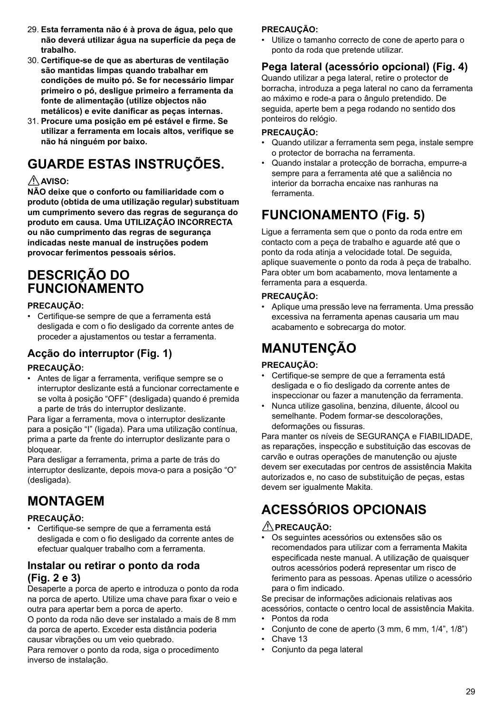- 29. **Esta ferramenta não é à prova de água, pelo que não deverá utilizar água na superfície da peça de trabalho.**
- 30. **Certifique-se de que as aberturas de ventilação são mantidas limpas quando trabalhar em condições de muito pó. Se for necessário limpar primeiro o pó, desligue primeiro a ferramenta da fonte de alimentação (utilize objectos não metálicos) e evite danificar as peças internas.**
- 31. **Procure uma posição em pé estável e firme. Se utilizar a ferramenta em locais altos, verifique se não há ninguém por baixo.**

# **GUARDE ESTAS INSTRUÇÕES.**

### **AVISO:**

**NÃO deixe que o conforto ou familiaridade com o produto (obtida de uma utilização regular) substituam um cumprimento severo das regras de segurança do produto em causa. Uma UTILIZAÇÃO INCORRECTA ou não cumprimento das regras de segurança indicadas neste manual de instruções podem provocar ferimentos pessoais sérios.**

## **DESCRIÇÃO DO FUNCIONAMENTO**

#### **PRECAUÇÃO:**

• Certifique-se sempre de que a ferramenta está desligada e com o fio desligado da corrente antes de proceder a ajustamentos ou testar a ferramenta.

### **Acção do interruptor (Fig. 1)**

#### **PRECAUÇÃO:**

• Antes de ligar a ferramenta, verifique sempre se o interruptor deslizante está a funcionar correctamente e se volta à posição "OFF" (desligada) quando é premida a parte de trás do interruptor deslizante.

Para ligar a ferramenta, mova o interruptor deslizante para a posição "I" (ligada). Para uma utilização contínua, prima a parte da frente do interruptor deslizante para o bloquear.

Para desligar a ferramenta, prima a parte de trás do interruptor deslizante, depois mova-o para a posição "O" (desligada).

# **MONTAGEM**

#### **PRECAUÇÃO:**

• Certifique-se sempre de que a ferramenta está desligada e com o fio desligado da corrente antes de efectuar qualquer trabalho com a ferramenta.

### **Instalar ou retirar o ponto da roda (Fig. 2 e 3)**

Desaperte a porca de aperto e introduza o ponto da roda na porca de aperto. Utilize uma chave para fixar o veio e outra para apertar bem a porca de aperto.

O ponto da roda não deve ser instalado a mais de 8 mm da porca de aperto. Exceder esta distância poderia causar vibrações ou um veio quebrado.

Para remover o ponto da roda, siga o procedimento inverso de instalação.

#### **PRECAUÇÃO:**

• Utilize o tamanho correcto de cone de aperto para o ponto da roda que pretende utilizar.

### **Pega lateral (acessório opcional) (Fig. 4)**

Quando utilizar a pega lateral, retire o protector de borracha, introduza a pega lateral no cano da ferramenta ao máximo e rode-a para o ângulo pretendido. De seguida, aperte bem a pega rodando no sentido dos ponteiros do relógio.

#### **PRECAUÇÃO:**

- Quando utilizar a ferramenta sem pega, instale sempre o protector de borracha na ferramenta.
- Quando instalar a protecção de borracha, empurre-a sempre para a ferramenta até que a saliência no interior da borracha encaixe nas ranhuras na ferramenta.

# **FUNCIONAMENTO (Fig. 5)**

Ligue a ferramenta sem que o ponto da roda entre em contacto com a peça de trabalho e aguarde até que o ponto da roda atinja a velocidade total. De seguida, aplique suavemente o ponto da roda à peça de trabalho. Para obter um bom acabamento, mova lentamente a ferramenta para a esquerda.

#### **PRECAUÇÃO:**

• Aplique uma pressão leve na ferramenta. Uma pressão excessiva na ferramenta apenas causaria um mau acabamento e sobrecarga do motor.

# **MANUTENÇÃO**

### **PRECAUÇÃO:**

- Certifique-se sempre de que a ferramenta está desligada e o fio desligado da corrente antes de inspeccionar ou fazer a manutenção da ferramenta.
- Nunca utilize gasolina, benzina, diluente, álcool ou semelhante. Podem formar-se descolorações, deformações ou fissuras.

Para manter os níveis de SEGURANÇA e FIABILIDADE, as reparações, inspecção e substituição das escovas de carvão e outras operações de manutenção ou ajuste devem ser executadas por centros de assistência Makita autorizados e, no caso de substituição de peças, estas devem ser igualmente Makita.

# **ACESSÓRIOS OPCIONAIS**

### **PRECAUÇÃO:**

• Os seguintes acessórios ou extensões são os recomendados para utilizar com a ferramenta Makita especificada neste manual. A utilização de quaisquer outros acessórios poderá representar um risco de ferimento para as pessoas. Apenas utilize o acessório para o fim indicado.

Se precisar de informações adicionais relativas aos acessórios, contacte o centro local de assistência Makita.

- Pontos da roda
- Conjunto de cone de aperto (3 mm, 6 mm, 1/4", 1/8")
- Chave 13
- Conjunto da pega lateral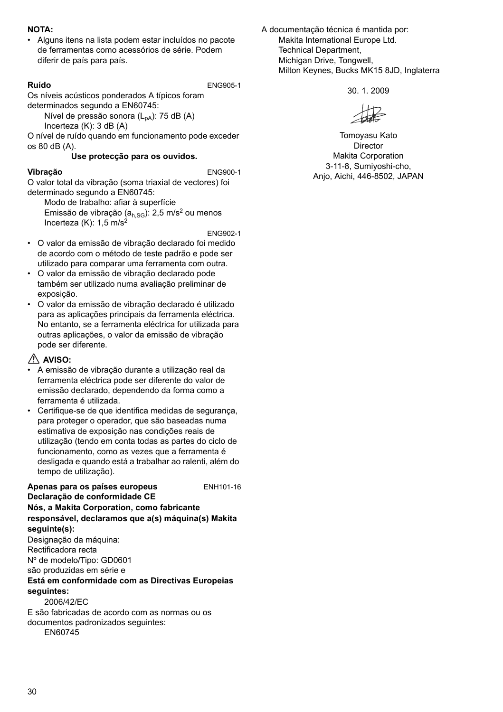#### **NOTA:**

• Alguns itens na lista podem estar incluídos no pacote de ferramentas como acessórios de série. Podem diferir de país para país.

**Ruído** ENG905-1

Os níveis acústicos ponderados A típicos foram determinados segundo a EN60745:

Nível de pressão sonora  $(L_{pA})$ : 75 dB  $(A)$ Incerteza (K): 3 dB (A)

O nível de ruído quando em funcionamento pode exceder os 80 dB (A).

#### **Use protecção para os ouvidos.**

#### **Vibração** ENG900-1

O valor total da vibração (soma triaxial de vectores) foi determinado segundo a EN60745:

Modo de trabalho: afiar à superfície Emissão de vibração ( $a_{h,SG}$ ): 2,5 m/s<sup>2</sup> ou menos Incerteza  $(K)$ : 1.5 m/s<sup>2</sup>

ENG902-1

- O valor da emissão de vibração declarado foi medido de acordo com o método de teste padrão e pode ser utilizado para comparar uma ferramenta com outra.
- O valor da emissão de vibração declarado pode também ser utilizado numa avaliação preliminar de exposição.
- O valor da emissão de vibração declarado é utilizado para as aplicações principais da ferramenta eléctrica. No entanto, se a ferramenta eléctrica for utilizada para outras aplicações, o valor da emissão de vibração pode ser diferente.

#### **AVISO:**

- A emissão de vibração durante a utilização real da ferramenta eléctrica pode ser diferente do valor de emissão declarado, dependendo da forma como a ferramenta é utilizada.
- Certifique-se de que identifica medidas de segurança. para proteger o operador, que são baseadas numa estimativa de exposição nas condições reais de utilização (tendo em conta todas as partes do ciclo de funcionamento, como as vezes que a ferramenta é desligada e quando está a trabalhar ao ralenti, além do tempo de utilização).

#### **Apenas para os países europeus** ENH101-16 **Declaração de conformidade CE Nós, a Makita Corporation, como fabricante responsável, declaramos que a(s) máquina(s) Makita seguinte(s):**

Designação da máquina: Rectificadora recta Nº de modelo/Tipo: GD0601

são produzidas em série e

#### **Está em conformidade com as Directivas Europeias seguintes:**

2006/42/EC

E são fabricadas de acordo com as normas ou os documentos padronizados seguintes: EN60745

A documentação técnica é mantida por: Makita International Europe Ltd. Technical Department, Michigan Drive, Tongwell, Milton Keynes, Bucks MK15 8JD, Inglaterra

30. 1. 2009

Tomoyasu Kato Director Makita Corporation 3-11-8, Sumiyoshi-cho, Anjo, Aichi, 446-8502, JAPAN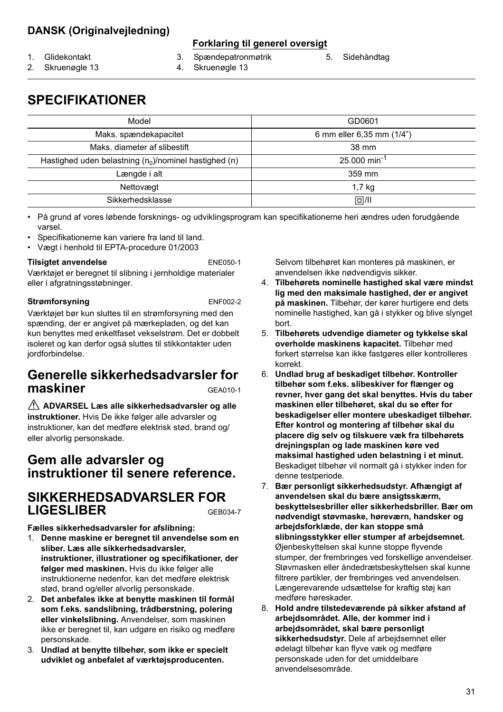### **DANSK (Originalvejledning)**

#### **Forklaring til generel oversigt**

1. Glidekontakt

- 3. Spændepatronmøtrik
- 
- 
- 5. Sidehåndtag
- 2. Skruenøgle 13
- 4. Skruenøgle 13
- **SPECIFIKATIONER**

| Model                                                    | GD0601                     |
|----------------------------------------------------------|----------------------------|
| Maks. spændekapacitet                                    | 6 mm eller 6,35 mm (1/4")  |
| Maks, diameter af slibestift                             | 38 mm                      |
| Hastighed uden belastning $(n_0)$ /nominel hastighed (n) | $25.000$ min <sup>-1</sup> |
| Længde i alt                                             | 359 mm                     |
| Nettovægt                                                | 1,7 kg                     |
| Sikkerhedsklasse                                         | 回/川                        |

• På grund af vores løbende forsknings- og udviklingsprogram kan specifikationerne heri ændres uden forudgående varsel.

- Specifikationerne kan variere fra land til land.
- Vægt i henhold til EPTA-procedure 01/2003

#### **Tilsigtet anvendelse** ENE050-1

Værktøjet er beregnet til slibning i jernholdige materialer eller i afgratningsstøbninger.

#### **Strømforsyning** ENF002-2

Værktøjet bør kun sluttes til en strømforsyning med den spænding, der er angivet på mærkepladen, og det kan kun benyttes med enkeltfaset vekselstrøm. Det er dobbelt isoleret og kan derfor også sluttes til stikkontakter uden iordforbindelse.

### **Generelle sikkerhedsadvarsler for maskiner** GEA010-1

 **ADVARSEL Læs alle sikkerhedsadvarsler og alle instruktioner.** Hvis De ikke følger alle advarsler og instruktioner, kan det medføre elektrisk stød, brand og/ eller alvorlig personskade.

### **Gem alle advarsler og instruktioner til senere reference.**

## **SIKKERHEDSADVARSLER FOR LIGESLIBER** GEB034-7

**Fælles sikkerhedsadvarsler for afslibning:**

- 1. **Denne maskine er beregnet til anvendelse som en sliber. Læs alle sikkerhedsadvarsler, instruktioner, illustrationer og specifikationer, der følger med maskinen.** Hvis du ikke følger alle instruktionerne nedenfor, kan det medføre elektrisk stød, brand og/eller alvorlig personskade.
- 2. **Det anbefales ikke at benytte maskinen til formål som f.eks. sandslibning, trådbørstning, polering eller vinkelslibning.** Anvendelser, som maskinen ikke er beregnet til, kan udgøre en risiko og medføre personskade.
- 3. **Undlad at benytte tilbehør, som ikke er specielt udviklet og anbefalet af værktøjsproducenten.**

Selvom tilbehøret kan monteres på maskinen, er anvendelsen ikke nødvendigvis sikker.

- 4. **Tilbehørets nominelle hastighed skal være mindst lig med den maksimale hastighed, der er angivet på maskinen.** Tilbehør, der kører hurtigere end dets nominelle hastighed, kan gå i stykker og blive slynget bort.
- 5. **Tilbehørets udvendige diameter og tykkelse skal overholde maskinens kapacitet.** Tilbehør med forkert størrelse kan ikke fastgøres eller kontrolleres korrekt.
- 6. **Undlad brug af beskadiget tilbehør. Kontroller tilbehør som f.eks. slibeskiver for flænger og revner, hver gang det skal benyttes. Hvis du taber maskinen eller tilbehøret, skal du se efter for beskadigelser eller montere ubeskadiget tilbehør. Efter kontrol og montering af tilbehør skal du placere dig selv og tilskuere væk fra tilbehørets drejningsplan og lade maskinen køre ved maksimal hastighed uden belastning i et minut.** Beskadiget tilbehør vil normalt gå i stykker inden for denne testperiode.
- 7. **Bær personligt sikkerhedsudstyr. Afhængigt af anvendelsen skal du bære ansigtsskærm, beskyttelsesbriller eller sikkerhedsbriller. Bær om nødvendigt støvmaske, høreværn, handsker og arbejdsforklæde, der kan stoppe små slibningsstykker eller stumper af arbejdsemnet.** Øjenbeskyttelsen skal kunne stoppe flyvende stumper, der frembringes ved forskellige anvendelser. Støvmasken eller åndedrætsbeskyttelsen skal kunne filtrere partikler, der frembringes ved anvendelsen. Længerevarende udsættelse for kraftig støj kan medføre høreskader.
- 8. **Hold andre tilstedeværende på sikker afstand af arbejdsområdet. Alle, der kommer ind i arbejdsområdet, skal bære personligt sikkerhedsudstyr.** Dele af arbejdsemnet eller ødelagt tilbehør kan flyve væk og medføre personskade uden for det umiddelbare anvendelsesområde.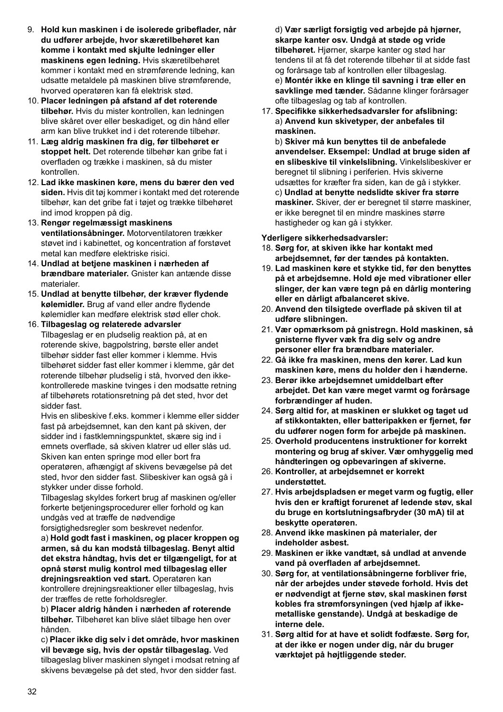- 9. **Hold kun maskinen i de isolerede gribeflader, når du udfører arbejde, hvor skæretilbehøret kan komme i kontakt med skjulte ledninger eller maskinens egen ledning.** Hvis skæretilbehøret kommer i kontakt med en strømførende ledning, kan udsatte metaldele på maskinen blive strømførende, hvorved operatøren kan få elektrisk stød.
- 10. **Placer ledningen på afstand af det roterende tilbehør.** Hvis du mister kontrollen, kan ledningen blive skåret over eller beskadiget, og din hånd eller arm kan blive trukket ind i det roterende tilbehør.
- 11. **Læg aldrig maskinen fra dig, før tilbehøret er stoppet helt.** Det roterende tilbehør kan gribe fat i overfladen og trække i maskinen, så du mister kontrollen.
- 12. **Lad ikke maskinen køre, mens du bærer den ved siden.** Hvis dit tøj kommer i kontakt med det roterende tilbehør, kan det gribe fat i tøjet og trække tilbehøret ind imod kroppen på dig.
- 13. **Rengør regelmæssigt maskinens ventilationsåbninger.** Motorventilatoren trækker støvet ind i kabinettet, og koncentration af forstøvet metal kan medføre elektriske risici.
- 14. **Undlad at betjene maskinen i nærheden af brændbare materialer.** Gnister kan antænde disse materialer.
- 15. **Undlad at benytte tilbehør, der kræver flydende kølemidler.** Brug af vand eller andre flydende kølemidler kan medføre elektrisk stød eller chok.
- 16. **Tilbageslag og relaterede advarsler** Tilbageslag er en pludselig reaktion på, at en roterende skive, bagpolstring, børste eller andet tilbehør sidder fast eller kommer i klemme. Hvis tilbehøret sidder fast eller kommer i klemme, går det roterende tilbehør pludselig i stå, hvorved den ikkekontrollerede maskine tvinges i den modsatte retning af tilbehørets rotationsretning på det sted, hvor det sidder fast.

Hvis en slibeskive f.eks. kommer i klemme eller sidder fast på arbejdsemnet, kan den kant på skiven, der sidder ind i fastklemningspunktet, skære sig ind i emnets overflade, så skiven klatrer ud eller slås ud. Skiven kan enten springe mod eller bort fra operatøren, afhængigt af skivens bevægelse på det sted, hvor den sidder fast. Slibeskiver kan også gå i stykker under disse forhold.

Tilbageslag skyldes forkert brug af maskinen og/eller forkerte betjeningsprocedurer eller forhold og kan undgås ved at træffe de nødvendige

forsigtighedsregler som beskrevet nedenfor. a) **Hold godt fast i maskinen, og placer kroppen og armen, så du kan modstå tilbageslag. Benyt altid det ekstra håndtag, hvis det er tilgængeligt, for at opnå størst mulig kontrol med tilbageslag eller drejningsreaktion ved start.** Operatøren kan kontrollere drejningsreaktioner eller tilbageslag, hvis der træffes de rette forholdsregler.

b) **Placer aldrig hånden i nærheden af roterende tilbehør.** Tilbehøret kan blive slået tilbage hen over hånden.

c) **Placer ikke dig selv i det område, hvor maskinen vil bevæge sig, hvis der opstår tilbageslag.** Ved tilbageslag bliver maskinen slynget i modsat retning af skivens bevægelse på det sted, hvor den sidder fast.

d) **Vær særligt forsigtig ved arbejde på hjørner, skarpe kanter osv. Undgå at støde og vride tilbehøret.** Hjørner, skarpe kanter og stød har tendens til at få det roterende tilbehør til at sidde fast og forårsage tab af kontrollen eller tilbageslag.

e) **Montér ikke en klinge til savning i træ eller en savklinge med tænder.** Sådanne klinger forårsager ofte tilbageslag og tab af kontrollen.

17. **Specifikke sikkerhedsadvarsler for afslibning:** a) **Anvend kun skivetyper, der anbefales til maskinen.**

b) **Skiver må kun benyttes til de anbefalede anvendelser. Eksempel: Undlad at bruge siden af en slibeskive til vinkelslibning.** Vinkelslibeskiver er beregnet til slibning i periferien. Hvis skiverne udsættes for kræfter fra siden, kan de gå i stykker. c) **Undlad at benytte nedslidte skiver fra større maskiner.** Skiver, der er beregnet til større maskiner, er ikke beregnet til en mindre maskines større hastigheder og kan gå i stykker.

**Yderligere sikkerhedsadvarsler:**

- 18. **Sørg for, at skiven ikke har kontakt med arbejdsemnet, før der tændes på kontakten.**
- 19. **Lad maskinen køre et stykke tid, før den benyttes på et arbejdsemne. Hold øje med vibrationer eller slinger, der kan være tegn på en dårlig montering eller en dårligt afbalanceret skive.**
- 20. **Anvend den tilsigtede overflade på skiven til at udføre slibningen.**
- 21. **Vær opmærksom på gnistregn. Hold maskinen, så gnisterne flyver væk fra dig selv og andre personer eller fra brændbare materialer.**
- 22. **Gå ikke fra maskinen, mens den kører. Lad kun maskinen køre, mens du holder den i hænderne.**
- 23. **Berør ikke arbejdsemnet umiddelbart efter arbejdet. Det kan være meget varmt og forårsage forbrændinger af huden.**
- 24. **Sørg altid for, at maskinen er slukket og taget ud af stikkontakten, eller batteripakken er fjernet, før du udfører nogen form for arbejde på maskinen.**
- 25. **Overhold producentens instruktioner for korrekt montering og brug af skiver. Vær omhyggelig med håndteringen og opbevaringen af skiverne.**
- 26. **Kontroller, at arbejdsemnet er korrekt understøttet.**
- 27. **Hvis arbejdspladsen er meget varm og fugtig, eller hvis den er kraftigt forurenet af ledende støv, skal du bruge en kortslutningsafbryder (30 mA) til at beskytte operatøren.**
- 28. **Anvend ikke maskinen på materialer, der indeholder asbest.**
- 29. **Maskinen er ikke vandtæt, så undlad at anvende vand på overfladen af arbejdsemnet.**
- 30. **Sørg for, at ventilationsåbningerne forbliver frie, når der arbejdes under støvede forhold. Hvis det er nødvendigt at fjerne støv, skal maskinen først kobles fra strømforsyningen (ved hjælp af ikkemetalliske genstande). Undgå at beskadige de interne dele.**
- 31. **Sørg altid for at have et solidt fodfæste. Sørg for, at der ikke er nogen under dig, når du bruger værktøjet på højtliggende steder.**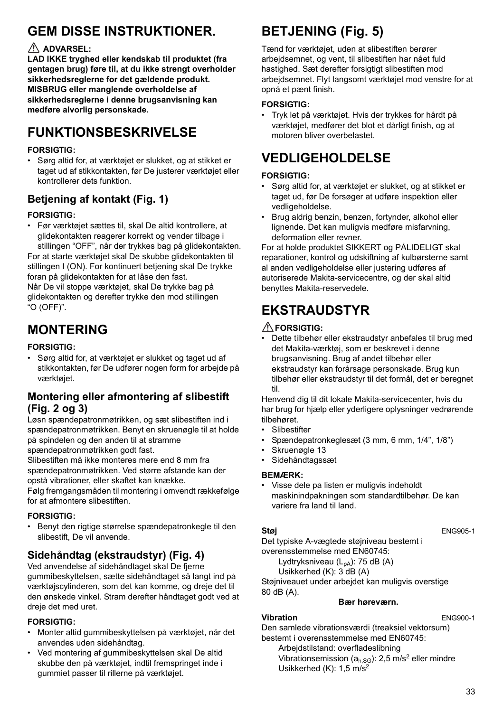# **GEM DISSE INSTRUKTIONER.**

### **ADVARSEL:**

**LAD IKKE tryghed eller kendskab til produktet (fra gentagen brug) føre til, at du ikke strengt overholder sikkerhedsreglerne for det gældende produkt. MISBRUG eller manglende overholdelse af sikkerhedsreglerne i denne brugsanvisning kan medføre alvorlig personskade.**

# **FUNKTIONSBESKRIVELSE**

#### **FORSIGTIG:**

• Sørg altid for, at værktøjet er slukket, og at stikket er taget ud af stikkontakten, før De justerer værktøjet eller kontrollerer dets funktion.

### **Betjening af kontakt (Fig. 1)**

#### **FORSIGTIG:**

• Før værktøjet sættes til, skal De altid kontrollere, at glidekontakten reagerer korrekt og vender tilbage i stillingen "OFF", når der trykkes bag på glidekontakten.

For at starte værktøjet skal De skubbe glidekontakten til stillingen I (ON). For kontinuert betjening skal De trykke foran på glidekontakten for at låse den fast. Når De vil stoppe værktøjet, skal De trykke bag på glidekontakten og derefter trykke den mod stillingen

"O (OFF)".

# **MONTERING**

#### **FORSIGTIG:**

• Sørg altid for, at værktøjet er slukket og taget ud af stikkontakten, før De udfører nogen form for arbejde på værktøjet.

### **Montering eller afmontering af slibestift (Fig. 2 og 3)**

Løsn spændepatronmøtrikken, og sæt slibestiften ind i spændepatronmøtrikken. Benyt en skruenøgle til at holde på spindelen og den anden til at stramme spændepatronmøtrikken godt fast.

Slibestiften må ikke monteres mere end 8 mm fra spændepatronmøtrikken. Ved større afstande kan der opstå vibrationer, eller skaftet kan knække.

Følg fremgangsmåden til montering i omvendt rækkefølge for at afmontere slibestiften.

#### **FORSIGTIG:**

• Benyt den rigtige størrelse spændepatronkegle til den slibestift, De vil anvende.

### **Sidehåndtag (ekstraudstyr) (Fig. 4)**

Ved anvendelse af sidehåndtaget skal De fjerne gummibeskyttelsen, sætte sidehåndtaget så langt ind på værktøjscylinderen, som det kan komme, og dreje det til den ønskede vinkel. Stram derefter håndtaget godt ved at dreje det med uret.

#### **FORSIGTIG:**

- Monter altid gummibeskyttelsen på værktøjet, når det anvendes uden sidehåndtag.
- Ved montering af gummibeskyttelsen skal De altid skubbe den på værktøjet, indtil fremspringet inde i gummiet passer til rillerne på værktøjet.

# **BETJENING (Fig. 5)**

Tænd for værktøjet, uden at slibestiften berører arbejdsemnet, og vent, til slibestiften har nået fuld hastighed. Sæt derefter forsigtigt slibestiften mod arbejdsemnet. Flyt langsomt værktøjet mod venstre for at opnå et pænt finish.

#### **FORSIGTIG:**

• Tryk let på værktøjet. Hvis der trykkes for hårdt på værktøjet, medfører det blot et dårligt finish, og at motoren bliver overbelastet.

# **VEDLIGEHOLDELSE**

#### **FORSIGTIG:**

- Sørg altid for, at værktøjet er slukket, og at stikket er taget ud, før De forsøger at udføre inspektion eller vedligeholdelse.
- Brug aldrig benzin, benzen, fortynder, alkohol eller lignende. Det kan muligvis medføre misfarvning, deformation eller revner.

For at holde produktet SIKKERT og PÅLIDELIGT skal reparationer, kontrol og udskiftning af kulbørsterne samt al anden vedligeholdelse eller justering udføres af autoriserede Makita-servicecentre, og der skal altid benyttes Makita-reservedele.

# **EKSTRAUDSTYR**

#### **FORSIGTIG:**

• Dette tilbehør eller ekstraudstyr anbefales til brug med det Makita-værktøj, som er beskrevet i denne brugsanvisning. Brug af andet tilbehør eller ekstraudstyr kan forårsage personskade. Brug kun tilbehør eller ekstraudstyr til det formål, det er beregnet til.

Henvend dig til dit lokale Makita-servicecenter, hvis du har brug for hjælp eller yderligere oplysninger vedrørende tilbehøret.

- Slibestifter
- Spændepatronkeglesæt (3 mm, 6 mm, 1/4", 1/8")
- Skruenøgle 13
- Sidehåndtagssæt

#### **BEMÆRK:**

• Visse dele på listen er muligvis indeholdt maskinindpakningen som standardtilbehør. De kan variere fra land til land.

**Støj** ENG905-1

Det typiske A-vægtede støjniveau bestemt i overensstemmelse med EN60745:

Lydtryksniveau  $(L_{pA})$ : 75 dB  $(A)$ 

Usikkerhed (K): 3 dB (A)

Støjniveauet under arbejdet kan muligvis overstige 80 dB (A).

#### **Bær høreværn.**

#### **Vibration** ENG900-1

Den samlede vibrationsværdi (treaksiel vektorsum) bestemt i overensstemmelse med EN60745: Arbeidstilstand: overfladeslibning Vibrationsemission ( $a_{h,SG}$ ): 2,5 m/s<sup>2</sup> eller mindre

Usikkerhed (K): 1,5 m/s2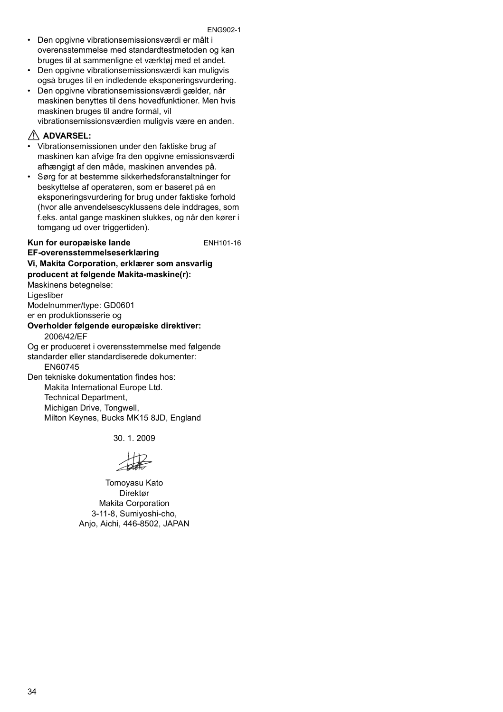#### ENG902-1

- Den opgivne vibrationsemissionsværdi er målt i overensstemmelse med standardtestmetoden og kan bruges til at sammenligne et værktøj med et andet.
- Den opgivne vibrationsemissionsværdi kan muligvis også bruges til en indledende eksponeringsvurdering.
- Den opgivne vibrationsemissionsværdi gælder, når maskinen benyttes til dens hovedfunktioner. Men hvis maskinen bruges til andre formål, vil vibrationsemissionsværdien muligvis være en anden.

#### **ADVARSEL:**

- Vibrationsemissionen under den faktiske brug af maskinen kan afvige fra den opgivne emissionsværdi afhængigt af den måde, maskinen anvendes på.
- Sørg for at bestemme sikkerhedsforanstaltninger for beskyttelse af operatøren, som er baseret på en eksponeringsvurdering for brug under faktiske forhold (hvor alle anvendelsescyklussens dele inddrages, som f.eks. antal gange maskinen slukkes, og når den kører i tomgang ud over triggertiden).

**Kun for europæiske lande** ENH101-16

#### **EF-overensstemmelseserklæring Vi, Makita Corporation, erklærer som ansvarlig producent at følgende Makita-maskine(r):**

Maskinens betegnelse:

Ligesliber

Modelnummer/type: GD0601

er en produktionsserie og

#### **Overholder følgende europæiske direktiver:** 2006/42/EF

Og er produceret i overensstemmelse med følgende standarder eller standardiserede dokumenter: EN60745

Den tekniske dokumentation findes hos: Makita International Europe Ltd. Technical Department, Michigan Drive, Tongwell, Milton Keynes, Bucks MK15 8JD, England

30. 1. 2009

Tomoyasu Kato Direktør Makita Corporation 3-11-8, Sumiyoshi-cho, Anjo, Aichi, 446-8502, JAPAN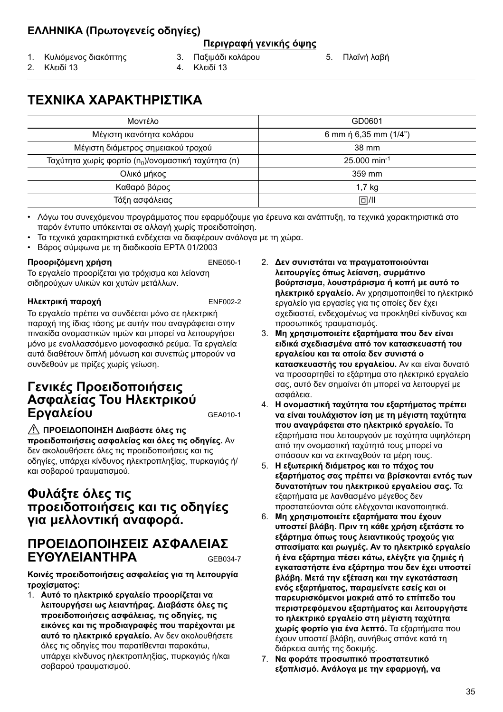### **ΕΛΛΗΝΙΚΑ (Πρωτογενείς οδηγίες)**

#### **Περιγραφή γενικής όψης**

- 1. Κυλιόμενος διακόπτης
- 3. Παξιμάδι κολάρου
- 5. Πλαϊνή λαβή

2. Κλειδί 13

- 
- 4. Κλειδί 13

# **ΤΕΧΝΙΚΑ ΧΑΡΑΚΤΗΡΙΣΤΙΚΑ**

| Μοντέλο                                                         | GD0601                     |
|-----------------------------------------------------------------|----------------------------|
| Μέγιστη ικανότητα κολάρου                                       | 6 mm $\eta$ 6,35 mm (1/4") |
| Μέγιστη διάμετρος σημειακού τροχού                              | 38 mm                      |
| Ταχύτητα χωρίς φορτίο (n <sub>0</sub> )/ονομαστική ταχύτητα (n) | $25.000$ min <sup>-1</sup> |
| Ολικό μήκος                                                     | 359 mm                     |
| Καθαρό βάρος                                                    | 1.7 <sub>kg</sub>          |
| Τάξη ασφάλειας                                                  | 回/Ⅲ                        |

• Λόγω του συνεχόμενου προγράμματος που εφαρμόζουμε για έρευνα και ανάπτυξη, τα τεχνικά χαρακτηριστικά στο παρόν έντυπο υπόκεινται σε αλλαγή χωρίς προειδοποίηση.

- Τα τεχνικά χαρακτηριστικά ενδέχεται να διαφέρουν ανάλογα με τη χώρα.
- Βάρος σύμφωνα με τη διαδικασία EPTA 01/2003

#### **Προοριζόμενη χρήση** ENE050-1

Το εργαλείο προορίζεται για τρόχισμα και λείανση σιδηρούχων υλικών και χυτών μετάλλων.

#### **Ηλεκτρική παροχή** ENF002-2

Το εργαλείο πρέπει να συνδέεται μόνο σε ηλεκτρική παροχή της ίδιας τάσης με αυτήν που αναγράφεται στην πινακίδα ονομαστικών τιμών και μπορεί να λειτουργήσει μόνο με εναλλασσόμενο μονοφασικό ρεύμα. Τα εργαλεία αυτά διαθέτουν διπλή μόνωση και συνεπώς μπορούν να συνδεθούν με πρίζες χωρίς γείωση.

### **Γενικές Προειδοποιήσεις Ασφαλείας Του Ηλεκτρικού Εργαλείου** GEA010-1

**ΠΡΟΕΙΔΟΠΟΙΗΣΗ Διαβάστε όλες τις προειδοποιήσεις ασφαλείας και όλες τις οδηγίες.** Αν δεν ακολουθήσετε όλες τις προειδοποιήσεις και τις οδηγίες, υπάρχει κίνδυνος ηλεκτροπληξίας, πυρκαγιάς ή/ και σοβαρού τραυματισμού.

### **Φυλάξτε όλες τις προειδοποιήσεις και τις οδηγίες για μελλοντική αναφορά.**

### **ΠΡΟΕΙΔΟΠΟΙΗΣΕΙΣ ΑΣΦΑΛΕΙΑΣ ΕΥΘΥΛΕΙΑΝΤΗΡΑ** GEB034-7

**Κοινές προειδοποιήσεις ασφαλείας για τη λειτουργία τροχίσματος:**

1. **Αυτό το ηλεκτρικό εργαλείο προορίζεται να λειτουργήσει ως λειαντήρας. Διαβάστε όλες τις προειδοποιήσεις ασφάλειας, τις οδηγίες, τις εικόνες και τις προδιαγραφές που παρέχονται με αυτό το ηλεκτρικό εργαλείο.** Αν δεν ακολουθήσετε όλες τις οδηγίες που παρατίθενται παρακάτω, υπάρχει κίνδυνος ηλεκτροπληξίας, πυρκαγιάς ή/και σοβαρού τραυματισμού.

- 2. **Δεν συνιστάται να πραγματοποιούνται λειτουργίες όπως λείανση, συρμάτινο βούρτσισμα, λουστράρισμα ή κοπή με αυτό το ηλεκτρικό εργαλείο.** Αν χρησιμοποιηθεί το ηλεκτρικό εργαλείο για εργασίες για τις οποίες δεν έχει σχεδιαστεί, ενδεχομένως να προκληθεί κίνδυνος και προσωπικός τραυματισμός.
- 3. **Μη χρησιμοποιείτε εξαρτήματα που δεν είναι ειδικά σχεδιασμένα από τον κατασκευαστή του εργαλείου και τα οποία δεν συνιστά ο κατασκευαστής του εργαλείου.** Αν και είναι δυνατό να προσαρτηθεί το εξάρτημα στο ηλεκτρικό εργαλείο σας, αυτό δεν σημαίνει ότι μπορεί να λειτουργεί με ασφάλεια.
- 4. **Η ονομαστική ταχύτητα του εξαρτήματος πρέπει να είναι τουλάχιστον ίση με τη μέγιστη ταχύτητα που αναγράφεται στο ηλεκτρικό εργαλείο.** Τα εξαρτήματα που λειτουργούν με ταχύτητα υψηλότερη από την ονομαστική ταχύτητά τους μπορεί να σπάσουν και να εκτιναχθούν τα μέρη τους.
- 5. **Η εξωτερική διάμετρος και το πάχος του εξαρτήματος σας πρέπει να βρίσκονται εντός των δυνατοτήτων του ηλεκτρικού εργαλείου σας.** Τα εξαρτήματα με λανθασμένο μέγεθος δεν προστατεύονται ούτε ελέγχονται ικανοποιητικά.
- 6. **Μη χρησιμοποιείτε εξαρτήματα που έχουν υποστεί βλάβη. Πριν τη κάθε χρήση εξετάστε το εξάρτημα όπως τους λειαντικούς τροχούς για σπασίματα και ρωγμές. Αν το ηλεκτρικό εργαλείο ή ένα εξάρτημα πέσει κάτω, ελέγξτε για ζημιές ή εγκαταστήστε ένα εξάρτημα που δεν έχει υποστεί βλάβη. Μετά την εξέταση και την εγκατάσταση ενός εξαρτήματος, παραμείνετε εσείς και οι παρευρισκόμενοι μακριά από το επίπεδο του περιστρεφόμενου εξαρτήματος και λειτουργήστε το ηλεκτρικό εργαλείο στη μέγιστη ταχύτητα χωρίς φορτίο για ένα λεπτό.** Τα εξαρτήματα που έχουν υποστεί βλάβη, συνήθως σπάνε κατά τη διάρκεια αυτής της δοκιμής.
- 7. **Να φοράτε προσωπικό προστατευτικό εξοπλισμό. Ανάλογα με την εφαρμογή, να**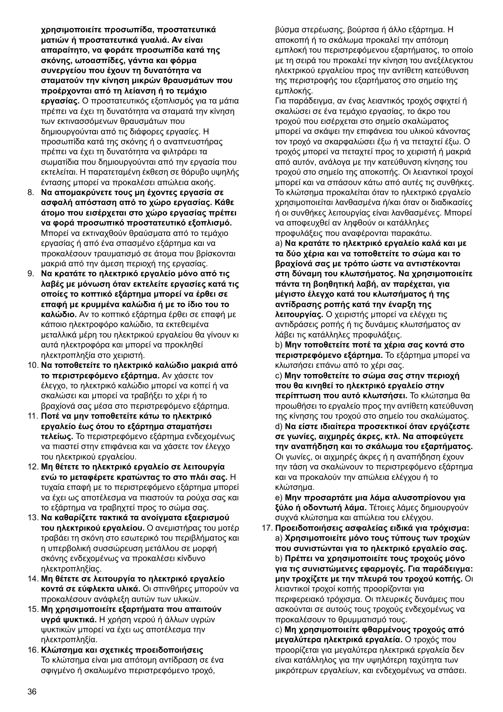**χρησιμοποιείτε προσωπίδα, προστατευτικά ματιών ή προστατευτικά γυαλιά. Αν είναι απαραίτητο, να φοράτε προσωπίδα κατά της σκόνης, ωτοασπίδες, γάντια και φόρμα συνεργείου που έχουν τη δυνατότητα να σταματούν την κίνηση μικρών θραυσμάτων που προέρχονται από τη λείανση ή το τεμάχιο εργασίας.** Ο προστατευτικός εξοπλισμός για τα μάτια πρέπει να έχει τη δυνατότητα να σταματά την κίνηση των εκτινασσόμενων θραυσμάτων που δημιουργούνται από τις διάφορες εργασίες. Η προσωπίδα κατά της σκόνης ή ο αναπνευστήρας πρέπει να έχει τη δυνατότητα να φιλτράρει τα σωματίδια που δημιουργούνται από την εργασία που εκτελείται. Η παρατεταμένη έκθεση σε θόρυβο υψηλής έντασης μπορεί να προκαλέσει απώλεια ακοής.

- 8. **Να απομακρύνετε τους μη έχοντες εργασία σε ασφαλή απόσταση από το χώρο εργασίας. Κάθε άτομο που εισέρχεται στο χώρο εργασίας πρέπει να φορά προσωπικό προστατευτικό εξοπλισμό.** Μπορεί να εκτιναχθούν θραύσματα από το τεμάχιο εργασίας ή από ένα σπασμένο εξάρτημα και να προκαλέσουν τραυματισμό σε άτομα που βρίσκονται μακριά από την άμεση περιοχή της εργασίας.
- 9. **Να κρατάτε το ηλεκτρικό εργαλείο μόνο από τις λαβές με μόνωση όταν εκτελείτε εργασίες κατά τις οποίες το κοπτικό εξάρτημα μπορεί να έρθει σε επαφή με κρυμμένα καλώδια ή με το ίδιο του το καλώδιο.** Αν το κοπτικό εξάρτημα έρθει σε επαφή με κάποιο ηλεκτροφόρο καλώδιο, τα εκτεθειμένα μεταλλικά μέρη του ηλεκτρικού εργαλείου θα γίνουν κι αυτά ηλεκτροφόρα και μπορεί να προκληθεί ηλεκτροπληξία στο χειριστή.
- 10. **Να τοποθετείτε το ηλεκτρικό καλώδιο μακριά από το περιστρεφόμενο εξάρτημα.** Αν χάσετε τον έλεγχο, το ηλεκτρικό καλώδιο μπορεί να κοπεί ή να σκαλώσει και μπορεί να τραβήξει το χέρι ή το βραχίονά σας μέσα στο περιστρεφόμενο εξάρτημα.
- 11. **Ποτέ να μην τοποθετείτε κάτω το ηλεκτρικό εργαλείο έως ότου το εξάρτημα σταματήσει τελείως.** Το περιστρεφόμενο εξάρτημα ενδεχομένως να πιαστεί στην επιφάνεια και να χάσετε τον έλεγχο του ηλεκτρικού εργαλείου.
- 12. **Μη θέτετε το ηλεκτρικό εργαλείο σε λειτουργία ενώ το μεταφέρετε κρατώντας το στο πλάι σας.** Η τυχαία επαφή με το περιστρεφόμενο εξάρτημα μπορεί να έχει ως αποτέλεσμα να πιαστούν τα ρούχα σας και το εξάρτημα να τραβηχτεί προς το σώμα σας.
- 13. **Να καθαρίζετε τακτικά τα ανοίγματα εξαερισμού του ηλεκτρικού εργαλείου.** Ο ανεμιστήρας του μοτέρ τραβάει τη σκόνη στο εσωτερικό του περιβλήματος και η υπερβολική συσσώρευση μετάλλου σε μορφή σκόνης ενδεχομένως να προκαλέσει κίνδυνο ηλεκτροπληξίας.
- 14. **Μη θέτετε σε λειτουργία το ηλεκτρικό εργαλείο κοντά σε εύφλεκτα υλικά.** Οι σπινθήρες μπορούν να προκαλέσουν ανάφλεξη αυτών των υλικών.
- 15. **Μη χρησιμοποιείτε εξαρτήματα που απαιτούν υγρά ψυκτικά.** Η χρήση νερού ή άλλων υγρών ψυκτικών μπορεί να έχει ως αποτέλεσμα την ηλεκτροπληξία.
- 16. **Κλώτσημα και σχετικές προειδοποιήσεις** Το κλώτσημα είναι μια απότομη αντίδραση σε ένα σφιγμένο ή σκαλωμένο περιστρεφόμενο τροχό,

βύσμα στερέωσης, βούρτσα ή άλλο εξάρτημα. Η αποκοπή ή το σκάλωμα προκαλεί την απότομη εμπλοκή του περιστρεφόμενου εξαρτήματος, το οποίο με τη σειρά του προκαλεί την κίνηση του ανεξέλεγκτου ηλεκτρικού εργαλείου προς την αντίθετη κατεύθυνση της περιστροφής του εξαρτήματος στο σημείο της εμπλοκής.

Για παράδειγμα, αν ένας λειαντικός τροχός σφιχτεί ή σκαλώσει σε ένα τεμάχιο εργασίας, το άκρο του τροχού που εισέρχεται στο σημείο σκαλώματος μπορεί να σκάψει την επιφάνεια του υλικού κάνοντας τον τροχό να σκαρφαλώσει έξω ή να πεταχτεί έξω. Ο τροχός μπορεί να πεταχτεί προς το χειριστή ή μακριά από αυτόν, ανάλογα με την κατεύθυνση κίνησης του τροχού στο σημείο της αποκοπής. Οι λειαντικοί τροχοί μπορεί και να σπάσουν κάτω από αυτές τις συνθήκες. Το κλώτσημα προκαλείται όταν το ηλεκτρικό εργαλείο χρησιμοποιείται λανθασμένα ή/και όταν οι διαδικασίες ή οι συνθήκες λειτουργίας είναι λανθασμένες. Μπορεί να αποφευχθεί αν ληφθούν οι κατάλληλες προφυλάξεις που αναφέρονται παρακάτω.

a) **Να κρατάτε το ηλεκτρικό εργαλείο καλά και με τα δύο χέρια και να τοποθετείτε το σώμα και το βραχίονά σας με τρόπο ώστε να αντιστέκονται στη δύναμη του κλωτσήματος. Να χρησιμοποιείτε πάντα τη βοηθητική λαβή, αν παρέχεται, για μέγιστο έλεγχο κατά του κλωτσήματος ή της αντίδρασης ροπής κατά την έναρξη της λειτουργίας.** Ο χειριστής μπορεί να ελέγχει τις αντιδράσεις ροπής ή τις δυνάμεις κλωτσήματος αν λάβει τις κατάλληλες προφυλάξεις.

b) **Μην τοποθετείτε ποτέ τα χέρια σας κοντά στο περιστρεφόμενο εξάρτημα.** Το εξάρτημα μπορεί να κλωτσήσει επάνω από το χέρι σας.

c) **Μην τοποθετείτε το σώμα σας στην περιοχή που θα κινηθεί το ηλεκτρικό εργαλείο στην περίπτωση που αυτό κλωτσήσει.** Το κλώτσημα θα προωθήσει το εργαλείο προς την αντίθετη κατεύθυνση της κίνησης του τροχού στο σημείο του σκαλώματος. d) **Να είστε ιδιαίτερα προσεκτικοί όταν εργάζεστε σε γωνίες, αιχμηρές άκρες, κτλ. Να αποφεύγετε την αναπήδηση και το σκάλωμα του εξαρτήματος.** Οι γωνίες, οι αιχμηρές άκρες ή η αναπήδηση έχουν την τάση να σκαλώνουν το περιστρεφόμενο εξάρτημα και να προκαλούν την απώλεια ελέγχου ή το κλώτσημα.

e) **Μην προσαρτάτε μια λάμα αλυσοπρίονου για ξύλο ή οδοντωτή λάμα.** Τέτοιες λάμες δημιουργούν συχνά κλώτσημα και απώλεια του ελέγχου.

17. **Προειδοποιήσεις ασφαλείας ειδικά για τρόχισμα:** a) **Χρησιμοποιείτε μόνο τους τύπους των τροχών που συνιστώνται για το ηλεκτρικό εργαλείο σας.** b) **Πρέπει να χρησιμοποιείτε τους τροχούς μόνο για τις συνιστώμενες εφαρμογές. Για παράδειγμα: μην τροχίζετε με την πλευρά του τροχού κοπής.** Οι λειαντικοί τροχοί κοπής προορίζονται για περιφερειακό τρόχισμα. Οι πλευρικές δυνάμεις που ασκούνται σε αυτούς τους τροχούς ενδεχομένως να προκαλέσουν το θρυμματισμό τους. c) **Μη χρησιμοποιείτε φθαρμένους τροχούς από**

**μεγαλύτερα ηλεκτρικά εργαλεία.** Ο τροχός που προορίζεται για μεγαλύτερα ηλεκτρικά εργαλεία δεν είναι κατάλληλος για την υψηλότερη ταχύτητα των μικρότερων εργαλείων, και ενδεχομένως να σπάσει.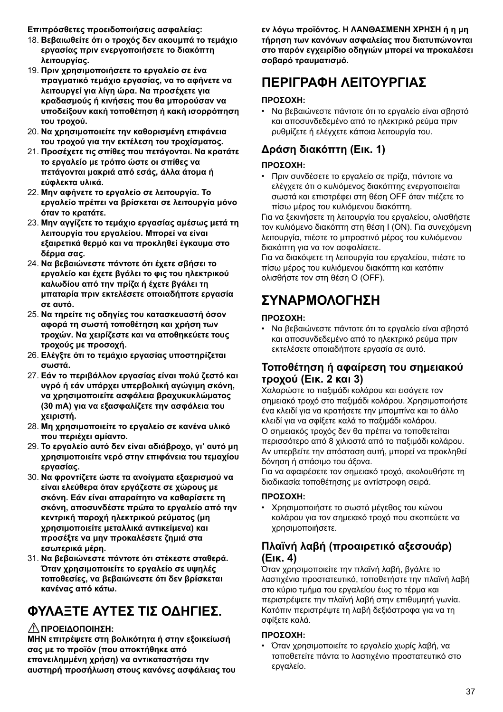**Επιπρόσθετες προειδοποιήσεις ασφαλείας:**

- 18. **Βεβαιωθείτε ότι ο τροχός δεν ακουμπά το τεμάχιο εργασίας πριν ενεργοποιήσετε το διακόπτη λειτουργίας.**
- 19. **Πριν χρησιμοποιήσετε το εργαλείο σε ένα πραγματικό τεμάχιο εργασίας, να το αφήνετε να λειτουργεί για λίγη ώρα. Να προσέχετε για κραδασμούς ή κινήσεις που θα μπορούσαν να υποδείξουν κακή τοποθέτηση ή κακή ισορρόπηση του τροχού.**
- 20. **Να χρησιμοποιείτε την καθορισμένη επιφάνεια του τροχού για την εκτέλεση του τροχίσματος.**
- 21. **Προσέχετε τις σπίθες που πετάγονται. Να κρατάτε το εργαλείο με τρόπο ώστε οι σπίθες να πετάγονται μακριά από εσάς, άλλα άτομα ή εύφλεκτα υλικά.**
- 22. **Μην αφήνετε το εργαλείο σε λειτουργία. Το εργαλείο πρέπει να βρίσκεται σε λειτουργία μόνο όταν το κρατάτε.**
- 23. **Μην αγγίζετε το τεμάχιο εργασίας αμέσως μετά τη λειτουργία του εργαλείου. Μπορεί να είναι εξαιρετικά θερμό και να προκληθεί έγκαυμα στο δέρμα σας.**
- 24. **Να βεβαιώνεστε πάντοτε ότι έχετε σβήσει το εργαλείο και έχετε βγάλει το φις του ηλεκτρικού καλωδίου από την πρίζα ή έχετε βγάλει τη μπαταρία πριν εκτελέσετε οποιαδήποτε εργασία σε αυτό.**
- 25. **Να τηρείτε τις οδηγίες του κατασκευαστή όσον αφορά τη σωστή τοποθέτηση και χρήση των τροχών. Να χειρίζεστε και να αποθηκεύετε τους τροχούς με προσοχή.**
- 26. **Ελέγξτε ότι το τεμάχιο εργασίας υποστηρίζεται σωστά.**
- 27. **Εάν το περιβάλλον εργασίας είναι πολύ ζεστό και υγρό ή εάν υπάρχει υπερβολική αγώγιμη σκόνη, να χρησιμοποιείτε ασφάλεια βραχυκυκλώματος (30 mA) για να εξασφαλίζετε την ασφάλεια του χειριστή.**
- 28. **Μη χρησιμοποιείτε το εργαλείο σε κανένα υλικό που περιέχει αμίαντο.**
- 29. **Το εργαλείο αυτό δεν είναι αδιάβροχο, γι' αυτό μη χρησιμοποιείτε νερό στην επιφάνεια του τεμαχίου εργασίας.**
- 30. **Να φροντίζετε ώστε τα ανοίγματα εξαερισμού να είναι ελεύθερα όταν εργάζεστε σε χώρους με σκόνη. Εάν είναι απαραίτητο να καθαρίσετε τη σκόνη, αποσυνδέστε πρώτα το εργαλείο από την κεντρική παροχή ηλεκτρικού ρεύματος (μη χρησιμοποιείτε μεταλλικά αντικείμενα) και προσέξτε να μην προκαλέσετε ζημιά στα εσωτερικά μέρη.**
- 31. **Να βεβαιώνεστε πάντοτε ότι στέκεστε σταθερά. Όταν χρησιμοποιείτε το εργαλείο σε υψηλές τοποθεσίες, να βεβαιώνεστε ότι δεν βρίσκεται κανένας από κάτω.**

# **ΦΥΛΑΞΤΕ ΑΥΤΕΣ ΤΙΣ ΟΔΗΓΙΕΣ.**

#### **ΠΡΟΕΙΔΟΠΟΙΗΣΗ:**

**ΜΗΝ επιτρέψετε στη βολικότητα ή στην εξοικείωσή σας με το προϊόν (που αποκτήθηκε από επανειλημμένη χρήση) να αντικαταστήσει την αυστηρή προσήλωση στους κανόνες ασφάλειας του** **εν λόγω προϊόντος. Η ΛΑΝΘΑΣΜΕΝΗ ΧΡΗΣΗ ή η μη τήρηση των κανόνων ασφαλείας που διατυπώνονται στο παρόν εγχειρίδιο οδηγιών μπορεί να προκαλέσει σοβαρό τραυματισμό.**

# **ΠΕΡΙΓΡΑΦΗ ΛΕΙΤΟΥΡΓΙΑΣ**

#### **ΠΡΟΣΟΧΗ:**

• Να βεβαιώνεστε πάντοτε ότι το εργαλείο είναι σβηστό και αποσυνδεδεμένο από το ηλεκτρικό ρεύμα πριν ρυθμίζετε ή ελέγχετε κάποια λειτουργία του.

### **Δράση διακόπτη (Εικ. 1)**

#### **ΠΡΟΣΟΧΗ:**

• Πριν συνδέσετε το εργαλείο σε πρίζα, πάντοτε να ελέγχετε ότι ο κυλιόμενος διακόπτης ενεργοποιείται σωστά και επιστρέφει στη θέση OFF όταν πιέζετε το πίσω μέρος του κυλιόμενου διακόπτη.

Για να ξεκινήσετε τη λειτουργία του εργαλείου, ολισθήστε τον κυλιόμενο διακόπτη στη θέση I (ON). Για συνεχόμενη λειτουργία, πιέστε το μπροστινό μέρος του κυλιόμενου διακόπτη για να τον ασφαλίσετε.

Για να διακόψετε τη λειτουργία του εργαλείου, πιέστε το πίσω μέρος του κυλιόμενου διακόπτη και κατόπιν ολισθήστε τον στη θέση O (OFF).

# **ΣΥΝΑΡΜΟΛΟΓΗΣΗ**

#### **ΠΡΟΣΟΧΗ:**

• Να βεβαιώνεστε πάντοτε ότι το εργαλείο είναι σβηστό και αποσυνδεδεμένο από το ηλεκτρικό ρεύμα πριν εκτελέσετε οποιαδήποτε εργασία σε αυτό.

#### **Τοποθέτηση ή αφαίρεση του σημειακού τροχού (Εικ. 2 και 3)**

Χαλαρώστε το παξιμάδι κολάρου και εισάγετε τον σημειακό τροχό στο παξιμάδι κολάρου. Χρησιμοποιήστε ένα κλειδί για να κρατήσετε την μπομπίνα και το άλλο κλειδί για να σφίξετε καλά το παξιμάδι κολάρου. Ο σημειακός τροχός δεν θα πρέπει να τοποθετείται περισσότερο από 8 χιλιοστά από το παξιμάδι κολάρου. Αν υπερβείτε την απόσταση αυτή, μπορεί να προκληθεί δόνηση ή σπάσιμο του άξονα.

Για να αφαιρέσετε τον σημειακό τροχό, ακολουθήστε τη διαδικασία τοποθέτησης με αντίστροφη σειρά.

#### **ΠΡΟΣΟΧΗ:**

• Χρησιμοποιήστε το σωστό μέγεθος του κώνου κολάρου για τον σημειακό τροχό που σκοπεύετε να χρησιμοποιήσετε.

### **Πλαϊνή λαβή (προαιρετικό αξεσουάρ) (Εικ. 4)**

Όταν χρησιμοποιείτε την πλαϊνή λαβή, βγάλτε το λαστιχένιο προστατευτικό, τοποθετήστε την πλαϊνή λαβή στο κύριο τμήμα του εργαλείου έως το τέρμα και περιστρέψετε την πλαϊνή λαβή στην επιθυμητή γωνία. Κατόπιν περιστρέψτε τη λαβή δεξιόστροφα για να τη σφίξετε καλά.

#### **ΠΡΟΣΟΧΗ:**

• Όταν χρησιμοποιείτε το εργαλείο χωρίς λαβή, να τοποθετείτε πάντα το λαστιχένιο προστατευτικό στο εργαλείο.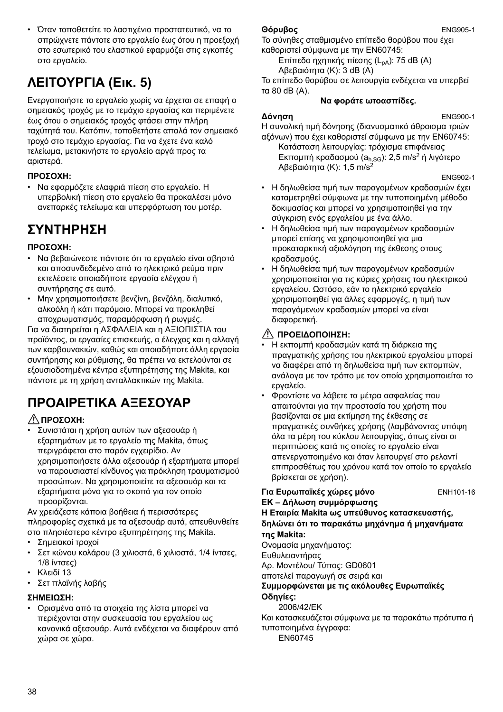• Όταν τοποθετείτε το λαστιχένιο προστατευτικό, να το σπρώχνετε πάντοτε στο εργαλείο έως ότου η προεξοχή στο εσωτερικό του ελαστικού εφαρμόζει στις εγκοπές στο εργαλείο.

# **ΛΕΙΤΟΥΡΓΙΑ (Εικ. 5)**

Ενεργοποιήστε το εργαλείο χωρίς να έρχεται σε επαφή ο σημειακός τροχός με το τεμάχιο εργασίας και περιμένετε έως ότου ο σημειακός τροχός φτάσει στην πλήρη ταχύτητά του. Κατόπιν, τοποθετήστε απαλά τον σημειακό τροχό στο τεμάχιο εργασίας. Για να έχετε ένα καλό τελείωμα, μετακινήστε το εργαλείο αργά προς τα αριστερά.

#### **ΠΡΟΣΟΧΗ:**

• Να εφαρμόζετε ελαφριά πίεση στο εργαλείο. Η υπερβολική πίεση στο εργαλείο θα προκαλέσει μόνο ανεπαρκές τελείωμα και υπερφόρτωση του μοτέρ.

# **ΣΥΝΤΗΡΗΣΗ**

#### **ΠΡΟΣΟΧΗ:**

- Να βεβαιώνεστε πάντοτε ότι το εργαλείο είναι σβηστό και αποσυνδεδεμένο από το ηλεκτρικό ρεύμα πριν εκτελέσετε οποιαδήποτε εργασία ελέγχου ή συντήρησης σε αυτό.
- Μην χρησιμοποιήσετε βενζίνη, βενζόλη, διαλυτικό, αλκοόλη ή κάτι παρόμοιο. Μπορεί να προκληθεί αποχρωματισμός, παραμόρφωση ή ρωγμές.

Για να διατηρείται η ΑΣΦΑΛΕΙΑ και η ΑΞΙΟΠΙΣΤΙΑ του προϊόντος, οι εργασίες επισκευής, ο έλεγχος και η αλλαγή των καρβουνακιών, καθώς και οποιαδήποτε άλλη εργασία συντήρησης και ρύθμισης, θα πρέπει να εκτελούνται σε εξουσιοδοτημένα κέντρα εξυπηρέτησης της Makita, και πάντοτε με τη χρήση ανταλλακτικών της Makita.

# **ΠΡΟΑΙΡΕΤΙΚΑ ΑΞΕΣΟΥΑΡ**

### **ΠΡΟΣΟΧΗ:**

• Συνιστάται η χρήση αυτών των αξεσουάρ ή εξαρτημάτων με το εργαλείο της Makita, όπως περιγράφεται στο παρόν εγχειρίδιο. Αν χρησιμοποιήσετε άλλα αξεσουάρ ή εξαρτήματα μπορεί να παρουσιαστεί κίνδυνος για πρόκληση τραυματισμού προσώπων. Να χρησιμοποιείτε τα αξεσουάρ και τα εξαρτήματα μόνο για το σκοπό για τον οποίο προορίζονται.

Αν χρειάζεστε κάποια βοήθεια ή περισσότερες πληροφορίες σχετικά με τα αξεσουάρ αυτά, απευθυνθείτε στο πλησιέστερο κέντρο εξυπηρέτησης της Makita.

- Σημειακοί τροχοί
- Σετ κώνου κολάρου (3 χιλιοστά, 6 χιλιοστά, 1/4 ίντσες, 1/8 ίντσες)
- Κλειδί 13
- Σετ πλαϊνής λαβής

#### **ΣΗΜΕΙΩΣΗ:**

• Ορισμένα από τα στοιχεία της λίστα μπορεί να περιέχονται στην συσκευασία του εργαλείου ως κανονικά αξεσουάρ. Αυτά ενδέχεται να διαφέρουν από χώρα σε χώρα.

#### **Θόρυβος** ENG905-1

Το σύνηθες σταθμισμένο επίπεδο θορύβου που έχει καθοριστεί σύμφωνα με την EN60745:

Επίπεδο ηχητικής πίεσης (L<sub>pA</sub>): 75 dB (A) Αβεβαιότητα (Κ): 3 dB (A)

Το επίπεδο θορύβου σε λειτουργία ενδέχεται να υπερβεί τα 80 dB (A).

#### **Να φοράτε ωτοασπίδες.**

#### **Δόνηση** ENG900-1

Η συνολική τιμή δόνησης (διανυσματικό άθροισμα τριών αξόνων) που έχει καθοριστεί σύμφωνα με την EN60745:

Κατάσταση λειτουργίας: τρόχισμα επιφάνειας Εκπομπή κραδασμού ( $a<sub>h,SG</sub>$ ): 2,5 m/s<sup>2</sup> ή λιγότερο Αβεβαιότητα (Κ): 1,5 m/s<sup>2</sup>

ENG902-1

- Η δηλωθείσα τιμή των παραγομένων κραδασμών έχει καταμετρηθεί σύμφωνα με την τυποποιημένη μέθοδο δοκιμασίας και μπορεί να χρησιμοποιηθεί για την σύγκριση ενός εργαλείου με ένα άλλο.
- Η δηλωθείσα τιμή των παραγομένων κραδασμών μπορεί επίσης να χρησιμοποιηθεί για μια προκαταρκτική αξιολόγηση της έκθεσης στους κραδασμούς.
- Η δηλωθείσα τιμή των παραγομένων κραδασμών χρησιμοποιείται για τις κύριες χρήσεις του ηλεκτρικού εργαλείου. Ωστόσο, εάν το ηλεκτρικό εργαλείο χρησιμοποιηθεί για άλλες εφαρμογές, η τιμή των παραγόμενων κραδασμών μπορεί να είναι διαφορετική.

### **ΠΡΟΕΙΔΟΠΟΙΗΣΗ:**

- Η εκπομπή κραδασμών κατά τη διάρκεια της πραγματικής χρήσης του ηλεκτρικού εργαλείου μπορεί να διαφέρει από τη δηλωθείσα τιμή των εκπομπών, ανάλογα με τον τρόπο με τον οποίο χρησιμοποιείται το εργαλείο.
- Φροντίστε να λάβετε τα μέτρα ασφαλείας που απαιτούνται για την προστασία του χρήστη που βασίζονται σε μια εκτίμηση της έκθεσης σε πραγματικές συνθήκες χρήσης (λαμβάνοντας υπόψη όλα τα μέρη του κύκλου λειτουργίας, όπως είναι οι περιπτώσεις κατά τις οποίες το εργαλείο είναι απενεργοποιημένο και όταν λειτουργεί στο ρελαντί επιπροσθέτως του χρόνου κατά τον οποίο το εργαλείο βρίσκεται σε χρήση).

**Για Ευρωπαϊκές χώρες μόνο** ENH101-16 **ΕΚ – Δήλωση συμμόρφωσης**

**Η Εταιρία Makita ως υπεύθυνος κατασκευαστής, δηλώνει ότι το παρακάτω μηχάνημα ή μηχανήματα της Makita:**

Ονομασία μηχανήματος: Ευθυλειαντήρας Αρ. Μοντέλου/ Τύπος: GD0601 αποτελεί παραγωγή σε σειρά και

#### **Συμμορφώνεται με τις ακόλουθες Ευρωπαϊκές Οδηγίες:**

2006/42/EΚ

Και κατασκευάζεται σύμφωνα με τα παρακάτω πρότυπα ή τυποποιημένα έγγραφα:

EN60745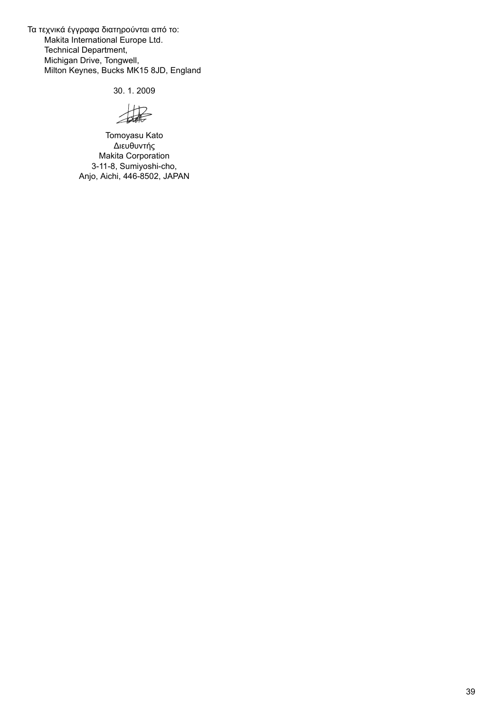Τα τεχνικά έγγραφα διατηρούνται από το: Makita International Europe Ltd. Technical Department, Michigan Drive, Tongwell, Milton Keynes, Bucks MK15 8JD, England

30. 1. 2009

撮

Tomoyasu Kato Διευθυντής Makita Corporation 3-11-8, Sumiyoshi-cho, Anjo, Aichi, 446-8502, JAPAN